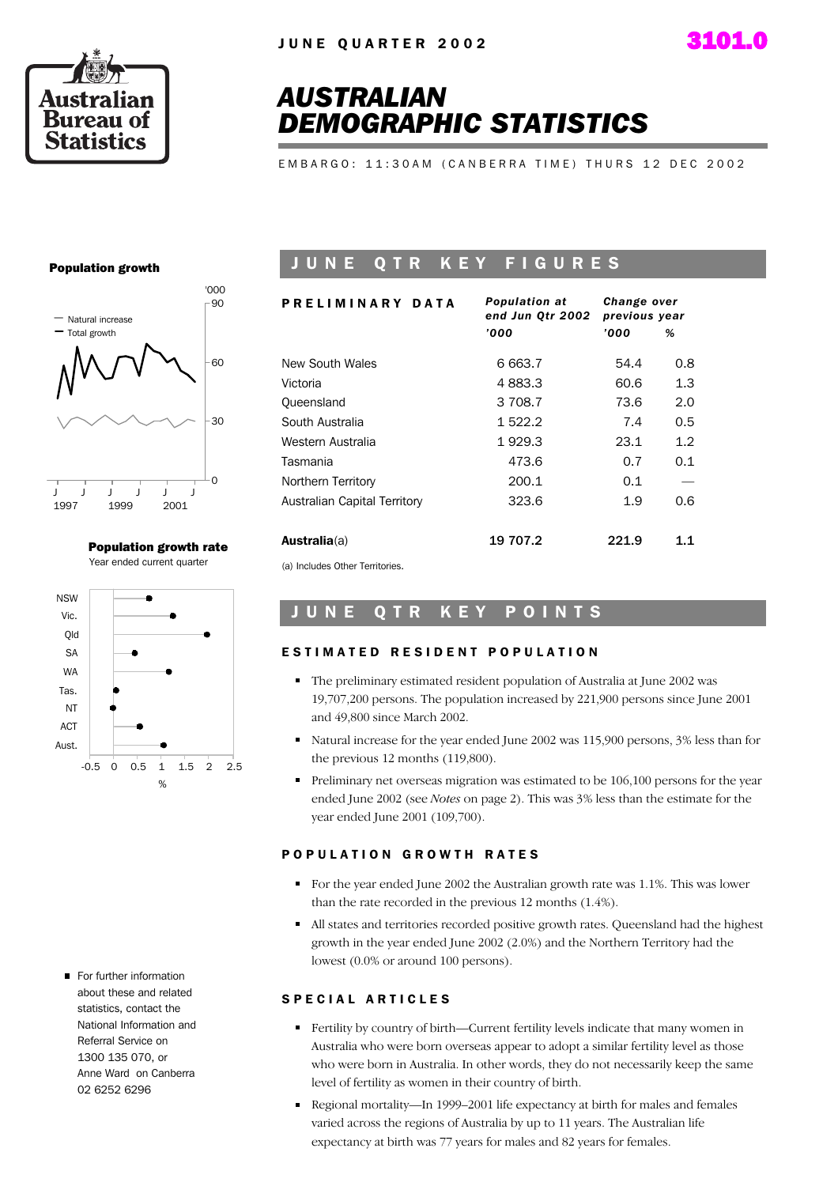



## *AUSTRALIAN DEMOGRAPHIC STATISTICS*

E M B A R G O : 11:30 A M ( C A N B E R R A T I M E ) T H U R S 12 D E C 2002

### Population growth



Population growth rate Year ended current quarter



For further information about these and related statistics, contact the National Information and Referral Service on 1300 135 070, or Anne Ward on Canberra 02 6252 6296

### JUNE QTR KEY FIGURES

| PRELIMINARY DATA             | <b>Population at</b><br>end Jun Otr 2002 | Change over<br>previous year |     |  |  |
|------------------------------|------------------------------------------|------------------------------|-----|--|--|
|                              | '000                                     | '000                         | %   |  |  |
| New South Wales              | 6 663.7                                  | 54.4                         | 0.8 |  |  |
| Victoria                     | 4 883.3                                  | 60.6                         | 1.3 |  |  |
| Queensland                   | 3 708.7                                  | 73.6                         | 2.0 |  |  |
| South Australia              | 1 522.2                                  | 7.4                          | 0.5 |  |  |
| Western Australia            | 1929.3                                   | 23.1                         | 1.2 |  |  |
| Tasmania                     | 473.6                                    | 0.7                          | 0.1 |  |  |
| Northern Territory           | 200.1                                    | 0.1                          |     |  |  |
| Australian Capital Territory | 323.6                                    | 1.9                          | 0.6 |  |  |
| <b>Australia</b> (a)         | 19 707.2                                 | 221.9                        | 1.1 |  |  |

(a) Includes Other Territories.

### UNE QTR KEY POINTS

### ESTIMATED RESIDENT POPULATION

- The preliminary estimated resident population of Australia at June 2002 was 19,707,200 persons. The population increased by 221,900 persons since June 2001 and 49,800 since March 2002.
- Natural increase for the year ended June 2002 was 115,900 persons, 3% less than for the previous 12 months (119,800).
- Preliminary net overseas migration was estimated to be 106,100 persons for the year ended June 2002 (see *Notes* on page 2). This was 3% less than the estimate for the year ended June 2001 (109,700).

### POPULATION GROWTH RATES

- For the year ended June 2002 the Australian growth rate was 1.1%. This was lower than the rate recorded in the previous 12 months (1.4%).
- All states and territories recorded positive growth rates. Queensland had the highest growth in the year ended June 2002 (2.0%) and the Northern Territory had the lowest (0.0% or around 100 persons).

### SPECIAL ARTICLES

- Fertility by country of birth—Current fertility levels indicate that many women in Australia who were born overseas appear to adopt a similar fertility level as those who were born in Australia. In other words, they do not necessarily keep the same level of fertility as women in their country of birth.
- Regional mortality—In 1999–2001 life expectancy at birth for males and females varied across the regions of Australia by up to 11 years. The Australian life expectancy at birth was 77 years for males and 82 years for females.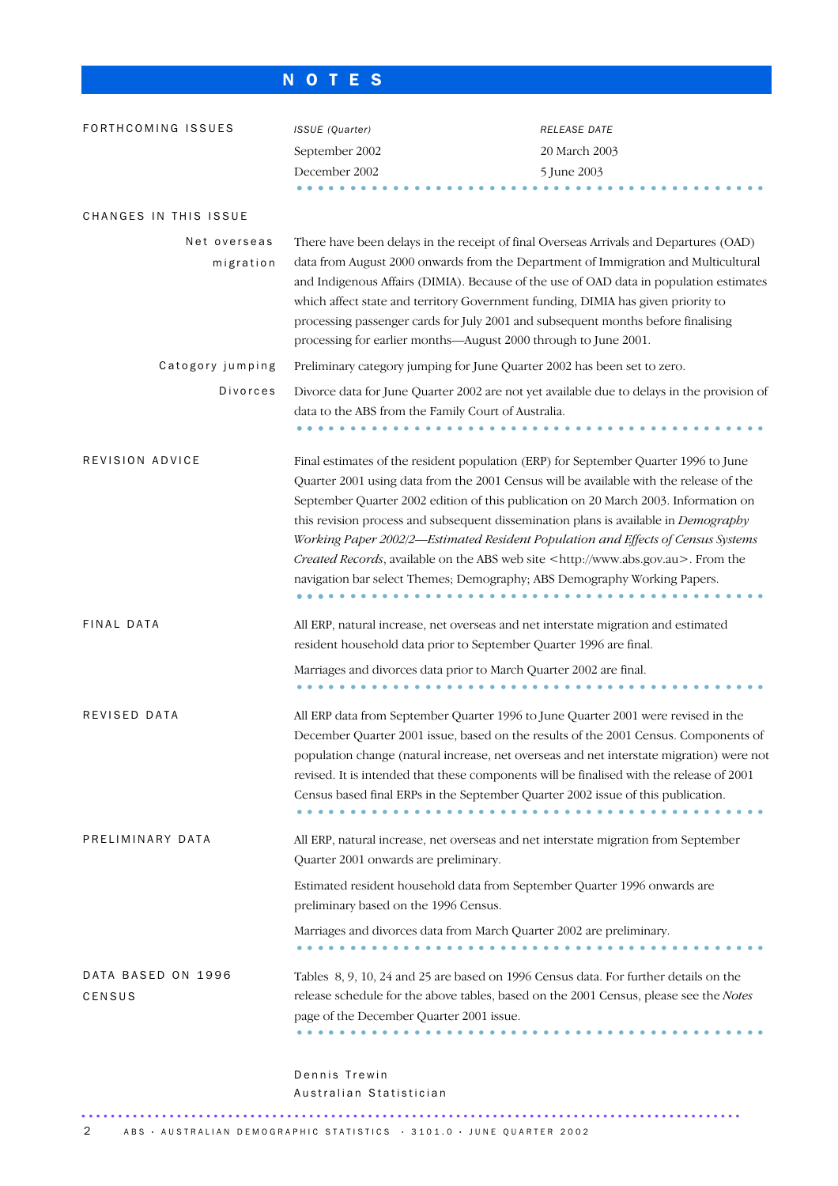## N O T E S

| FORTHCOMING ISSUES           | ISSUE (Quarter)<br>September 2002                                                                                                                                                                                                                                                                                                                                                                                                                                                                                                                                                                                                 | RELEASE DATE<br>20 March 2003 |  |  |  |  |
|------------------------------|-----------------------------------------------------------------------------------------------------------------------------------------------------------------------------------------------------------------------------------------------------------------------------------------------------------------------------------------------------------------------------------------------------------------------------------------------------------------------------------------------------------------------------------------------------------------------------------------------------------------------------------|-------------------------------|--|--|--|--|
|                              | December 2002                                                                                                                                                                                                                                                                                                                                                                                                                                                                                                                                                                                                                     | 5 June 2003                   |  |  |  |  |
| CHANGES IN THIS ISSUE        |                                                                                                                                                                                                                                                                                                                                                                                                                                                                                                                                                                                                                                   |                               |  |  |  |  |
| Net overseas<br>migration    | There have been delays in the receipt of final Overseas Arrivals and Departures (OAD)<br>data from August 2000 onwards from the Department of Immigration and Multicultural<br>and Indigenous Affairs (DIMIA). Because of the use of OAD data in population estimates<br>which affect state and territory Government funding, DIMIA has given priority to<br>processing passenger cards for July 2001 and subsequent months before finalising<br>processing for earlier months—August 2000 through to June 2001.                                                                                                                  |                               |  |  |  |  |
| Catogory jumping             | Preliminary category jumping for June Quarter 2002 has been set to zero.                                                                                                                                                                                                                                                                                                                                                                                                                                                                                                                                                          |                               |  |  |  |  |
| Divorces                     | Divorce data for June Quarter 2002 are not yet available due to delays in the provision of<br>data to the ABS from the Family Court of Australia.                                                                                                                                                                                                                                                                                                                                                                                                                                                                                 |                               |  |  |  |  |
| REVISION ADVICE              | Final estimates of the resident population (ERP) for September Quarter 1996 to June<br>Quarter 2001 using data from the 2001 Census will be available with the release of the<br>September Quarter 2002 edition of this publication on 20 March 2003. Information on<br>this revision process and subsequent dissemination plans is available in <i>Demography</i><br>Working Paper 2002/2-Estimated Resident Population and Effects of Census Systems<br>Created Records, available on the ABS web site <http: www.abs.gov.au="">. From the<br/>navigation bar select Themes; Demography; ABS Demography Working Papers.</http:> |                               |  |  |  |  |
| FINAL DATA                   | All ERP, natural increase, net overseas and net interstate migration and estimated<br>resident household data prior to September Quarter 1996 are final.                                                                                                                                                                                                                                                                                                                                                                                                                                                                          |                               |  |  |  |  |
|                              | Marriages and divorces data prior to March Quarter 2002 are final.                                                                                                                                                                                                                                                                                                                                                                                                                                                                                                                                                                |                               |  |  |  |  |
| REVISED DATA                 | All ERP data from September Quarter 1996 to June Quarter 2001 were revised in the<br>December Quarter 2001 issue, based on the results of the 2001 Census. Components of<br>population change (natural increase, net overseas and net interstate migration) were not<br>revised. It is intended that these components will be finalised with the release of 2001<br>Census based final ERPs in the September Quarter 2002 issue of this publication.                                                                                                                                                                              |                               |  |  |  |  |
| PRELIMINARY DATA             | All ERP, natural increase, net overseas and net interstate migration from September<br>Quarter 2001 onwards are preliminary.                                                                                                                                                                                                                                                                                                                                                                                                                                                                                                      |                               |  |  |  |  |
|                              | Estimated resident household data from September Quarter 1996 onwards are<br>preliminary based on the 1996 Census.                                                                                                                                                                                                                                                                                                                                                                                                                                                                                                                |                               |  |  |  |  |
|                              | Marriages and divorces data from March Quarter 2002 are preliminary.                                                                                                                                                                                                                                                                                                                                                                                                                                                                                                                                                              |                               |  |  |  |  |
| DATA BASED ON 1996<br>CENSUS | Tables 8, 9, 10, 24 and 25 are based on 1996 Census data. For further details on the<br>release schedule for the above tables, based on the 2001 Census, please see the Notes<br>page of the December Quarter 2001 issue.                                                                                                                                                                                                                                                                                                                                                                                                         |                               |  |  |  |  |
|                              | Dennis Trewin<br>Australian Statistician                                                                                                                                                                                                                                                                                                                                                                                                                                                                                                                                                                                          |                               |  |  |  |  |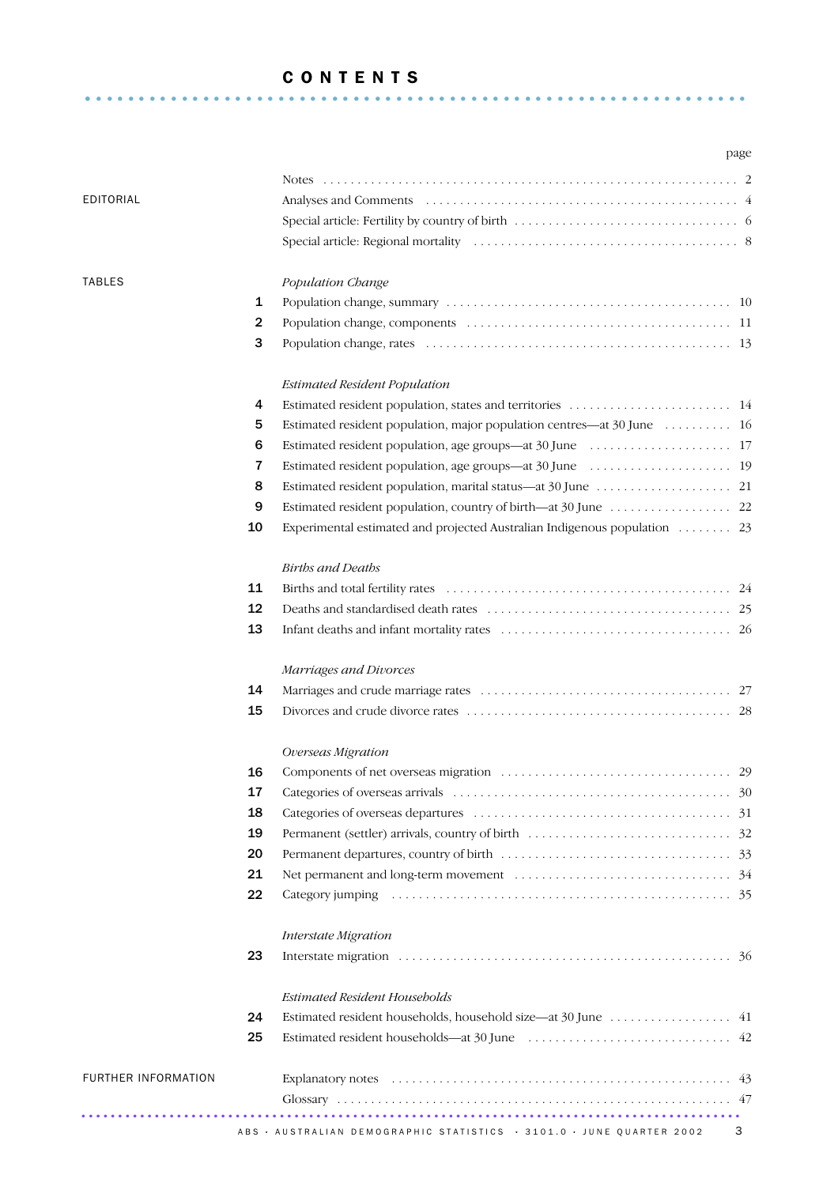### C O N T E N T S

.............................................................. .

|                            |                | page                                                                      |   |
|----------------------------|----------------|---------------------------------------------------------------------------|---|
|                            |                | Notes                                                                     |   |
| EDITORIAL                  |                |                                                                           |   |
|                            |                |                                                                           |   |
|                            |                |                                                                           |   |
| <b>TABLES</b>              |                | Population Change                                                         |   |
|                            | 1              |                                                                           |   |
|                            | $\overline{2}$ |                                                                           |   |
|                            | 3              |                                                                           |   |
|                            |                | <b>Estimated Resident Population</b>                                      |   |
|                            | 4              |                                                                           |   |
|                            | 5              | Estimated resident population, major population centres—at 30 June  16    |   |
|                            | 6              |                                                                           |   |
|                            | 7              |                                                                           |   |
|                            | 8              |                                                                           |   |
|                            | 9              |                                                                           |   |
|                            | 10             | Experimental estimated and projected Australian Indigenous population  23 |   |
|                            |                | <b>Births and Deaths</b>                                                  |   |
|                            | 11             |                                                                           |   |
|                            | 12             |                                                                           |   |
|                            | 13             |                                                                           |   |
|                            |                | Marriages and Divorces                                                    |   |
|                            | 14             |                                                                           |   |
|                            | 15             |                                                                           |   |
|                            |                | Overseas Migration                                                        |   |
|                            | 16             |                                                                           |   |
|                            | 17             |                                                                           |   |
|                            | 18             |                                                                           |   |
|                            | 19             |                                                                           |   |
|                            | 20             |                                                                           |   |
|                            | 21             |                                                                           |   |
|                            | 22             |                                                                           |   |
|                            |                | Interstate Migration                                                      |   |
|                            | 23             |                                                                           |   |
|                            |                | <b>Estimated Resident Households</b>                                      |   |
|                            | 24             | Estimated resident households, household size—at 30 June 41               |   |
|                            | 25             |                                                                           |   |
| <b>FURTHER INFORMATION</b> |                |                                                                           |   |
|                            |                |                                                                           |   |
|                            |                | ABS · AUSTRALIAN DEMOGRAPHIC STATISTICS · 3101.0 · JUNE QUARTER 2002      | 3 |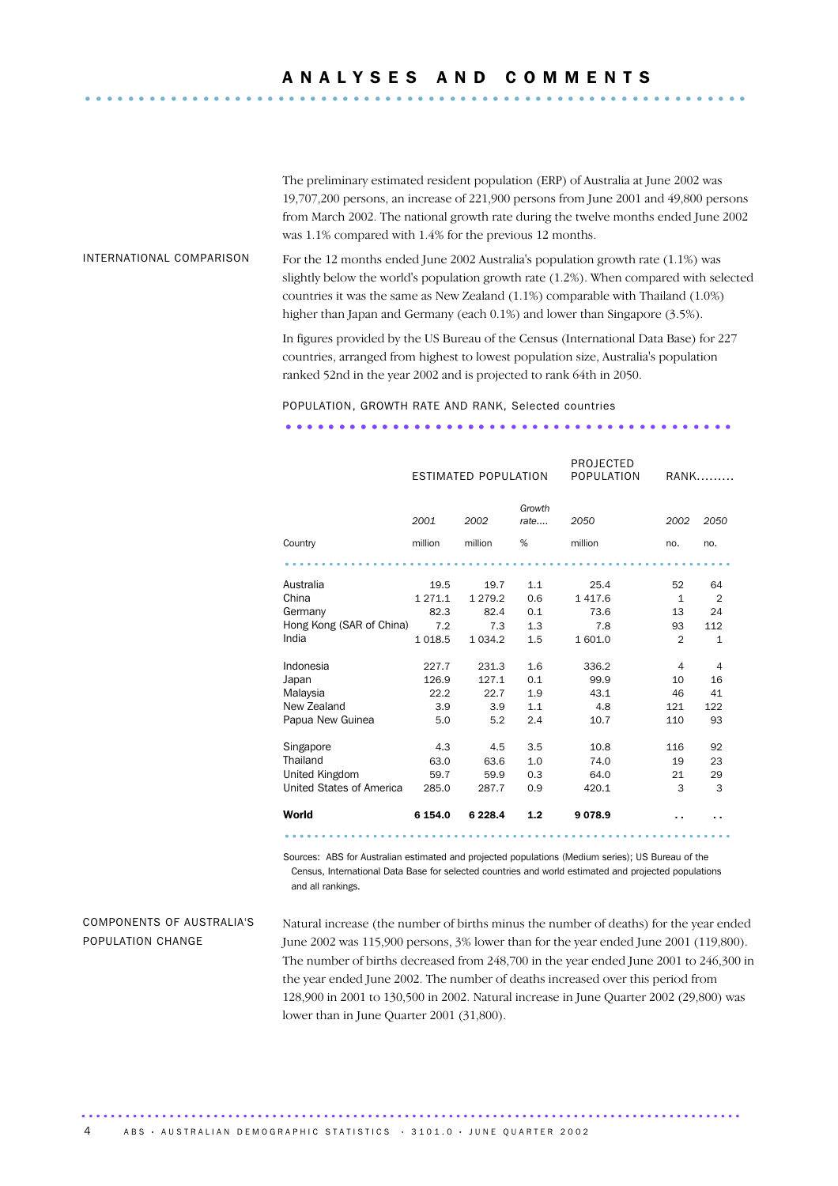# A N A L Y S E S A N D C O M M E N T S ..............................................................

The preliminary estimated resident population (ERP) of Australia at June 2002 was 19,707,200 persons, an increase of 221,900 persons from June 2001 and 49,800 persons from March 2002. The national growth rate during the twelve months ended June 2002 was 1.1% compared with 1.4% for the previous 12 months.

INTERNATIONAL COMPARISON For the 12 months ended June 2002 Australia's population growth rate  $(1.1\%)$  was slightly below the world's population growth rate (1.2%). When compared with selected countries it was the same as New Zealand (1.1%) comparable with Thailand (1.0%) higher than Japan and Germany (each 0.1%) and lower than Singapore (3.5%).

> In figures provided by the US Bureau of the Census (International Data Base) for 227 countries, arranged from highest to lowest population size, Australia's population ranked 52nd in the year 2002 and is projected to rank 64th in 2050.

### POPULATION, GROWTH RATE AND RANK, Selected countries

### .......................................... ................... ESTIMATED POPULATION PROJECTED POPULATION RANK......... *2001 2002 Growth rate.... 2050 2002 2050* Country million million % million no. no. ............................................................. . Australia 19.5 19.7 1.1 25.4 52 64 China 1271.1 1279.2 0.6 1417.6 1 2 Germany 82.3 82.4 0.1 73.6 13 24 Hong Kong (SAR of China) 7.2 7.3 1.3 7.8 93 112 India 1018.5 1034.2 1.5 1601.0 2 1 Indonesia 227.7 231.3 1.6 336.2 4 4 Japan 126.9 127.1 0.1 99.9 10 16 Malaysia 22.2 22.7 1.9 43.1 46 41 New Zealand 3.9 3.9 1.1 4.8 121 122 Papua New Guinea 5.0 5.2 2.4 10.7 110 93 Singapore 4.3 4.5 3.5 10.8 116 92 Thailand 63.0 63.6 1.0 74.0 19 23 United Kingdom 59.7 59.9 0.3 64.0 21 29 United States of America 285.0 287.7 0.9 420.1 3 3 World 6 154.0 6 228.4 1.2 9 078.9 . . . . ............................................................. ....

Sources: ABS for Australian estimated and projected populations (Medium series); US Bureau of the Census, International Data Base for selected countries and world estimated and projected populations and all rankings.

### COMPONENTS OF AUSTRALIA'S POPULATION CHANGE

Natural increase (the number of births minus the number of deaths) for the year ended June 2002 was 115,900 persons, 3% lower than for the year ended June 2001 (119,800). The number of births decreased from 248,700 in the year ended June 2001 to 246,300 in the year ended June 2002. The number of deaths increased over this period from 128,900 in 2001 to 130,500 in 2002. Natural increase in June Quarter 2002 (29,800) was lower than in June Quarter 2001 (31,800).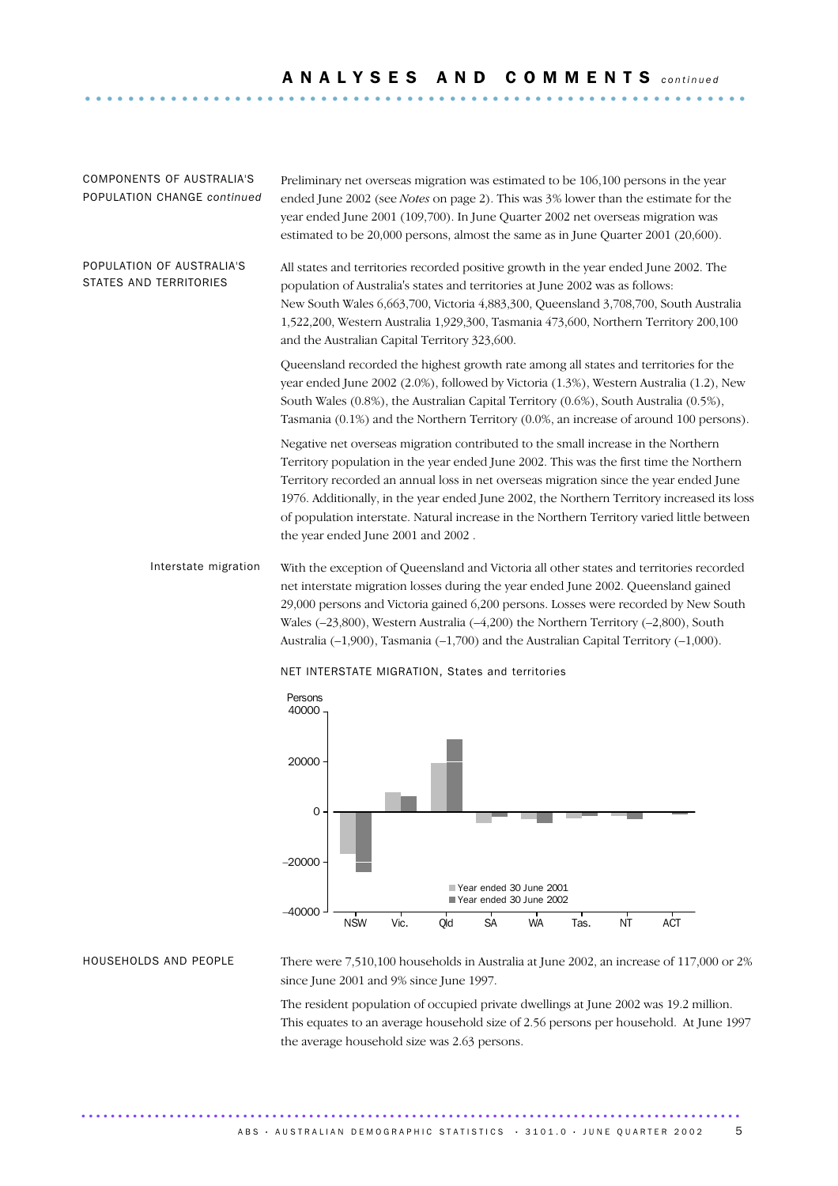COMPONENTS OF AUSTRALIA'S POPULATION CHANGE *continued*

Preliminary net overseas migration was estimated to be 106,100 persons in the year ended June 2002 (see *Notes* on page 2). This was 3% lower than the estimate for the year ended June 2001 (109,700). In June Quarter 2002 net overseas migration was estimated to be 20,000 persons, almost the same as in June Quarter 2001 (20,600).

POPULATION OF AUSTRALIA'S STATES AND TERRITORIES All states and territories recorded positive growth in the year ended June 2002. The population of Australia's states and territories at June 2002 was as follows: New South Wales 6,663,700, Victoria 4,883,300, Queensland 3,708,700, South Australia 1,522,200, Western Australia 1,929,300, Tasmania 473,600, Northern Territory 200,100 and the Australian Capital Territory 323,600.

> Queensland recorded the highest growth rate among all states and territories for the year ended June 2002 (2.0%), followed by Victoria (1.3%), Western Australia (1.2), New South Wales (0.8%), the Australian Capital Territory (0.6%), South Australia (0.5%), Tasmania (0.1%) and the Northern Territory (0.0%, an increase of around 100 persons).

Negative net overseas migration contributed to the small increase in the Northern Territory population in the year ended June 2002. This was the first time the Northern Territory recorded an annual loss in net overseas migration since the year ended June 1976. Additionally, in the year ended June 2002, the Northern Territory increased its loss of population interstate. Natural increase in the Northern Territory varied little between the year ended June 2001 and 2002 .

Interstate migration With the exception of Queensland and Victoria all other states and territories recorded net interstate migration losses during the year ended June 2002. Queensland gained 29,000 persons and Victoria gained 6,200 persons. Losses were recorded by New South Wales (–23,800), Western Australia (–4,200) the Northern Territory (–2,800), South Australia (–1,900), Tasmania (–1,700) and the Australian Capital Territory (–1,000).



NET INTERSTATE MIGRATION, States and territories

HOUSEHOLDS AND PEOPLE There were 7,510,100 households in Australia at June 2002, an increase of 117,000 or 2% since June 2001 and 9% since June 1997.

> The resident population of occupied private dwellings at June 2002 was 19.2 million. This equates to an average household size of 2.56 persons per household. At June 1997 the average household size was 2.63 persons.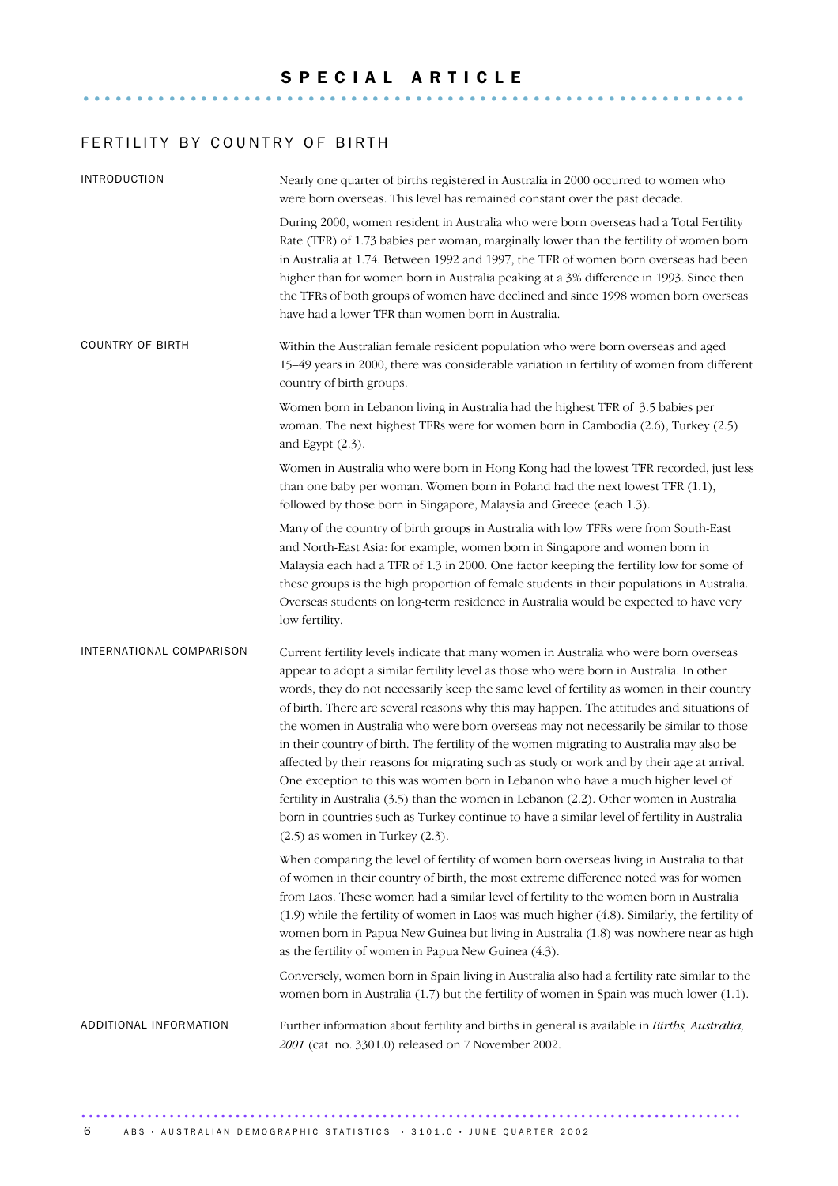### FERTILITY BY COUNTRY OF BIRTH

| <b>INTRODUCTION</b>      | Nearly one quarter of births registered in Australia in 2000 occurred to women who<br>were born overseas. This level has remained constant over the past decade.                                                                                                                                                                                                                                                                                                                                                                                                                                                                                                                                                                                                                                                                                                                                                                                                                 |
|--------------------------|----------------------------------------------------------------------------------------------------------------------------------------------------------------------------------------------------------------------------------------------------------------------------------------------------------------------------------------------------------------------------------------------------------------------------------------------------------------------------------------------------------------------------------------------------------------------------------------------------------------------------------------------------------------------------------------------------------------------------------------------------------------------------------------------------------------------------------------------------------------------------------------------------------------------------------------------------------------------------------|
|                          | During 2000, women resident in Australia who were born overseas had a Total Fertility<br>Rate (TFR) of 1.73 babies per woman, marginally lower than the fertility of women born<br>in Australia at 1.74. Between 1992 and 1997, the TFR of women born overseas had been<br>higher than for women born in Australia peaking at a 3% difference in 1993. Since then<br>the TFRs of both groups of women have declined and since 1998 women born overseas<br>have had a lower TFR than women born in Australia.                                                                                                                                                                                                                                                                                                                                                                                                                                                                     |
| COUNTRY OF BIRTH         | Within the Australian female resident population who were born overseas and aged<br>15–49 years in 2000, there was considerable variation in fertility of women from different<br>country of birth groups.                                                                                                                                                                                                                                                                                                                                                                                                                                                                                                                                                                                                                                                                                                                                                                       |
|                          | Women born in Lebanon living in Australia had the highest TFR of 3.5 babies per<br>woman. The next highest TFRs were for women born in Cambodia (2.6), Turkey (2.5)<br>and Egypt $(2.3)$ .                                                                                                                                                                                                                                                                                                                                                                                                                                                                                                                                                                                                                                                                                                                                                                                       |
|                          | Women in Australia who were born in Hong Kong had the lowest TFR recorded, just less<br>than one baby per woman. Women born in Poland had the next lowest TFR (1.1),<br>followed by those born in Singapore, Malaysia and Greece (each 1.3).                                                                                                                                                                                                                                                                                                                                                                                                                                                                                                                                                                                                                                                                                                                                     |
|                          | Many of the country of birth groups in Australia with low TFRs were from South-East<br>and North-East Asia: for example, women born in Singapore and women born in<br>Malaysia each had a TFR of 1.3 in 2000. One factor keeping the fertility low for some of<br>these groups is the high proportion of female students in their populations in Australia.<br>Overseas students on long-term residence in Australia would be expected to have very<br>low fertility.                                                                                                                                                                                                                                                                                                                                                                                                                                                                                                            |
| INTERNATIONAL COMPARISON | Current fertility levels indicate that many women in Australia who were born overseas<br>appear to adopt a similar fertility level as those who were born in Australia. In other<br>words, they do not necessarily keep the same level of fertility as women in their country<br>of birth. There are several reasons why this may happen. The attitudes and situations of<br>the women in Australia who were born overseas may not necessarily be similar to those<br>in their country of birth. The fertility of the women migrating to Australia may also be<br>affected by their reasons for migrating such as study or work and by their age at arrival.<br>One exception to this was women born in Lebanon who have a much higher level of<br>fertility in Australia (3.5) than the women in Lebanon (2.2). Other women in Australia<br>born in countries such as Turkey continue to have a similar level of fertility in Australia<br>$(2.5)$ as women in Turkey $(2.3)$ . |
|                          | When comparing the level of fertility of women born overseas living in Australia to that<br>of women in their country of birth, the most extreme difference noted was for women<br>from Laos. These women had a similar level of fertility to the women born in Australia<br>(1.9) while the fertility of women in Laos was much higher (4.8). Similarly, the fertility of<br>women born in Papua New Guinea but living in Australia (1.8) was nowhere near as high<br>as the fertility of women in Papua New Guinea (4.3).                                                                                                                                                                                                                                                                                                                                                                                                                                                      |
|                          | Conversely, women born in Spain living in Australia also had a fertility rate similar to the<br>women born in Australia (1.7) but the fertility of women in Spain was much lower (1.1).                                                                                                                                                                                                                                                                                                                                                                                                                                                                                                                                                                                                                                                                                                                                                                                          |
| ADDITIONAL INFORMATION   | Further information about fertility and births in general is available in Births, Australia,<br>2001 (cat. no. 3301.0) released on 7 November 2002.                                                                                                                                                                                                                                                                                                                                                                                                                                                                                                                                                                                                                                                                                                                                                                                                                              |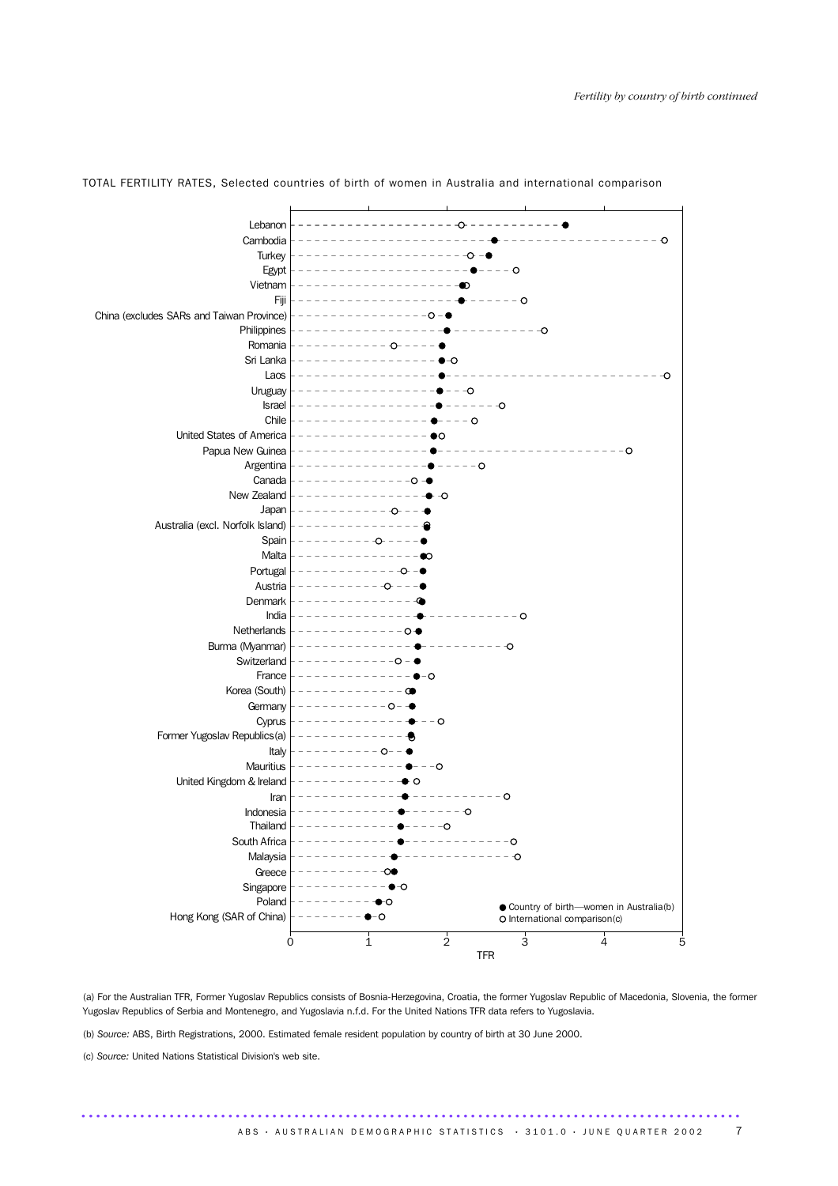

TOTAL FERTILITY RATES, Selected countries of birth of women in Australia and international comparison

(a) For the Australian TFR, Former Yugoslav Republics consists of Bosnia-Herzegovina, Croatia, the former Yugoslav Republic of Macedonia, Slovenia, the former Yugoslav Republics of Serbia and Montenegro, and Yugoslavia n.f.d. For the United Nations TFR data refers to Yugoslavia.

..........................................................................................

(b) *Source:* ABS, Birth Registrations, 2000. Estimated female resident population by country of birth at 30 June 2000.

(c) *Source:* United Nations Statistical Division's web site.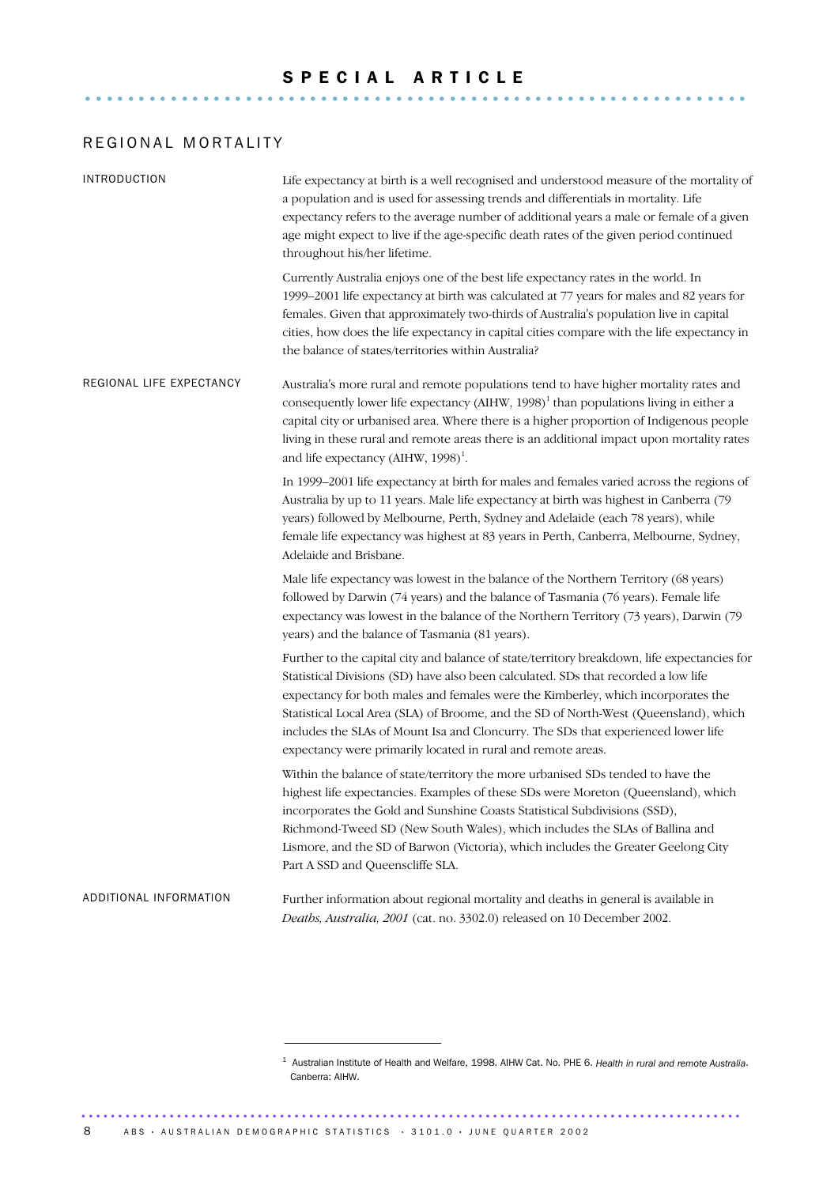### S P E C I A L A R T I C L E ..............................................................

### REGIONAL MORTALITY

| <b>INTRODUCTION</b>      | Life expectancy at birth is a well recognised and understood measure of the mortality of<br>a population and is used for assessing trends and differentials in mortality. Life<br>expectancy refers to the average number of additional years a male or female of a given<br>age might expect to live if the age-specific death rates of the given period continued<br>throughout his/her lifetime.                                                                                                                |
|--------------------------|--------------------------------------------------------------------------------------------------------------------------------------------------------------------------------------------------------------------------------------------------------------------------------------------------------------------------------------------------------------------------------------------------------------------------------------------------------------------------------------------------------------------|
|                          | Currently Australia enjoys one of the best life expectancy rates in the world. In<br>1999-2001 life expectancy at birth was calculated at 77 years for males and 82 years for<br>females. Given that approximately two-thirds of Australia's population live in capital<br>cities, how does the life expectancy in capital cities compare with the life expectancy in<br>the balance of states/territories within Australia?                                                                                       |
| REGIONAL LIFE EXPECTANCY | Australia's more rural and remote populations tend to have higher mortality rates and<br>consequently lower life expectancy (AIHW, 1998) <sup>1</sup> than populations living in either a<br>capital city or urbanised area. Where there is a higher proportion of Indigenous people<br>living in these rural and remote areas there is an additional impact upon mortality rates<br>and life expectancy (AIHW, 1998) <sup>1</sup> .                                                                               |
|                          | In 1999–2001 life expectancy at birth for males and females varied across the regions of<br>Australia by up to 11 years. Male life expectancy at birth was highest in Canberra (79<br>years) followed by Melbourne, Perth, Sydney and Adelaide (each 78 years), while<br>female life expectancy was highest at 83 years in Perth, Canberra, Melbourne, Sydney,<br>Adelaide and Brisbane.                                                                                                                           |
|                          | Male life expectancy was lowest in the balance of the Northern Territory (68 years)<br>followed by Darwin (74 years) and the balance of Tasmania (76 years). Female life<br>expectancy was lowest in the balance of the Northern Territory (73 years), Darwin (79<br>years) and the balance of Tasmania (81 years).                                                                                                                                                                                                |
|                          | Further to the capital city and balance of state/territory breakdown, life expectancies for<br>Statistical Divisions (SD) have also been calculated. SDs that recorded a low life<br>expectancy for both males and females were the Kimberley, which incorporates the<br>Statistical Local Area (SLA) of Broome, and the SD of North-West (Queensland), which<br>includes the SLAs of Mount Isa and Cloncurry. The SDs that experienced lower life<br>expectancy were primarily located in rural and remote areas. |
|                          | Within the balance of state/territory the more urbanised SDs tended to have the<br>highest life expectancies. Examples of these SDs were Moreton (Queensland), which<br>incorporates the Gold and Sunshine Coasts Statistical Subdivisions (SSD),<br>Richmond-Tweed SD (New South Wales), which includes the SLAs of Ballina and<br>Lismore, and the SD of Barwon (Victoria), which includes the Greater Geelong City<br>Part A SSD and Queenscliffe SLA.                                                          |
| ADDITIONAL INFORMATION   | Further information about regional mortality and deaths in general is available in<br>Deaths, Australia, 2001 (cat. no. 3302.0) released on 10 December 2002.                                                                                                                                                                                                                                                                                                                                                      |

<sup>1</sup> Australian Institute of Health and Welfare, 1998. AIHW Cat. No. PHE 6. *Health in rural and remote Australia*. Canberra: AIHW.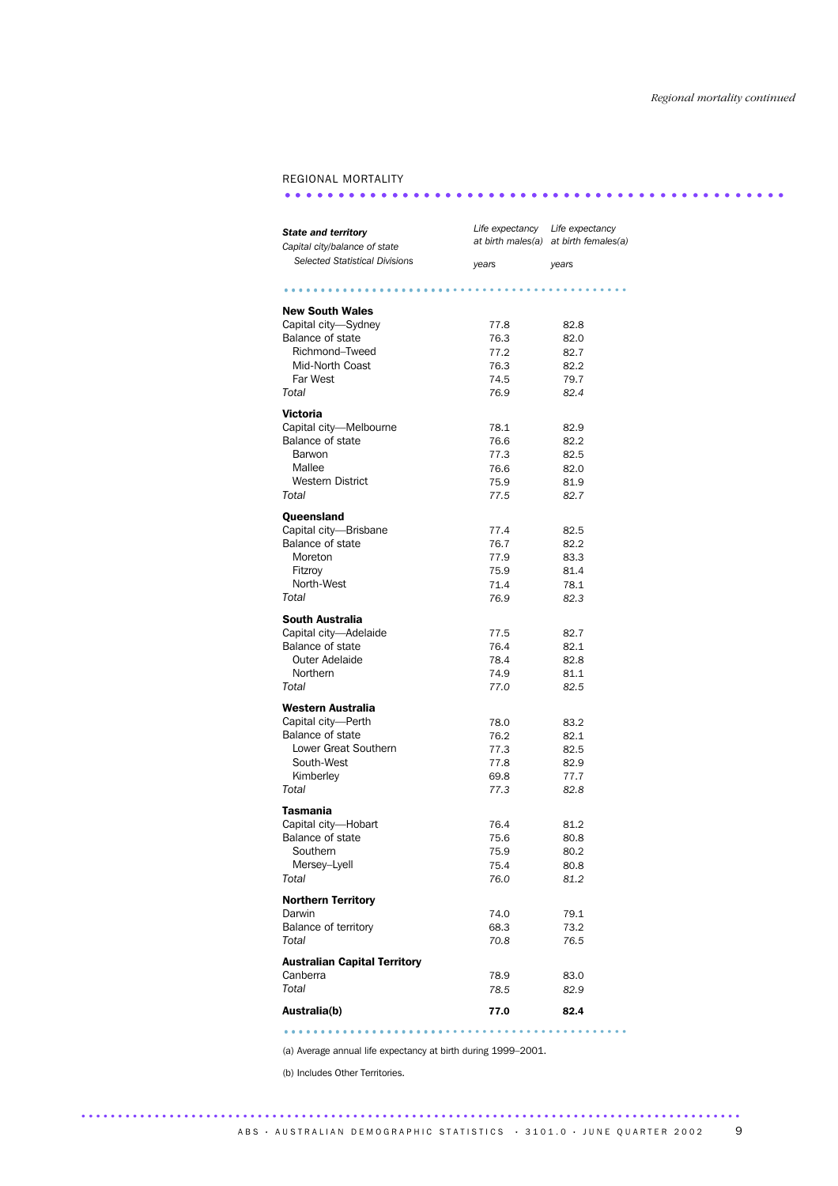### REGIONAL MORTALITY

### ............................................... ...............................

| <b>State and territory</b><br>Capital city/balance of state | Life expectancy Life expectancy | at birth males(a) at birth females(a) |  |  |
|-------------------------------------------------------------|---------------------------------|---------------------------------------|--|--|
| <b>Selected Statistical Divisions</b>                       | years                           | years                                 |  |  |
|                                                             |                                 |                                       |  |  |
| <b>New South Wales</b>                                      |                                 |                                       |  |  |
| Capital city-Sydney                                         | 77.8                            | 82.8                                  |  |  |
| Balance of state                                            | 76.3                            | 82.0                                  |  |  |
| Richmond-Tweed                                              | 77.2                            | 82.7                                  |  |  |
| Mid-North Coast                                             | 76.3                            | 82.2                                  |  |  |
| Far West                                                    | 74.5                            | 79.7                                  |  |  |
| Total                                                       | 76.9                            | 82.4                                  |  |  |
| <b>Victoria</b>                                             |                                 |                                       |  |  |
| Capital city-Melbourne                                      | 78.1                            | 82.9                                  |  |  |
| Balance of state                                            | 76.6                            | 82.2                                  |  |  |
| Barwon                                                      | 77.3                            | 82.5                                  |  |  |
| Mallee                                                      | 76.6                            | 82.0                                  |  |  |
| <b>Western District</b>                                     | 75.9                            | 81.9                                  |  |  |
| Total                                                       | 77.5                            | 82.7                                  |  |  |
| Queensland                                                  |                                 |                                       |  |  |
| Capital city-Brisbane                                       | 77.4                            | 82.5                                  |  |  |
| Balance of state                                            | 76.7                            | 82.2                                  |  |  |
| Moreton                                                     | 77.9                            | 83.3                                  |  |  |
| Fitzroy                                                     | 75.9                            | 81.4                                  |  |  |
| North-West                                                  | 71.4                            | 78.1                                  |  |  |
| Total                                                       | 76.9                            | 82.3                                  |  |  |
| South Australia                                             |                                 |                                       |  |  |
| Capital city-Adelaide                                       | 77.5                            | 82.7                                  |  |  |
| Balance of state                                            | 76.4                            | 82.1                                  |  |  |
| <b>Outer Adelaide</b>                                       | 78.4                            | 82.8                                  |  |  |
| Northern                                                    | 74.9                            | 81.1                                  |  |  |
| Total                                                       | 77.0                            | 82.5                                  |  |  |
| Western Australia                                           |                                 |                                       |  |  |
| Capital city-Perth                                          | 78.0                            | 83.2                                  |  |  |
| Balance of state                                            | 76.2                            | 82.1                                  |  |  |
| Lower Great Southern                                        | 77.3                            | 82.5                                  |  |  |
| South-West                                                  | 77.8                            | 82.9                                  |  |  |
| Kimberley                                                   | 69.8                            | 77.7                                  |  |  |
| Total                                                       | 77.3                            | 82.8                                  |  |  |
| <b>Tasmania</b>                                             |                                 |                                       |  |  |
| Capital city-Hobart                                         | 76.4                            | 81.2                                  |  |  |
| Balance of state                                            | 75.6                            | 80.8                                  |  |  |
| Southern                                                    | 75.9                            | 80.2                                  |  |  |
| Mersey-Lyell                                                | 75.4                            | 80.8                                  |  |  |
| Total                                                       | 76.0                            | 81.2                                  |  |  |
| <b>Northern Territory</b>                                   |                                 |                                       |  |  |
| Darwin                                                      | 74.0                            | 79.1                                  |  |  |
| Balance of territory                                        | 68.3                            | 73.2                                  |  |  |
| Total                                                       | 70.8                            | 76.5                                  |  |  |
|                                                             |                                 |                                       |  |  |
| <b>Australian Capital Territory</b>                         |                                 |                                       |  |  |
| Canberra                                                    | 78.9                            | 83.0                                  |  |  |
| Total                                                       | 78.5                            | 82.9                                  |  |  |
| Australia(b)                                                | 77.0                            | 82.4                                  |  |  |

(a) Average annual life expectancy at birth during 1999–2001.

..........................................................................................

............................................... ......................

(b) Includes Other Territories.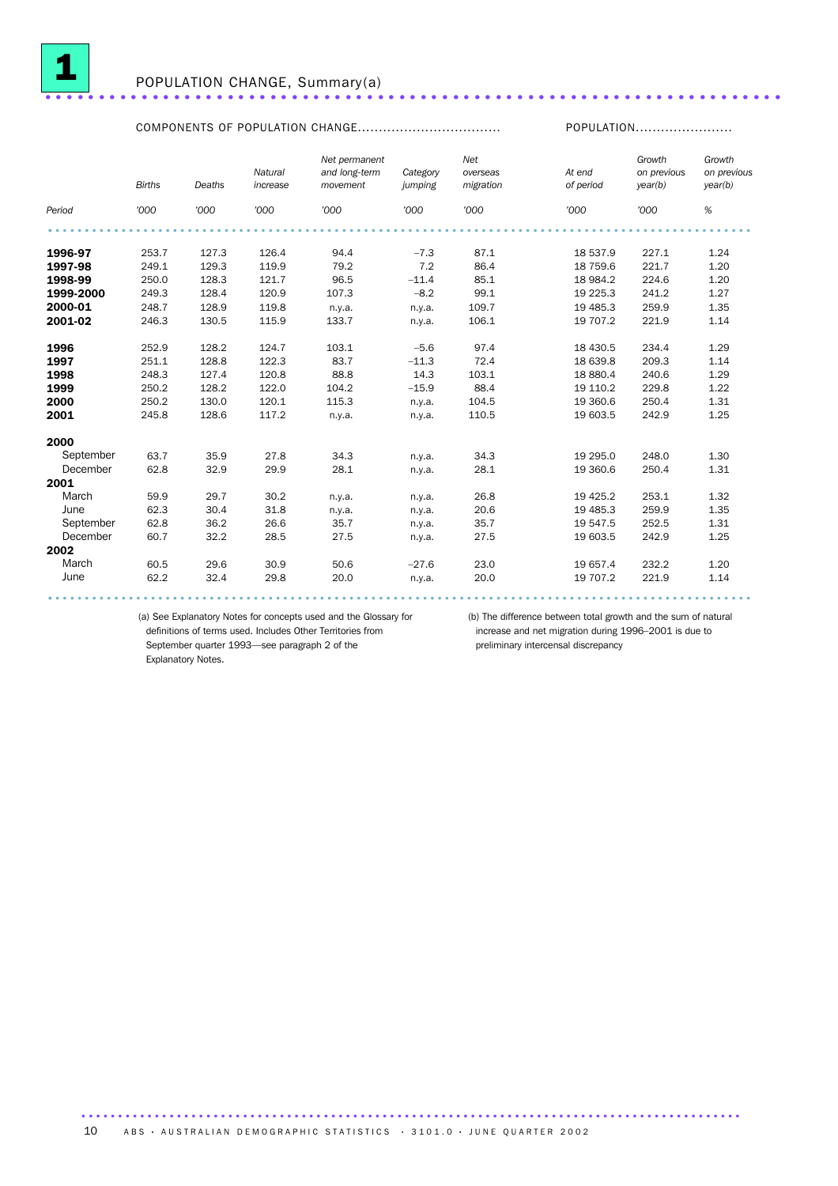

## <sup>1</sup> POPULATION CHANGE, Summary(a) .....................................................................

### COMPONENTS OF POPULATION CHANGE.................................. POPULATION.......................

|           | <b>Births</b> | Deaths | Natural<br>increase | Net permanent<br>and long-term<br>movement | Category<br>jumping | Net<br>overseas<br>migration | At end<br>of period | Growth<br>on previous<br>year(b) | Growth<br>on previous<br>year(b) |
|-----------|---------------|--------|---------------------|--------------------------------------------|---------------------|------------------------------|---------------------|----------------------------------|----------------------------------|
| Period    | '000          | '000   | '000                | '000                                       | '000                | '000                         | '000                | '000                             | $\%$                             |
|           |               |        |                     |                                            |                     |                              |                     |                                  |                                  |
| 1996-97   | 253.7         | 127.3  | 126.4               | 94.4                                       | $-7.3$              | 87.1                         | 18 537.9            | 227.1                            | 1.24                             |
| 1997-98   | 249.1         | 129.3  | 119.9               | 79.2                                       | 7.2                 | 86.4                         | 18 759.6            | 221.7                            | 1.20                             |
| 1998-99   | 250.0         | 128.3  | 121.7               | 96.5                                       | $-11.4$             | 85.1                         | 18 984.2            | 224.6                            | 1.20                             |
| 1999-2000 | 249.3         | 128.4  | 120.9               | 107.3                                      | $-8.2$              | 99.1                         | 19 2 25.3           | 241.2                            | 1.27                             |
| 2000-01   | 248.7         | 128.9  | 119.8               | n.y.a.                                     | n.y.a.              | 109.7                        | 19 485.3            | 259.9                            | 1.35                             |
| 2001-02   | 246.3         | 130.5  | 115.9               | 133.7                                      | n.y.a.              | 106.1                        | 19 707.2            | 221.9                            | 1.14                             |
| 1996      | 252.9         | 128.2  | 124.7               | 103.1                                      | $-5.6$              | 97.4                         | 18 430.5            | 234.4                            | 1.29                             |
| 1997      | 251.1         | 128.8  | 122.3               | 83.7                                       | $-11.3$             | 72.4                         | 18 639.8            | 209.3                            | 1.14                             |
| 1998      | 248.3         | 127.4  | 120.8               | 88.8                                       | 14.3                | 103.1                        | 18 880.4            | 240.6                            | 1.29                             |
| 1999      | 250.2         | 128.2  | 122.0               | 104.2                                      | $-15.9$             | 88.4                         | 19 110.2            | 229.8                            | 1.22                             |
| 2000      | 250.2         | 130.0  | 120.1               | 115.3                                      | n.y.a.              | 104.5                        | 19 360.6            | 250.4                            | 1.31                             |
| 2001      | 245.8         | 128.6  | 117.2               | n.y.a.                                     | n.y.a.              | 110.5                        | 19 603.5            | 242.9                            | 1.25                             |
| 2000      |               |        |                     |                                            |                     |                              |                     |                                  |                                  |
| September | 63.7          | 35.9   | 27.8                | 34.3                                       | n.y.a.              | 34.3                         | 19 295.0            | 248.0                            | 1.30                             |
| December  | 62.8          | 32.9   | 29.9                | 28.1                                       | n.y.a.              | 28.1                         | 19 360.6            | 250.4                            | 1.31                             |
| 2001      |               |        |                     |                                            |                     |                              |                     |                                  |                                  |
| March     | 59.9          | 29.7   | 30.2                | n.y.a.                                     | n.y.a.              | 26.8                         | 19 4 25.2           | 253.1                            | 1.32                             |
| June      | 62.3          | 30.4   | 31.8                | n.y.a.                                     | n.y.a.              | 20.6                         | 19 4 85.3           | 259.9                            | 1.35                             |
| September | 62.8          | 36.2   | 26.6                | 35.7                                       | n.y.a.              | 35.7                         | 19 547.5            | 252.5                            | 1.31                             |
| December  | 60.7          | 32.2   | 28.5                | 27.5                                       | n.v.a.              | 27.5                         | 19 603.5            | 242.9                            | 1.25                             |
| 2002      |               |        |                     |                                            |                     |                              |                     |                                  |                                  |
| March     | 60.5          | 29.6   | 30.9                | 50.6                                       | $-27.6$             | 23.0                         | 19 657.4            | 232.2                            | 1.20                             |
| June      | 62.2          | 32.4   | 29.8                | 20.0                                       | n.y.a.              | 20.0                         | 19 707.2            | 221.9                            | 1.14                             |
|           |               |        |                     |                                            |                     |                              |                     |                                  |                                  |

(a) See Explanatory Notes for concepts used and the Glossary for (b) The difference between total growth and the sum of natural definitions of terms used. Includes Other Territories from September quarter 1993—see paragraph 2 of the Explanatory Notes.

increase and net migration during 1996–2001 is due to preliminary intercensal discrepancy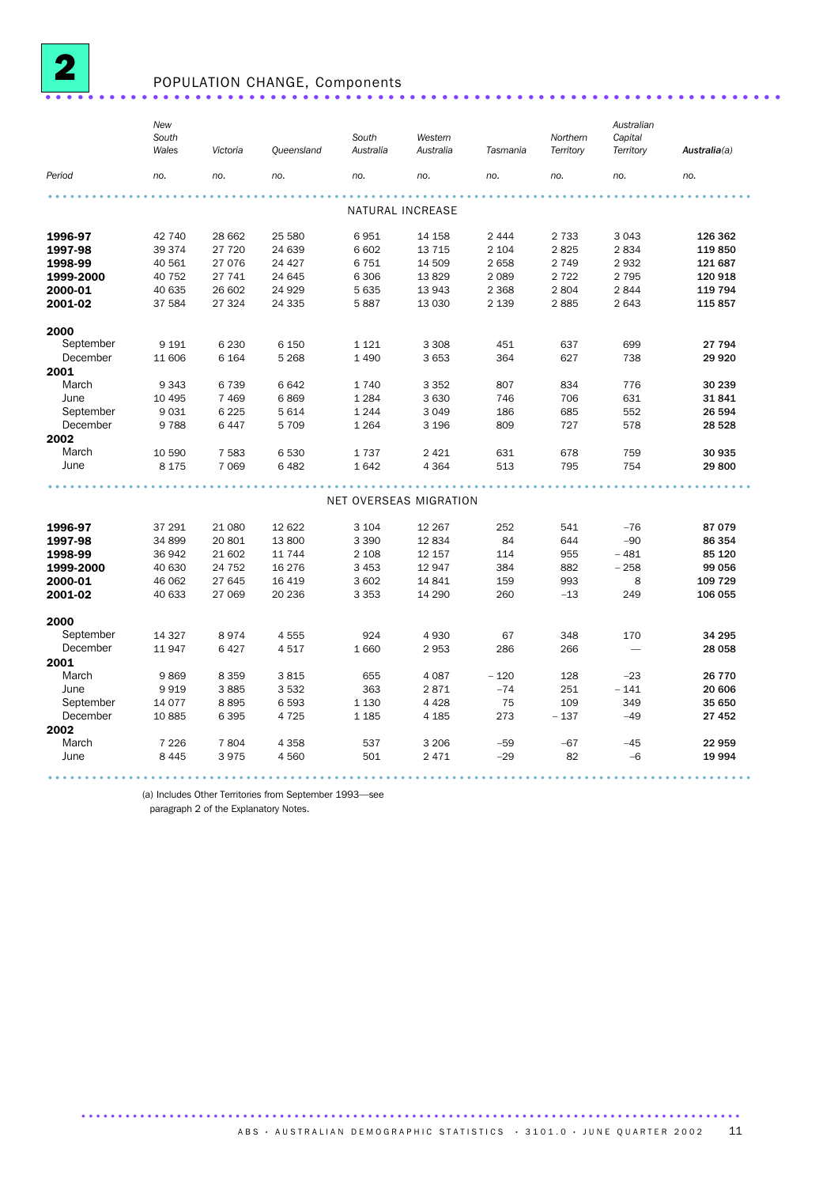

## POPULATION CHANGE, Components .....................................................................

|           | New<br>South<br>Wales | Victoria | Queensland | South<br>Australia | Western<br>Australia   | Tasmania | Northern<br>Territory | Australian<br>Capital<br>Territory | Australia(a) |
|-----------|-----------------------|----------|------------|--------------------|------------------------|----------|-----------------------|------------------------------------|--------------|
| Period    | no.                   | no.      | no.        | no.                | no.                    | no.      | no.                   | no.                                | no.          |
|           |                       |          |            |                    |                        |          |                       |                                    |              |
|           |                       |          |            |                    | NATURAL INCREASE       |          |                       |                                    |              |
| 1996-97   | 42 740                | 28 662   | 25 580     | 6951               | 14 158                 | 2 4 4 4  | 2 7 3 3               | 3 0 4 3                            | 126 362      |
| 1997-98   | 39 374                | 27 720   | 24 639     | 6 602              | 13 7 15                | 2 1 0 4  | 2825                  | 2834                               | 119850       |
| 1998-99   | 40 561                | 27 076   | 24 4 27    | 6 7 5 1            | 14 509                 | 2658     | 2 7 4 9               | 2932                               | 121 687      |
| 1999-2000 | 40 752                | 27 741   | 24 645     | 6 3 0 6            | 13829                  | 2 0 8 9  | 2 7 2 2               | 2 7 9 5                            | 120 918      |
| 2000-01   | 40 635                | 26 602   | 24 9 29    | 5 6 3 5            | 13 943                 | 2 3 6 8  | 2804                  | 2844                               | 119 794      |
| 2001-02   | 37 584                | 27 324   | 24 3 35    | 5887               | 13 0 30                | 2 1 3 9  | 2885                  | 2 6 4 3                            | 115 857      |
| 2000      |                       |          |            |                    |                        |          |                       |                                    |              |
| September | 9 1 9 1               | 6 2 3 0  | 6 150      | 1 1 2 1            | 3 3 0 8                | 451      | 637                   | 699                                | 27 794       |
| December  | 11 606                | 6 1 6 4  | 5 2 6 8    | 1 4 9 0            | 3 6 5 3                | 364      | 627                   | 738                                | 29 9 20      |
| 2001      |                       |          |            |                    |                        |          |                       |                                    |              |
| March     | 9 3 4 3               | 6739     | 6642       | 1740               | 3 3 5 2                | 807      | 834                   | 776                                | 30 239       |
| June      | 10 4 95               | 7 4 6 9  | 6869       | 1 2 8 4            | 3 6 3 0                | 746      | 706                   | 631                                | 31841        |
| September | 9031                  | 6 2 2 5  | 5614       | 1 2 4 4            | 3 0 4 9                | 186      | 685                   | 552                                | 26 594       |
| December  | 9788                  | 6447     | 5709       | 1 2 6 4            | 3 1 9 6                | 809      | 727                   | 578                                | 28 5 28      |
| 2002      |                       |          |            |                    |                        |          |                       |                                    |              |
| March     | 10 590                | 7 5 8 3  | 6530       | 1737               | 2 4 2 1                | 631      | 678                   | 759                                | 30 935       |
| June      | 8 1 7 5               | 7 0 6 9  | 6482       | 1642               | 4 3 6 4                | 513      | 795                   | 754                                | 29800        |
|           |                       |          |            |                    |                        |          |                       |                                    |              |
|           |                       |          |            |                    | NET OVERSEAS MIGRATION |          |                       |                                    |              |
| 1996-97   | 37 291                | 21 080   | 12 6 22    | 3 1 0 4            | 12 267                 | 252      | 541                   | $-76$                              | 87079        |
| 1997-98   | 34 899                | 20801    | 13800      | 3 3 9 0            | 12834                  | 84       | 644                   | $-90$                              | 86 354       |
| 1998-99   | 36 942                | 21 602   | 11 7 4 4   | 2 1 0 8            | 12 157                 | 114      | 955                   | $-481$                             | 85 120       |
| 1999-2000 | 40 630                | 24 752   | 16 276     | 3 4 5 3            | 12 947                 | 384      | 882                   | $-258$                             | 99 056       |
| 2000-01   | 46 062                | 27 645   | 16 4 19    | 3 602              | 14 841                 | 159      | 993                   | 8                                  | 109 729      |
| 2001-02   | 40 633                | 27 069   | 20 236     | 3 3 5 3            | 14 290                 | 260      | $-13$                 | 249                                | 106 055      |
| 2000      |                       |          |            |                    |                        |          |                       |                                    |              |
| September | 14 3 27               | 8974     | 4555       | 924                | 4930                   | 67       | 348                   | 170                                | 34 295       |
| December  | 11947                 | 6427     | 4517       | 1 6 6 0            | 2953                   | 286      | 266                   |                                    | 28 058       |
| 2001      |                       |          |            |                    |                        |          |                       |                                    |              |
| March     | 9869                  | 8 3 5 9  | 3815       | 655                | 4 0 8 7                | $-120$   | 128                   | $-23$                              | 26 770       |
| June      | 9919                  | 3885     | 3532       | 363                | 2871                   | $-74$    | 251                   | $-141$                             | 20 606       |
| September | 14 0 77               | 8895     | 6593       | 1 1 3 0            | 4 4 2 8                | 75       | 109                   | 349                                | 35 650       |
| December  | 10885                 | 6395     | 4725       | 1 1 8 5            | 4 1 8 5                | 273      | $-137$                | $-49$                              | 27 452       |
| 2002      |                       |          |            |                    |                        |          |                       |                                    |              |
| March     | 7 2 2 6               | 7804     | 4 3 5 8    | 537                | 3 2 0 6                | $-59$    | $-67$                 | $-45$                              | 22 959       |
| June      | 8 4 4 5               | 3975     | 4560       | 501                | 2 4 7 1                | $-29$    | 82                    | $-6$                               | 19 994       |
|           |                       |          |            |                    |                        |          |                       |                                    |              |

(a) Includes Other Territories from September 1993—see

paragraph 2 of the Explanatory Notes.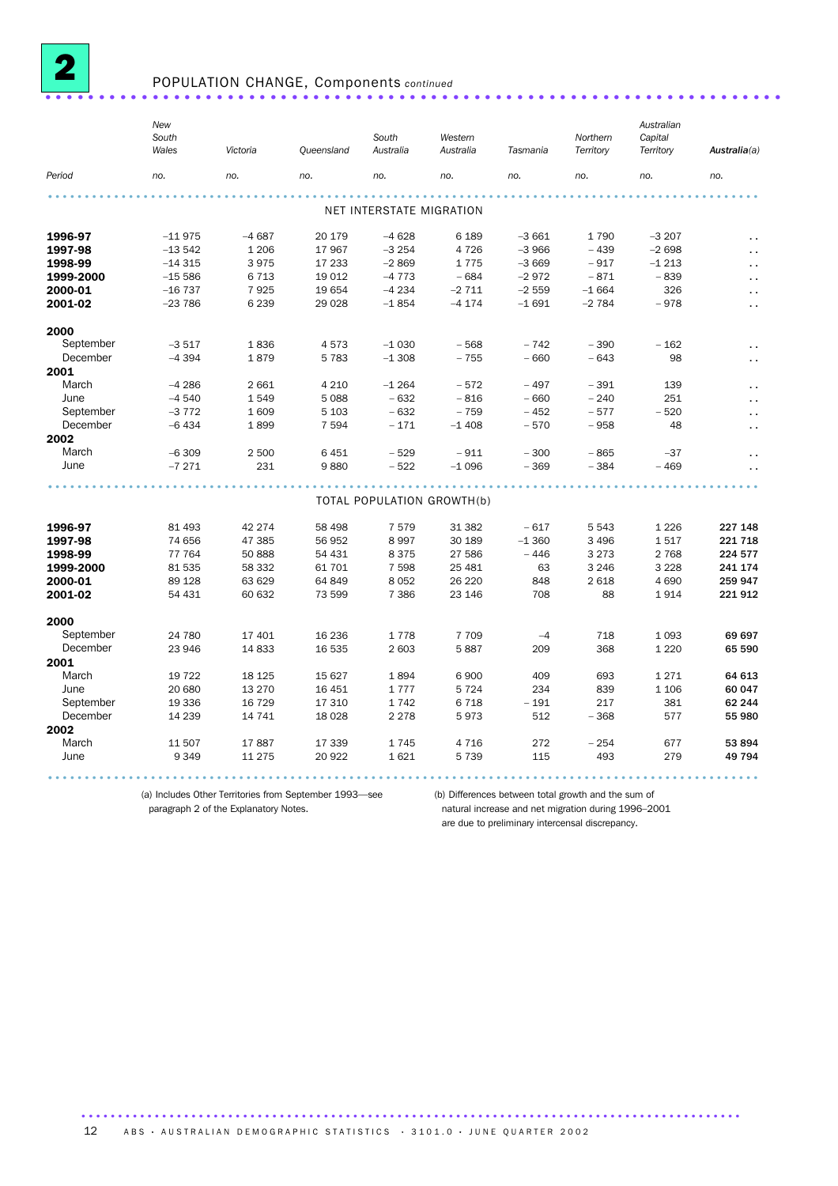

### POPULATION CHANGE, Components *continued* .....................................................................

|           | New<br>South<br>Wales | Victoria | <b>Queensland</b> | South<br>Australia       | Western<br>Australia       | Tasmania | Northern<br>Territory | Australian<br>Capital<br>Territory | Australia(a)           |
|-----------|-----------------------|----------|-------------------|--------------------------|----------------------------|----------|-----------------------|------------------------------------|------------------------|
| Period    | no.                   | no.      | no.               | no.                      | no.                        | no.      | no.                   | no.                                | no.                    |
|           |                       |          |                   |                          |                            |          |                       |                                    |                        |
|           |                       |          |                   | NET INTERSTATE MIGRATION |                            |          |                       |                                    |                        |
| 1996-97   | $-11975$              | $-4687$  | 20 179            | $-4628$                  | 6 1 8 9                    | $-3661$  | 1790                  | $-3207$                            |                        |
| 1997-98   | $-13542$              | 1 2 0 6  | 17 967            | $-3254$                  | 4 7 2 6                    | $-3966$  | $-439$                | $-2698$                            | $\ddot{\phantom{a}}$   |
| 1998-99   | $-14315$              | 3975     | 17 233            | $-2869$                  | 1775                       | $-3669$  | $-917$                | $-1213$                            | $\ddot{\phantom{a}}$   |
| 1999-2000 | $-15586$              | 6713     | 19 012            | $-4773$                  | $-684$                     | $-2972$  | $-871$                | $-839$                             | $\ddot{\phantom{a}}$   |
| 2000-01   | $-16737$              | 7925     | 19 654            | $-4234$                  | $-2711$                    | $-2559$  | $-1664$               | 326                                | $\epsilon$ .           |
| 2001-02   | $-23786$              | 6 2 3 9  | 29 0 28           | $-1854$                  | $-4174$                    | $-1691$  | $-2784$               | $-978$                             | $\ddot{\phantom{0}}$   |
| 2000      |                       |          |                   |                          |                            |          |                       |                                    |                        |
| September | $-3517$               | 1836     | 4573              | $-1030$                  | $-568$                     | $-742$   | $-390$                | $-162$                             | $\ddotsc$              |
| December  | $-4394$               | 1879     | 5 7 8 3           | $-1308$                  | $-755$                     | $-660$   | $-643$                | 98                                 | $\epsilon$ .           |
| 2001      |                       |          |                   |                          |                            |          |                       |                                    |                        |
| March     | $-4286$               | 2 6 6 1  | 4 2 1 0           | $-1264$                  | $-572$                     | $-497$   | $-391$                | 139                                | $\ddot{\phantom{0}}$   |
| June      | $-4540$               | 1549     | 5 0 8 8           | $-632$                   | $-816$                     | $-660$   | $-240$                | 251                                | $\ddot{\phantom{0}}$   |
| September | $-3772$               | 1609     | 5 1 0 3           | $-632$                   | $-759$                     | $-452$   | $-577$                | $-520$                             | $\ddot{\phantom{0}}$   |
| December  | $-6434$               | 1899     | 7 5 9 4           | $-171$                   | $-1408$                    | $-570$   | $-958$                | 48                                 | $\ddot{\phantom{1}}$ . |
| 2002      |                       |          |                   |                          |                            |          |                       |                                    |                        |
| March     | $-6309$               | 2 500    | 6 4 5 1           | $-529$                   | $-911$                     | $-300$   | $-865$                | $-37$                              | . .                    |
| June      | $-7271$               | 231      | 9880              | $-522$                   | $-1096$                    | $-369$   | $-384$                | $-469$                             | $\ddot{\phantom{0}}$   |
|           |                       |          |                   |                          |                            |          |                       |                                    |                        |
|           |                       |          |                   |                          | TOTAL POPULATION GROWTH(b) |          |                       |                                    |                        |
| 1996-97   | 81 493                | 42 274   | 58 498            | 7579                     | 31 382                     | $-617$   | 5543                  | 1 2 2 6                            | 227 148                |
| 1997-98   | 74 656                | 47 385   | 56 952            | 8 9 9 7                  | 30 189                     | $-1360$  | 3 4 9 6               | 1517                               | 221 718                |
| 1998-99   | 77 764                | 50 888   | 54 431            | 8 3 7 5                  | 27 586                     | $-446$   | 3 2 7 3               | 2 7 6 8                            | 224 577                |
| 1999-2000 | 81 535                | 58 332   | 61 701            | 7 5 9 8                  | 25 4 8 1                   | 63       | 3 2 4 6               | 3 2 2 8                            | 241 174                |
| 2000-01   | 89 1 28               | 63 629   | 64 849            | 8 0 5 2                  | 26 220                     | 848      | 2618                  | 4 6 9 0                            | 259 947                |
| 2001-02   | 54 431                | 60 632   | 73 599            | 7 3 8 6                  | 23 146                     | 708      | 88                    | 1914                               | 221912                 |
| 2000      |                       |          |                   |                          |                            |          |                       |                                    |                        |
| September | 24 780                | 17 401   | 16 236            | 1778                     | 7 7 0 9                    | $-4$     | 718                   | 1 0 9 3                            | 69 697                 |
| December  | 23 946                | 14 8 33  | 16 535            | 2 603                    | 5887                       | 209      | 368                   | 1 2 2 0                            | 65 590                 |
| 2001      |                       |          |                   |                          |                            |          |                       |                                    |                        |
| March     | 19 7 22               | 18 1 25  | 15 627            | 1894                     | 6900                       | 409      | 693                   | 1271                               | 64 613                 |
| June      | 20 680                | 13 2 70  | 16 451            | 1777                     | 5 7 2 4                    | 234      | 839                   | 1 1 0 6                            | 60 047                 |
| September | 19 336                | 16 7 29  | 17 310            | 1742                     | 6718                       | $-191$   | 217                   | 381                                | 62 244                 |
| December  | 14 239                | 14 741   | 18 0 28           | 2 2 7 8                  | 5973                       | 512      | $-368$                | 577                                | 55 980                 |
| 2002      |                       |          |                   |                          |                            |          |                       |                                    |                        |
| March     | 11 507                | 17887    | 17 339            | 1745                     | 4716                       | 272      | $-254$                | 677                                | 53 894                 |
| June      | 9 3 4 9               | 11 2 7 5 | 20 922            | 1621                     | 5739                       | 115      | 493                   | 279                                | 49 794                 |
|           |                       |          |                   |                          |                            |          |                       |                                    |                        |

(a) Includes Other Territories from September 1993—see (b) Differences between total growth and the sum of

natural increase and net migration during 1996–2001 are due to preliminary intercensal discrepancy.

paragraph 2 of the Explanatory Notes.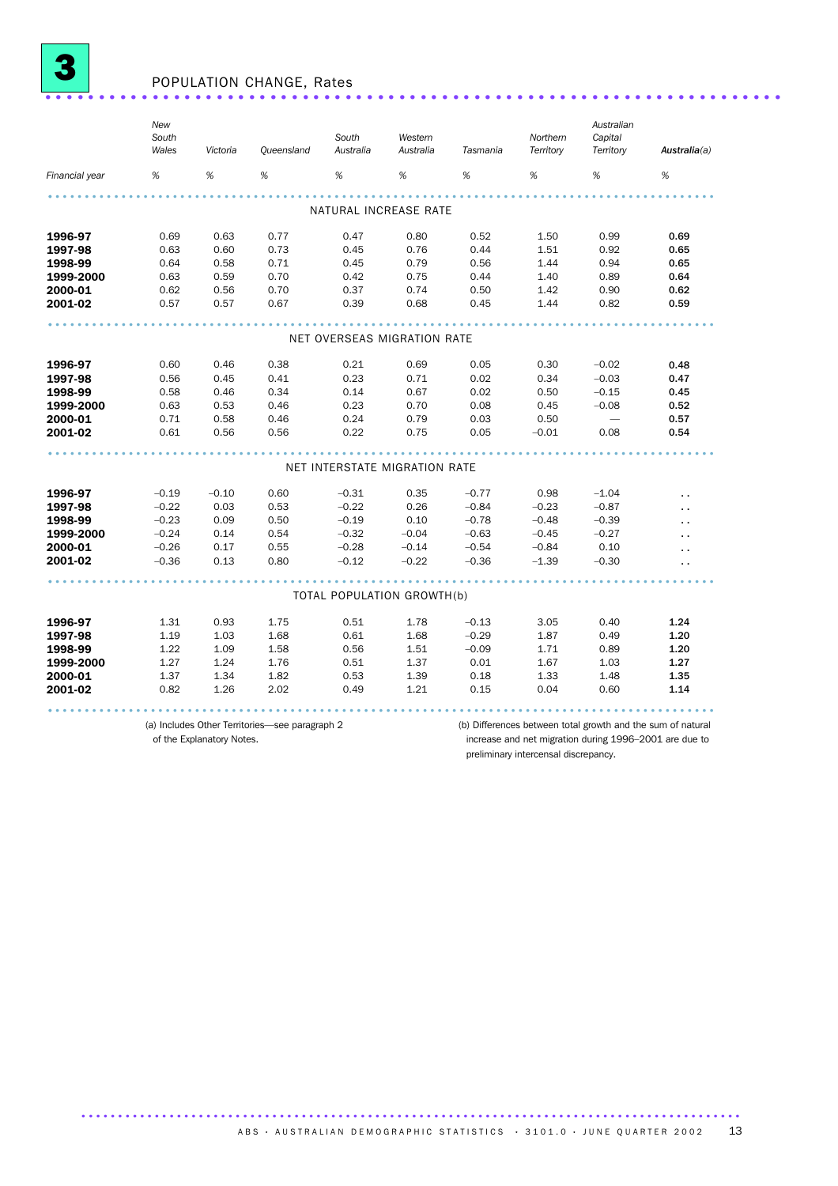

## <sup>3</sup> POPULATION CHANGE, Rates .....................................................................

|                             | New<br>South<br>Wales | Victoria | Queensland                                     | South<br>Australia | Western<br>Australia          | Tasmania | Northern<br>Territory                                       | Australian<br>Capital<br>Territory | Australia(a)         |  |  |
|-----------------------------|-----------------------|----------|------------------------------------------------|--------------------|-------------------------------|----------|-------------------------------------------------------------|------------------------------------|----------------------|--|--|
| Financial year              | %                     | %        | %                                              | %                  | %                             | %        | %                                                           | %                                  | %                    |  |  |
| NATURAL INCREASE RATE       |                       |          |                                                |                    |                               |          |                                                             |                                    |                      |  |  |
|                             |                       |          |                                                |                    |                               |          |                                                             |                                    |                      |  |  |
| 1996-97                     | 0.69                  | 0.63     | 0.77                                           | 0.47               | 0.80                          | 0.52     | 1.50                                                        | 0.99                               | 0.69                 |  |  |
| 1997-98                     | 0.63                  | 0.60     | 0.73                                           | 0.45               | 0.76                          | 0.44     | 1.51                                                        | 0.92                               | 0.65                 |  |  |
| 1998-99                     | 0.64                  | 0.58     | 0.71                                           | 0.45               | 0.79                          | 0.56     | 1.44                                                        | 0.94                               | 0.65                 |  |  |
| 1999-2000                   | 0.63                  | 0.59     | 0.70                                           | 0.42               | 0.75                          | 0.44     | 1.40                                                        | 0.89                               | 0.64                 |  |  |
| 2000-01                     | 0.62                  | 0.56     | 0.70                                           | 0.37               | 0.74                          | 0.50     | 1.42                                                        | 0.90                               | 0.62                 |  |  |
| 2001-02                     | 0.57                  | 0.57     | 0.67                                           | 0.39               | 0.68                          | 0.45     | 1.44                                                        | 0.82                               | 0.59                 |  |  |
| NET OVERSEAS MIGRATION RATE |                       |          |                                                |                    |                               |          |                                                             |                                    |                      |  |  |
|                             |                       |          |                                                |                    |                               |          |                                                             |                                    |                      |  |  |
| 1996-97                     | 0.60                  | 0.46     | 0.38                                           | 0.21               | 0.69                          | 0.05     | 0.30                                                        | $-0.02$                            | 0.48                 |  |  |
| 1997-98                     | 0.56                  | 0.45     | 0.41                                           | 0.23               | 0.71                          | 0.02     | 0.34                                                        | $-0.03$                            | 0.47                 |  |  |
| 1998-99                     | 0.58                  | 0.46     | 0.34                                           | 0.14               | 0.67                          | 0.02     | 0.50                                                        | $-0.15$                            | 0.45                 |  |  |
| 1999-2000                   | 0.63                  | 0.53     | 0.46                                           | 0.23               | 0.70                          | 0.08     | 0.45                                                        | $-0.08$                            | 0.52                 |  |  |
| 2000-01                     | 0.71                  | 0.58     | 0.46                                           | 0.24               | 0.79                          | 0.03     | 0.50                                                        |                                    | 0.57                 |  |  |
| 2001-02                     | 0.61                  | 0.56     | 0.56                                           | 0.22               | 0.75                          | 0.05     | $-0.01$                                                     | 0.08                               | 0.54                 |  |  |
|                             |                       |          |                                                |                    | NET INTERSTATE MIGRATION RATE |          |                                                             |                                    |                      |  |  |
|                             |                       |          |                                                |                    |                               |          |                                                             |                                    |                      |  |  |
| 1996-97                     | $-0.19$               | $-0.10$  | 0.60                                           | $-0.31$            | 0.35                          | $-0.77$  | 0.98                                                        | $-1.04$                            | $\ddot{\phantom{0}}$ |  |  |
| 1997-98                     | $-0.22$               | 0.03     | 0.53                                           | $-0.22$            | 0.26                          | $-0.84$  | $-0.23$                                                     | $-0.87$                            | $\ddot{\phantom{a}}$ |  |  |
| 1998-99                     | $-0.23$               | 0.09     | 0.50                                           | $-0.19$            | 0.10                          | $-0.78$  | $-0.48$                                                     | $-0.39$                            | $\ddot{\phantom{a}}$ |  |  |
| 1999-2000                   | $-0.24$               | 0.14     | 0.54                                           | $-0.32$            | $-0.04$                       | $-0.63$  | $-0.45$                                                     | $-0.27$                            | $\ddot{\phantom{a}}$ |  |  |
| 2000-01                     | $-0.26$               | 0.17     | 0.55                                           | $-0.28$            | $-0.14$                       | $-0.54$  | $-0.84$                                                     | 0.10                               | $\ddot{\phantom{a}}$ |  |  |
| 2001-02                     | $-0.36$               | 0.13     | 0.80                                           | $-0.12$            | $-0.22$                       | $-0.36$  | $-1.39$                                                     | $-0.30$                            |                      |  |  |
|                             |                       |          |                                                |                    | TOTAL POPULATION GROWTH(b)    |          |                                                             |                                    |                      |  |  |
| 1996-97                     | 1.31                  | 0.93     | 1.75                                           | 0.51               | 1.78                          | $-0.13$  | 3.05                                                        | 0.40                               | 1.24                 |  |  |
| 1997-98                     | 1.19                  | 1.03     | 1.68                                           | 0.61               | 1.68                          | $-0.29$  | 1.87                                                        | 0.49                               | 1.20                 |  |  |
| 1998-99                     | 1.22                  | 1.09     | 1.58                                           | 0.56               | 1.51                          | $-0.09$  | 1.71                                                        | 0.89                               | 1.20                 |  |  |
| 1999-2000                   | 1.27                  | 1.24     | 1.76                                           | 0.51               | 1.37                          | 0.01     | 1.67                                                        | 1.03                               | 1.27                 |  |  |
| 2000-01                     | 1.37                  | 1.34     | 1.82                                           | 0.53               | 1.39                          | 0.18     | 1.33                                                        | 1.48                               | 1.35                 |  |  |
| 2001-02                     | 0.82                  | 1.26     | 2.02                                           | 0.49               | 1.21                          | 0.15     | 0.04                                                        | 0.60                               | 1.14                 |  |  |
|                             |                       |          |                                                |                    |                               |          |                                                             |                                    |                      |  |  |
|                             |                       |          | (a) Includes Other Territories—see paragraph 2 |                    |                               |          | (b) Differences between total growth and the sum of natural |                                    |                      |  |  |

of the Explanatory Notes.

increase and net migration during 1996–2001 are due to preliminary intercensal discrepancy.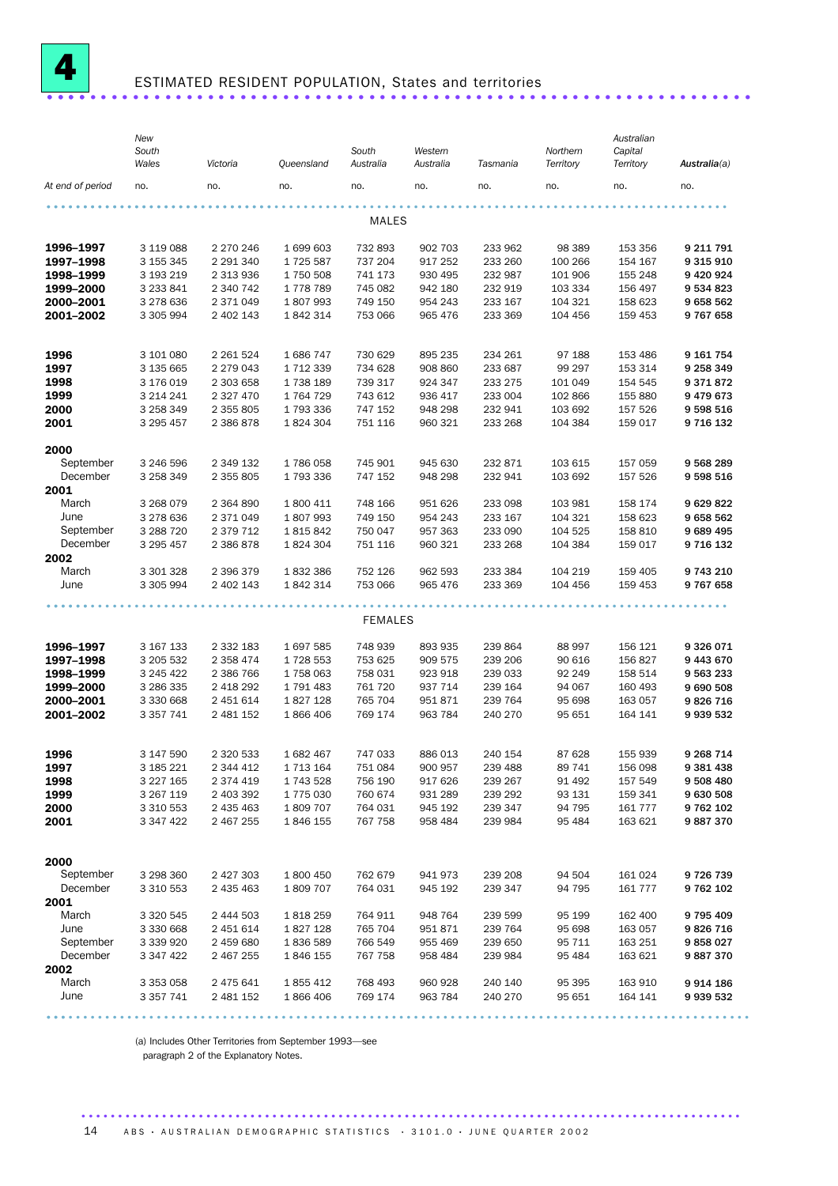

## ESTIMATED RESIDENT POPULATION, States and territories ..........................

|                        | New<br>South<br>Wales     | Victoria               | Queensland           | South<br>Australia | Western<br>Australia | Tasmania           | Northern<br>Territory | Australian<br>Capital<br>Territory | Australia(a)           |
|------------------------|---------------------------|------------------------|----------------------|--------------------|----------------------|--------------------|-----------------------|------------------------------------|------------------------|
| At end of period       | no.                       | no.                    | no.                  | no.                | no.                  | no.                | no.                   | no.                                | no.                    |
|                        |                           |                        |                      | MALES              |                      |                    |                       |                                    |                        |
|                        |                           |                        |                      |                    |                      |                    |                       |                                    |                        |
| 1996-1997              | 3 119 088                 | 2 270 246              | 1 699 603            | 732 893            | 902 703              | 233 962            | 98 389                | 153 356                            | 9 211 791              |
| 1997-1998              | 3 155 345                 | 2 291 340              | 1725 587             | 737 204            | 917 252              | 233 260            | 100 266               | 154 167                            | 9 3 1 5 9 1 0          |
| 1998-1999              | 3 193 219                 | 2 313 936              | 1750 508             | 741 173            | 930 495              | 232 987            | 101 906               | 155 248                            | 9 4 20 9 24            |
| 1999-2000<br>2000-2001 | 3 2 3 8 4 1               | 2 340 742              | 1778789<br>1807993   | 745 082            | 942 180              | 232 919            | 103 334               | 156 497                            | 9 534 823              |
| 2001-2002              | 3 278 636<br>3 305 994    | 2 371 049<br>2 402 143 | 1842314              | 749 150<br>753 066 | 954 243<br>965 476   | 233 167<br>233 369 | 104 321<br>104 456    | 158 623<br>159 453                 | 9658562<br>9767658     |
|                        |                           |                        |                      |                    |                      |                    |                       |                                    |                        |
| 1996                   | 3 101 080                 | 2 2 6 1 5 2 4          | 1686747              | 730 629            | 895 235              | 234 261            | 97 188                | 153 486                            | 9 161 754              |
| 1997                   | 3 135 665                 | 2 2 7 9 0 4 3          | 1 712 339            | 734 628            | 908 860              | 233 687            | 99 297                | 153 314                            | 9 258 349              |
| 1998                   | 3 176 019                 | 2 303 658              | 1738 189             | 739 317            | 924 347              | 233 275            | 101 049               | 154 545                            | 9371872                |
| 1999                   | 3 2 1 4 2 4 1             | 2 3 2 7 4 7 0          | 1764729              | 743 612            | 936 417              | 233 004            | 102 866               | 155 880                            | 9479673                |
| 2000                   | 3 258 349                 | 2 355 805              | 1793336              | 747 152            | 948 298              | 232 941            | 103 692               | 157 526                            | 9 598 516              |
| 2001                   | 3 295 457                 | 2 386 878              | 1824 304             | 751 116            | 960 321              | 233 268            | 104 384               | 159 017                            | 9 716 132              |
| 2000                   |                           |                        |                      |                    |                      |                    |                       |                                    |                        |
| September              | 3 246 596                 | 2 349 132              | 1786058              | 745 901            | 945 630              | 232 871            | 103 615               | 157 059                            | 9 568 289              |
| December               | 3 258 349                 | 2 355 805              | 1793336              | 747 152            | 948 298              | 232 941            | 103 692               | 157 526                            | 9 598 516              |
| 2001                   |                           |                        |                      |                    |                      |                    |                       |                                    |                        |
| March                  | 3 268 079                 | 2 3 6 4 8 9 0          | 1 800 411            | 748 166            | 951 626              | 233 098            | 103 981               | 158 174                            | 9 629 822              |
| June                   | 3 278 636                 | 2 371 049              | 1807993              | 749 150            | 954 243              | 233 167            | 104 321               | 158 623                            | 9658562                |
| September              | 3 288 7 20                | 2 379 712              | 1815842              | 750 047            | 957 363              | 233 090            | 104 525               | 158 810                            | 9 689 495              |
| December               | 3 295 457                 | 2 386 878              | 1824304              | 751 116            | 960 321              | 233 268            | 104 384               | 159 017                            | 9 716 132              |
| 2002<br>March          | 3 301 328                 | 2 396 379              | 1832386              | 752 126            | 962 593              | 233 384            | 104 219               | 159 405                            | 9 743 210              |
| June                   | 3 305 994                 | 2 402 143              | 1842314              | 753 066            | 965 476              | 233 369            | 104 456               | 159 453                            | 9767658                |
|                        |                           |                        |                      |                    |                      |                    |                       |                                    |                        |
|                        |                           |                        |                      | <b>FEMALES</b>     |                      |                    |                       |                                    |                        |
| 1996-1997              | 3 167 133                 | 2 3 3 2 1 8 3          | 1697585              | 748 939            | 893 935              | 239 864            | 88 997                | 156 121                            | 9326071                |
| 1997-1998              | 3 205 532                 | 2 3 5 8 4 7 4          | 1728 553             | 753 625            | 909 575              | 239 206            | 90 616                | 156 827                            | 9 443 670              |
| 1998-1999              | 3 245 422                 | 2 386 766              | 1758063              | 758 031            | 923 918              | 239 033            | 92 249                | 158 514                            | 9 563 233              |
| 1999-2000              | 3 286 335                 | 2 418 292              | 1791483              | 761 720            | 937 714              | 239 164            | 94 067                | 160 493                            | 9 690 508              |
| 2000-2001              | 3 330 668                 | 2 451 614              | 1827128              | 765 704            | 951871               | 239 764            | 95 698                | 163 057                            | 9826716                |
| 2001-2002              | 3 3 5 7 7 4 1             | 2 481 152              | 1866406              | 769 174            | 963 784              | 240 270            | 95 651                | 164 141                            | 9 939 532              |
|                        |                           |                        |                      |                    |                      |                    |                       |                                    |                        |
| 1996                   | 3 147 590                 | 2 320 533              | 1 682 467            | 747 033            | 886 013              | 240 154            | 87 628                | 155 939                            | 9 268 714              |
| 1997                   | 3 185 221                 | 2 344 412              | 1 7 1 3 1 6 4        | 751 084            | 900 957<br>917 626   | 239 488<br>239 267 | 89 741                | 156 098                            | 9 381 438              |
| 1998<br>1999           | 3 2 2 7 1 6 5             | 2 374 419              | 1743528<br>1775 030  | 756 190            |                      |                    | 91 4 92               | 157 549                            | 9 508 480              |
| 2000                   | 3 267 119<br>3 3 10 5 5 3 | 2 403 392<br>2 435 463 | 1809707              | 760 674<br>764 031 | 931 289<br>945 192   | 239 292<br>239 347 | 93 131<br>94 795      | 159 341<br>161 777                 | 9 630 508<br>9 762 102 |
| 2001                   | 3 347 422                 | 2 467 255              | 1846 155             | 767 758            | 958 484              | 239 984            | 95 4 84               | 163 621                            | 9887370                |
|                        |                           |                        |                      |                    |                      |                    |                       |                                    |                        |
| 2000                   |                           |                        |                      |                    |                      |                    |                       |                                    |                        |
| September<br>December  | 3 298 360                 | 2 427 303<br>2 435 463 | 1 800 450<br>1809707 | 762 679<br>764 031 | 941 973<br>945 192   | 239 208<br>239 347 | 94 504<br>94 795      | 161 024<br>161 777                 | 9726739                |
| 2001                   | 3 3 1 0 5 5 3             |                        |                      |                    |                      |                    |                       |                                    | 9762102                |
| March                  | 3 3 2 0 5 4 5             | 2 444 503              | 1818259              | 764 911            | 948 764              | 239 599            | 95 199                | 162 400                            | 9795409                |
| June                   | 3 330 668                 | 2 451 614              | 1827128              | 765 704            | 951871               | 239 764            | 95 698                | 163 057                            | 9826716                |
| September              | 3 339 920                 | 2 459 680              | 1836589              | 766 549            | 955 469              | 239 650            | 95 711                | 163 251                            | 9858027                |
| December               | 3 347 422                 | 2 467 255              | 1846 155             | 767 758            | 958 484              | 239 984            | 95 484                | 163 621                            | 9887370                |
| 2002                   |                           |                        |                      |                    |                      |                    |                       |                                    |                        |
| March                  | 3 3 5 3 0 5 8             | 2 475 641              | 1855412              | 768 493            | 960 928              | 240 140            | 95 395                | 163 910                            | 9914186                |
| June                   | 3 3 5 7 7 4 1             | 2 481 152              | 1866406              | 769 174            | 963 784              | 240 270            | 95 651                | 164 141                            | 9 939 532              |
|                        |                           |                        |                      |                    |                      |                    |                       |                                    |                        |

(a) Includes Other Territories from September 1993—see

paragraph 2 of the Explanatory Notes.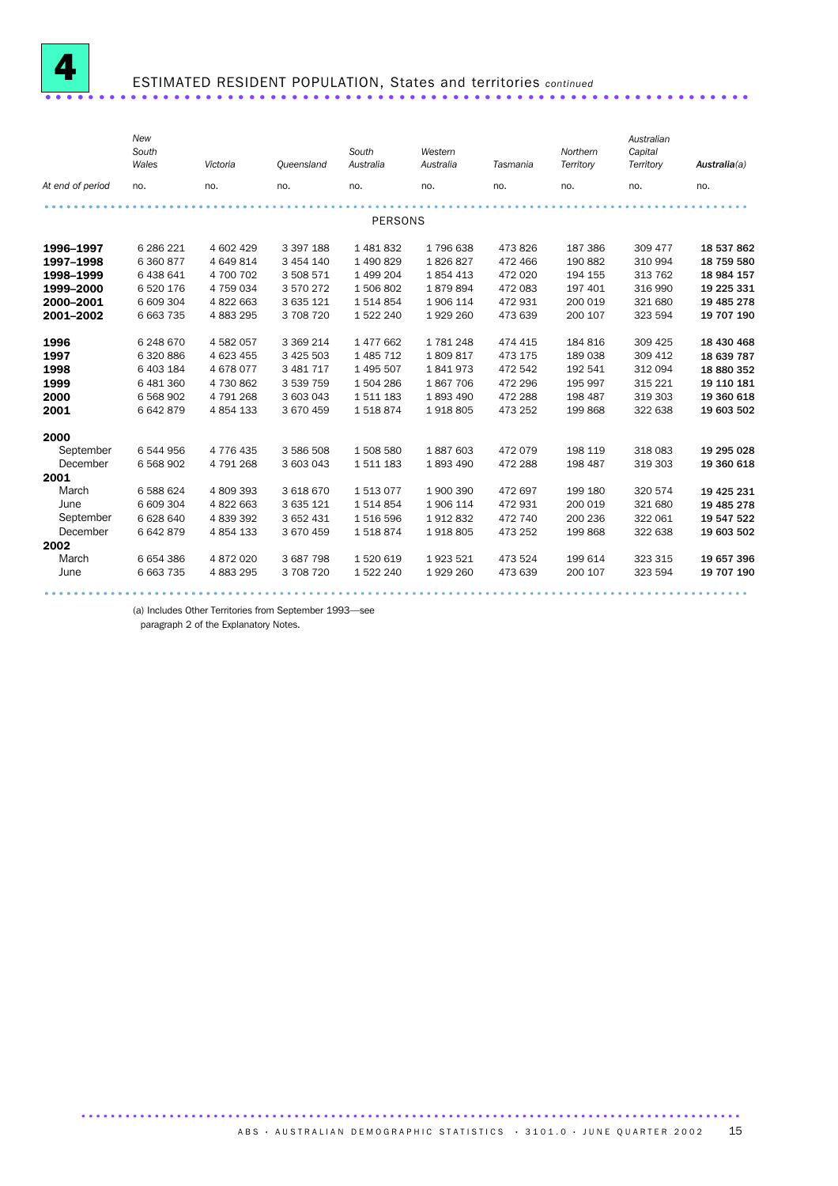

# ESTIMATED RESIDENT POPULATION, States and territories *continued* .................................................................. ....

|      |                  | New<br>South<br>Wales | Victoria      | Queensland    | South<br>Australia | Western<br>Australia | Tasmania | Northern<br>Territory | Australian<br>Capital<br>Territory | Australia(a) |
|------|------------------|-----------------------|---------------|---------------|--------------------|----------------------|----------|-----------------------|------------------------------------|--------------|
|      | At end of period | no.                   | no.           | no.           | no.                | no.                  | no.      | no.                   | no.                                | no.          |
|      |                  |                       |               |               |                    |                      |          |                       |                                    |              |
|      |                  |                       |               |               | <b>PERSONS</b>     |                      |          |                       |                                    |              |
|      | 1996-1997        | 6 286 221             | 4 602 429     | 3 397 188     | 1481832            | 1796638              | 473826   | 187 386               | 309 477                            | 18 537 862   |
|      | 1997-1998        | 6 360 877             | 4 649 814     | 3 454 140     | 1 490 829          | 1826827              | 472 466  | 190 882               | 310 994                            | 18 759 580   |
|      | 1998-1999        | 6 438 641             | 4 700 702     | 3 508 571     | 1 499 204          | 1854413              | 472 020  | 194 155               | 313 762                            | 18 984 157   |
|      | 1999-2000        | 6 520 176             | 4 759 034     | 3 570 272     | 1506802            | 1879894              | 472 083  | 197 401               | 316 990                            | 19 225 331   |
|      | 2000-2001        | 6 609 304             | 4 822 663     | 3 635 121     | 1514854            | 1 906 114            | 472931   | 200 019               | 321 680                            | 19 485 278   |
|      | 2001-2002        | 6 663 735             | 4 883 295     | 3 708 720     | 1 522 240          | 1929 260             | 473 639  | 200 107               | 323 594                            | 19 707 190   |
| 1996 |                  | 6 248 670             | 4 582 057     | 3 3 6 9 2 1 4 | 1 477 662          | 1781248              | 474 415  | 184 816               | 309 425                            | 18 430 468   |
| 1997 |                  | 6 320 886             | 4 623 455     | 3 425 503     | 1 485 712          | 1809817              | 473 175  | 189 038               | 309 412                            | 18 639 787   |
| 1998 |                  | 6 403 184             | 4678077       | 3 481 717     | 1 495 507          | 1841973              | 472 542  | 192 541               | 312 094                            | 18 880 352   |
| 1999 |                  | 6 481 360             | 4 730 862     | 3 539 759     | 1504286            | 1867706              | 472 296  | 195 997               | 315 221                            | 19 110 181   |
| 2000 |                  | 6 5 68 9 02           | 4 791 268     | 3 603 043     | 1511183            | 1893490              | 472 288  | 198 487               | 319 303                            | 19 360 618   |
| 2001 |                  | 6642879               | 4 8 5 4 1 3 3 | 3 670 459     | 1518874            | 1918805              | 473 252  | 199 868               | 322 638                            | 19 603 502   |
| 2000 |                  |                       |               |               |                    |                      |          |                       |                                    |              |
|      | September        | 6544956               | 4 7 7 6 4 3 5 | 3 586 508     | 1 508 580          | 1887603              | 472079   | 198 119               | 318 083                            | 19 295 028   |
|      | December         | 6 5 68 9 02           | 4791268       | 3 603 043     | 1511183            | 1893490              | 472 288  | 198 487               | 319 303                            | 19 360 618   |
| 2001 |                  |                       |               |               |                    |                      |          |                       |                                    |              |
|      | March            | 6588624               | 4809393       | 3 618 670     | 1513077            | 1900390              | 472 697  | 199 180               | 320 574                            | 19 425 231   |
|      | June             | 6 609 304             | 4822663       | 3 635 121     | 1514854            | 1906 114             | 472931   | 200 019               | 321 680                            | 19 485 278   |
|      | September        | 6 628 640             | 4 839 392     | 3 652 431     | 1516596            | 1912832              | 472 740  | 200 236               | 322 061                            | 19 547 522   |
|      | December         | 6642879               | 4 8 5 4 1 3 3 | 3 670 459     | 1518874            | 1918805              | 473 252  | 199 868               | 322 638                            | 19 603 502   |
| 2002 |                  |                       |               |               |                    |                      |          |                       |                                    |              |
|      | March            | 6654386               | 4 872 020     | 3 687 798     | 1520619            | 1923 521             | 473 524  | 199 614               | 323 315                            | 19 657 396   |
|      | June             | 6 663 735             | 4883295       | 3 708 720     | 1 522 240          | 1929 260             | 473 639  | 200 107               | 323 594                            | 19 707 190   |
|      |                  |                       |               |               |                    |                      |          |                       |                                    |              |

................................................................................................ ............................

(a) Includes Other Territories from September 1993—see

paragraph 2 of the Explanatory Notes.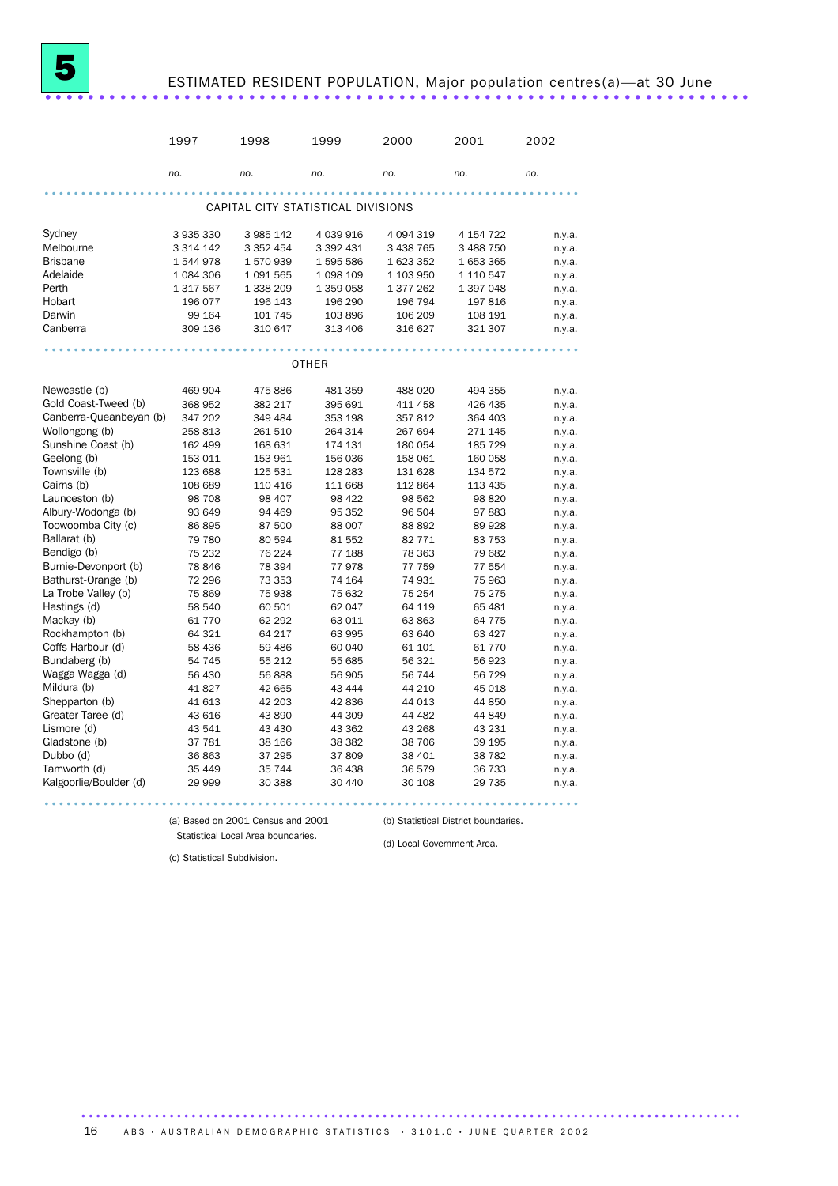## ESTIMATED RESIDENT POPULATION, Major population centres(a)—at 30 June .................................................................. ....

|                           | 1997             | 1998             | 1999                               | 2000             | 2001              | 2002             |
|---------------------------|------------------|------------------|------------------------------------|------------------|-------------------|------------------|
|                           | no.              | no.              | no.                                | no.              | no.               | no.              |
|                           |                  |                  | CAPITAL CITY STATISTICAL DIVISIONS |                  |                   |                  |
|                           |                  |                  |                                    |                  |                   |                  |
| Sydney                    | 3 935 330        | 3 985 142        | 4 039 916                          | 4 094 319        | 4 154 722         | n.y.a.           |
| Melbourne                 | 3 3 1 4 1 4 2    | 3 3 5 2 4 5 4    | 3 392 431                          | 3 438 765        | 3 488 750         | n.y.a.           |
| <b>Brisbane</b>           | 1544978          | 1570939          | 1595586                            | 1 623 352        | 1 653 365         | n.y.a.           |
| Adelaide                  | 1 084 306        | 1 0 9 1 5 6 5    | 1 098 109                          | 1 103 950        | 1 110 547         | n.y.a.           |
| Perth                     | 1 317 567        | 1 338 209        | 1 359 058                          | 1 377 262        | 1 397 048         | n.y.a.           |
| Hobart                    | 196 077          | 196 143          | 196 290                            | 196 794          | 197 816           | n.y.a.           |
| Darwin                    | 99 164           | 101 745          | 103896                             | 106 209          | 108 191           | n.y.a.           |
| Canberra                  | 309 136          | 310 647          | 313 406                            | 316 627          | 321 307           | n.y.a.           |
|                           |                  |                  |                                    |                  |                   |                  |
|                           |                  |                  | <b>OTHER</b>                       |                  |                   |                  |
| Newcastle (b)             | 469 904          | 475 886          | 481 359                            | 488 020          | 494 355           | n.y.a.           |
| Gold Coast-Tweed (b)      | 368 952          | 382 217          | 395 691                            | 411 458          | 426 435           | n.y.a.           |
| Canberra-Queanbeyan (b)   | 347 202          | 349 484          | 353 198                            | 357 812          | 364 403           | n.y.a.           |
| Wollongong (b)            | 258 813          | 261 510          | 264 314                            | 267 694          | 271 145           | n.y.a.           |
| Sunshine Coast (b)        | 162 499          | 168 631          | 174 131                            | 180 054          | 185 729           | n.y.a.           |
| Geelong (b)               | 153 011          | 153 961          | 156 036                            | 158 061          | 160 058           | n.y.a.           |
| Townsville (b)            | 123 688          | 125 531          | 128 283                            | 131 628          | 134 572           | n.y.a.           |
| Cairns (b)                | 108 689          | 110 416          | 111 668                            | 112 864          | 113 435           | n.y.a.           |
| Launceston (b)            | 98 708           | 98 407           | 98 422                             | 98 562           | 98 820            | n.y.a.           |
| Albury-Wodonga (b)        | 93 649           | 94 469           | 95 352                             | 96 504           | 97 883            | n.y.a.           |
| Toowoomba City (c)        | 86 895           | 87 500           | 88 007                             | 88 892           | 89 928            | n.y.a.           |
| Ballarat (b)              | 79 780           | 80 594           | 81 552                             | 82 771           | 83 753            | n.y.a.           |
| Bendigo (b)               | 75 232           | 76 224           | 77 188                             | 78 363           | 79 682            | n.y.a.           |
| Burnie-Devonport (b)      | 78 846           | 78 394           | 77978                              | 77 759           | 77 554            | n.y.a.           |
| Bathurst-Orange (b)       | 72 296           | 73 353           | 74 164                             | 74 931           | 75 963            | n.y.a.           |
| La Trobe Valley (b)       | 75869            | 75 938           | 75 632                             | 75 254           | 75 275            | n.y.a.           |
| Hastings (d)              | 58 540           | 60 501           | 62 047                             | 64 119           | 65 481            | n.y.a.           |
| Mackay (b)                | 61 770           | 62 292           | 63 011                             | 63863            | 64 775            | n.y.a.           |
| Rockhampton (b)           | 64 321           | 64 217           | 63 995                             | 63 640           | 63 427            | n.y.a.           |
| Coffs Harbour (d)         | 58 436           | 59 486           | 60 040                             | 61 101           | 61 770            | n.y.a.           |
| Bundaberg (b)             | 54 745           | 55 212           | 55 685                             | 56 321           | 56 923            | n.y.a.           |
| Wagga Wagga (d)           | 56 430           | 56 888           | 56 905                             | 56 744           | 56 729            | n.y.a.           |
| Mildura (b)               | 41827            | 42 665           | 43 4 44                            | 44 210           | 45 018            | n.y.a.           |
| Shepparton (b)            | 41 613           | 42 203           | 42836                              | 44 013           | 44 850            | n.y.a.           |
| Greater Taree (d)         | 43 616           | 43 890           | 44 309                             | 44 482           | 44 849            | n.y.a.           |
| Lismore (d)               | 43 541           | 43 430           | 43 362                             | 43 268           | 43 231            | n.y.a.           |
| Gladstone (b)             | 37 781           | 38 166           | 38 382                             | 38 706           | 39 195            | n.y.a.           |
| Dubbo (d)<br>Tamworth (d) | 36863            | 37 295<br>35 744 | 37809<br>36 438                    | 38 401           | 38 782            | n.y.a.           |
| Kalgoorlie/Boulder (d)    | 35 449<br>29 999 | 30 388           | 30 440                             | 36 579<br>30 108 | 36 733<br>29 7 35 | n.y.a.<br>n.y.a. |
|                           |                  |                  |                                    |                  |                   |                  |

(a) Based on 2001 Census and 2001 Statistical Local Area boundaries.

(b) Statistical District boundaries.

(d) Local Government Area.

..........................................................................................

(c) Statistical Subdivision.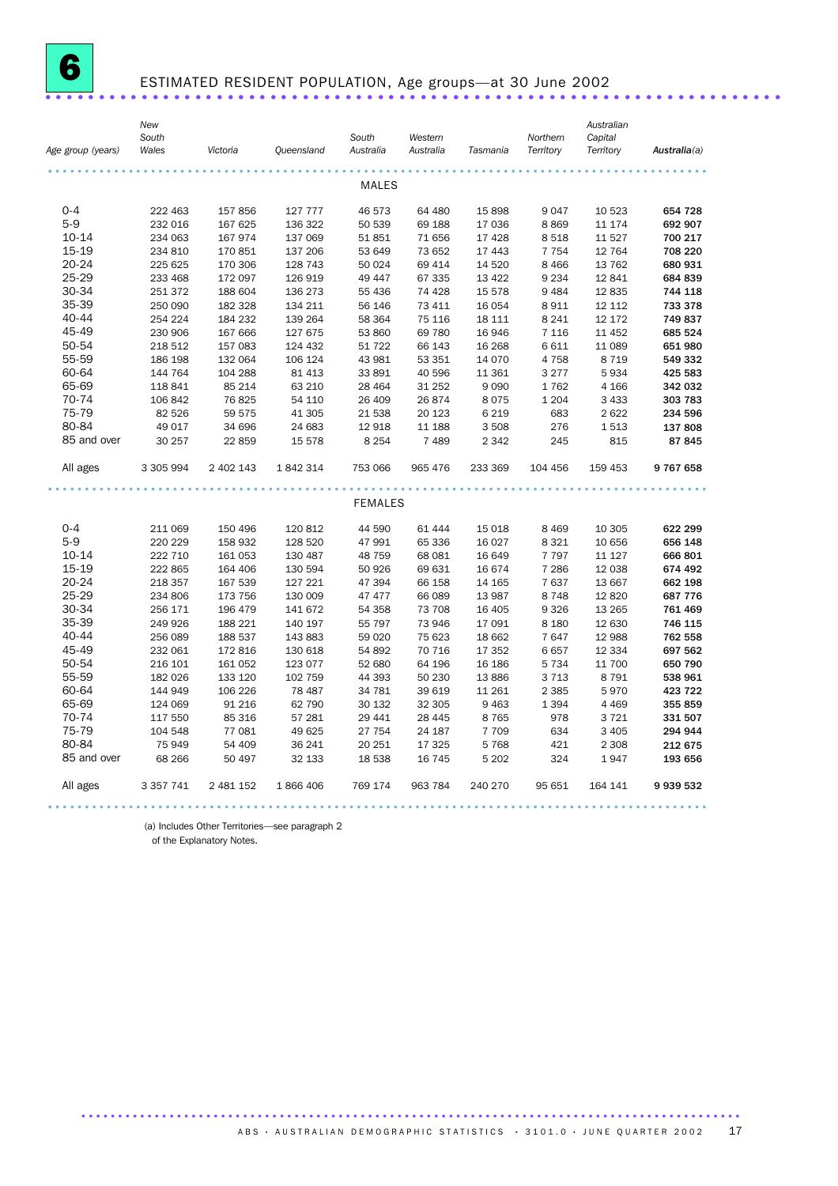

## ESTIMATED RESIDENT POPULATION, Age groups—at 30 June 2002 .....................................................................

| Age group (years) | New<br>South<br>Wales | Victoria  | Queensland | South<br>Australia | Western<br>Australia | Tasmania | Northern<br>Territory | Australian<br>Capital<br>Territory | Australia(a)  |
|-------------------|-----------------------|-----------|------------|--------------------|----------------------|----------|-----------------------|------------------------------------|---------------|
|                   |                       |           |            | <b>MALES</b>       |                      |          |                       |                                    |               |
| $0 - 4$           | 222 463               | 157 856   | 127 777    | 46 573             | 64 480               | 15 898   | 9 0 4 7               | 10 523                             | 654 728       |
| $5-9$             | 232 016               | 167 625   | 136 322    | 50 539             | 69 188               | 17 036   | 8869                  | 11 174                             | 692 907       |
| 10-14             | 234 063               | 167 974   | 137 069    | 51851              | 71 656               | 17 4 28  | 8518                  | 11 527                             | 700 217       |
| 15-19             | 234 810               | 170 851   | 137 206    | 53 649             | 73 652               | 17 443   | 7 7 5 4               | 12 764                             | 708 220       |
| 20-24             | 225 625               | 170 306   | 128 743    | 50 0 24            | 69 414               | 14 5 20  | 8 4 6 6               | 13 762                             | 680 931       |
| 25-29             | 233 468               | 172 097   | 126 919    | 49 447             | 67 335               | 13 4 22  | 9 2 3 4               | 12 841                             | 684 839       |
| 30-34             | 251 372               | 188 604   | 136 273    | 55 436             | 74 428               | 15 578   | 9 4 8 4               | 12 8 35                            | 744 118       |
| 35-39             | 250 090               | 182 328   | 134 211    | 56 146             | 73 411               | 16 054   | 8911                  | 12 112                             | 733 378       |
| 40-44             | 254 224               | 184 232   | 139 264    | 58 364             | 75 116               | 18 111   | 8 2 4 1               | 12 172                             | 749837        |
| 45-49             | 230 906               | 167 666   | 127 675    | 53 860             | 69 780               | 16 946   | 7 1 1 6               | 11 452                             | 685 524       |
| 50-54             | 218 512               | 157 083   | 124 432    | 51 722             | 66 143               | 16 268   | 6 6 1 1               | 11 089                             | 651 980       |
| 55-59             | 186 198               | 132 064   | 106 124    | 43 981             | 53 351               | 14 0 70  | 4 7 5 8               | 8 7 1 9                            | 549 332       |
| 60-64             | 144 764               | 104 288   | 81 413     | 33 891             | 40 596               | 11 361   | 3 2 7 7               | 5934                               | 425 583       |
| 65-69             | 118 841               | 85 214    | 63 210     | 28 4 64            | 31 25 2              | 9 0 9 0  | 1762                  | 4 1 6 6                            | 342 032       |
| 70-74             | 106 842               | 76 825    | 54 110     | 26 409             | 26 874               | 8 0 7 5  | 1 2 0 4               | 3 4 3 3                            | 303 783       |
| 75-79             | 82 526                | 59 575    | 41 30 5    | 21 538             | 20 123               | 6 2 1 9  | 683                   | 2622                               | 234 596       |
| 80-84             | 49 017                | 34 696    | 24 683     | 12 918             | 11 188               | 3 5 0 8  | 276                   | 1513                               | 137 808       |
| 85 and over       | 30 257                | 22 859    | 15 578     | 8 2 5 4            | 7489                 | 2 3 4 2  | 245                   | 815                                | 87845         |
|                   |                       |           |            |                    |                      |          |                       |                                    |               |
| All ages          | 3 305 994             | 2 402 143 | 1842314    | 753 066            | 965 476              | 233 369  | 104 456               | 159 453                            | 9767658       |
|                   |                       |           |            | <b>FEMALES</b>     |                      |          |                       |                                    |               |
|                   |                       |           |            |                    |                      |          |                       |                                    |               |
| $0 - 4$           | 211 069               | 150 496   | 120 812    | 44 590             | 61 444               | 15 018   | 8 4 6 9               | 10 305                             | 622 299       |
| $5-9$             | 220 229               | 158 932   | 128 520    | 47 991             | 65 336               | 16 0 27  | 8 3 2 1               | 10 656                             | 656 148       |
| 10-14             | 222 710               | 161 053   | 130 487    | 48 7 5 9           | 68 081               | 16 649   | 7 7 9 7               | 11 127                             | 666 801       |
| 15-19             | 222 865               | 164 406   | 130 594    | 50 926             | 69 631               | 16 674   | 7 2 8 6               | 12 038                             | 674 492       |
| 20-24             | 218 357               | 167 539   | 127 221    | 47 394             | 66 158               | 14 165   | 7 637                 | 13 667                             | 662 198       |
| 25-29             | 234 806               | 173 756   | 130 009    | 47 477             | 66 089               | 13 987   | 8748                  | 12 8 20                            | 687 776       |
| 30-34             | 256 171               | 196 479   | 141 672    | 54 358             | 73 708               | 16 40 5  | 9 3 2 6               | 13 265                             | 761 469       |
| 35-39             | 249 926               | 188 221   | 140 197    | 55 797             | 73 946               | 17 091   | 8 1 8 0               | 12 630                             | 746 115       |
| 40-44             | 256 089               | 188 537   | 143 883    | 59 0 20            | 75 623               | 18 662   | 7647                  | 12 988                             | 762 558       |
| 45-49             | 232 061               | 172 816   | 130 618    | 54 892             | 70 716               | 17 352   | 6657                  | 12 3 34                            | 697 562       |
| 50-54             | 216 101               | 161 052   | 123 077    | 52 680             | 64 196               | 16 186   | 5 7 3 4               | 11 700                             | 650 790       |
| 55-59             | 182 026               | 133 120   | 102 759    | 44 393             | 50 230               | 13 8 86  | 3 7 1 3               | 8 7 9 1                            | 538 961       |
| 60-64             | 144 949               | 106 226   | 78 487     | 34 781             | 39 619               | 11 261   | 2 3 8 5               | 5970                               | 423 722       |
| 65-69             | 124 069               | 91 216    | 62 790     | 30 132             | 32 305               | 9 4 6 3  | 1 3 9 4               | 4 4 6 9                            | 355 859       |
| 70-74             | 117 550               | 85 316    | 57 281     | 29 441             | 28 4 4 5             | 8765     | 978                   | 3721                               | 331 507       |
| 75-79             | 104 548               | 77 081    | 49 625     | 27 754             | 24 187               | 7 7 0 9  | 634                   | 3 4 0 5                            | 294 944       |
| 80-84             | 75 949                | 54 409    | 36 241     | 20 251             | 17 325               | 5768     | 421                   | 2 3 0 8                            | 212 675       |
| 85 and over       | 68 266                | 50 497    | 32 133     | 18 538             | 16 745               | 5 2 0 2  | 324                   | 1947                               | 193 656       |
| All ages          | 3 3 5 7 7 4 1         | 2 481 152 | 1866406    | 769 174            | 963 784              | 240 270  | 95 651                | 164 141                            | 9 9 3 5 5 3 2 |

(a) Includes Other Territories—see paragraph 2

of the Explanatory Notes.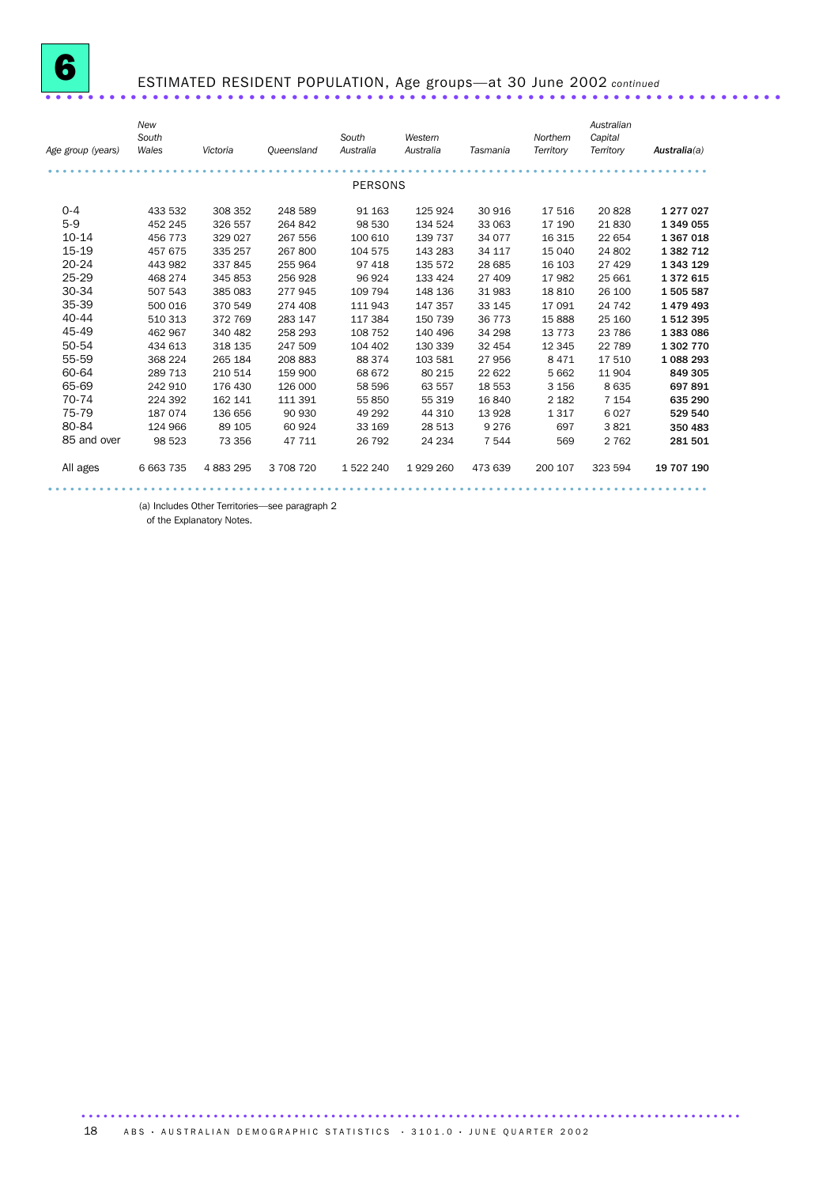

# ESTIMATED RESIDENT POPULATION, Age groups—at 30 June 2002 *continued* .....................................................................

| Age group (years) | New<br>South<br>Wales | Victoria  | Queensland | South<br>Australia | Western<br>Australia | Tasmania | Northern<br>Territory | Australian<br>Capital<br>Territory | Australia(a) |
|-------------------|-----------------------|-----------|------------|--------------------|----------------------|----------|-----------------------|------------------------------------|--------------|
|                   |                       |           |            | <b>PERSONS</b>     |                      |          |                       |                                    |              |
|                   |                       |           |            |                    |                      |          |                       |                                    |              |
| $0 - 4$           | 433 532               | 308 352   | 248 589    | 91 163             | 125 924              | 30 916   | 17516                 | 20828                              | 1 277 0 27   |
| $5-9$             | 452 245               | 326 557   | 264 842    | 98 530             | 134 524              | 33 063   | 17 190                | 21830                              | 1 349 055    |
| 10-14             | 456 773               | 329 027   | 267 556    | 100 610            | 139 737              | 34 077   | 16 3 15               | 22 654                             | 1 367 018    |
| 15-19             | 457 675               | 335 257   | 267 800    | 104 575            | 143 283              | 34 117   | 15 040                | 24 802                             | 1 382 712    |
| 20-24             | 443 982               | 337 845   | 255 964    | 97 418             | 135 572              | 28 685   | 16 103                | 27 4 29                            | 1 343 129    |
| 25-29             | 468 274               | 345 853   | 256928     | 96 924             | 133 424              | 27 409   | 17982                 | 25 661                             | 1372615      |
| 30-34             | 507 543               | 385 083   | 277945     | 109 794            | 148 136              | 31 983   | 18810                 | 26 100                             | 1505587      |
| 35-39             | 500 016               | 370 549   | 274 408    | 111 943            | 147 357              | 33 145   | 17 091                | 24 742                             | 1479493      |
| 40-44             | 510 313               | 372 769   | 283 147    | 117 384            | 150 739              | 36 773   | 15 8 88               | 25 160                             | 1512395      |
| 45-49             | 462 967               | 340 482   | 258 293    | 108 752            | 140 496              | 34 298   | 13 7 7 3              | 23 786                             | 1 383 086    |
| 50-54             | 434 613               | 318 135   | 247 509    | 104 402            | 130 339              | 32 454   | 12 3 45               | 22 789                             | 1 302 770    |
| 55-59             | 368 224               | 265 184   | 208 883    | 88 374             | 103 581              | 27 956   | 8 4 7 1               | 17510                              | 1 088 293    |
| 60-64             | 289 713               | 210 514   | 159 900    | 68 672             | 80 215               | 22 622   | 5 6 6 2               | 11904                              | 849 305      |
| 65-69             | 242 910               | 176 430   | 126 000    | 58 596             | 63 557               | 18 553   | 3 1 5 6               | 8635                               | 697891       |
| 70-74             | 224 392               | 162 141   | 111 391    | 55 850             | 55 319               | 16 840   | 2 1 8 2               | 7 1 5 4                            | 635 290      |
| 75-79             | 187 074               | 136 656   | 90 930     | 49 29 2            | 44 310               | 13 928   | 1317                  | 6027                               | 529 540      |
| 80-84             | 124 966               | 89 105    | 60 924     | 33 169             | 28 513               | 9 2 7 6  | 697                   | 3821                               | 350 483      |
| 85 and over       | 98 523                | 73 356    | 47 711     | 26 792             | 24 234               | 7 5 4 4  | 569                   | 2 7 6 2                            | 281 501      |
| All ages          | 6 663 735             | 4 883 295 | 3 708 720  | 1 522 240          | 1929 260             | 473 639  | 200 107               | 323 594                            | 19 707 190   |
|                   |                       |           |            |                    |                      |          |                       |                                    |              |

(a) Includes Other Territories—see paragraph 2

of the Explanatory Notes.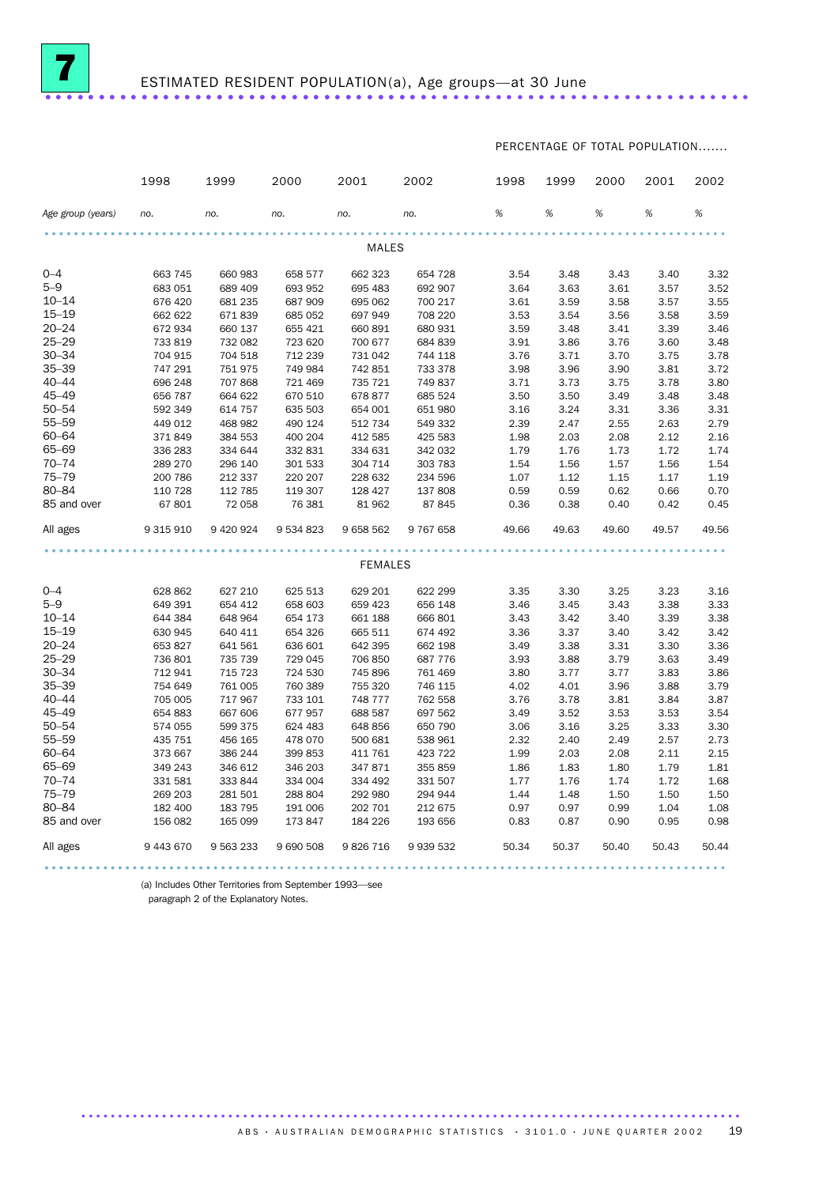

PERCENTAGE OF TOTAL POPULATION.......

|                   | 1998      | 1999        | 2000      | 2001           | 2002          | 1998  | 1999  | 2000  | 2001  | 2002  |
|-------------------|-----------|-------------|-----------|----------------|---------------|-------|-------|-------|-------|-------|
| Age group (years) | no.       | no.         | no.       | no.            | no.           | %     | %     | %     | %     | %     |
|                   |           |             |           | <b>MALES</b>   |               |       |       |       |       |       |
|                   |           |             |           |                |               |       |       |       |       |       |
| $0 - 4$           | 663 745   | 660 983     | 658 577   | 662 323        | 654 728       | 3.54  | 3.48  | 3.43  | 3.40  | 3.32  |
| $5 - 9$           | 683 051   | 689 409     | 693 952   | 695 483        | 692 907       | 3.64  | 3.63  | 3.61  | 3.57  | 3.52  |
| $10 - 14$         | 676 420   | 681 235     | 687 909   | 695 062        | 700 217       | 3.61  | 3.59  | 3.58  | 3.57  | 3.55  |
| $15 - 19$         | 662 622   | 671839      | 685 052   | 697 949        | 708 220       | 3.53  | 3.54  | 3.56  | 3.58  | 3.59  |
| $20 - 24$         | 672 934   | 660 137     | 655 421   | 660 891        | 680 931       | 3.59  | 3.48  | 3.41  | 3.39  | 3.46  |
| $25 - 29$         | 733 819   | 732 082     | 723 620   | 700 677        | 684 839       | 3.91  | 3.86  | 3.76  | 3.60  | 3.48  |
| $30 - 34$         | 704 915   | 704 518     | 712 239   | 731 042        | 744 118       | 3.76  | 3.71  | 3.70  | 3.75  | 3.78  |
| $35 - 39$         | 747 291   | 751 975     | 749 984   | 742 851        | 733 378       | 3.98  | 3.96  | 3.90  | 3.81  | 3.72  |
| $40 - 44$         | 696 248   | 707868      | 721 469   | 735 721        | 749 837       | 3.71  | 3.73  | 3.75  | 3.78  | 3.80  |
| $45 - 49$         | 656 787   | 664 622     | 670 510   | 678 877        | 685 524       | 3.50  | 3.50  | 3.49  | 3.48  | 3.48  |
| $50 - 54$         | 592 349   | 614 757     | 635 503   | 654 001        | 651 980       | 3.16  | 3.24  | 3.31  | 3.36  | 3.31  |
| $55 - 59$         | 449 012   | 468 982     | 490 124   | 512 734        | 549 332       | 2.39  | 2.47  | 2.55  | 2.63  | 2.79  |
| $60 - 64$         | 371849    | 384 553     | 400 204   | 412 585        | 425 583       | 1.98  | 2.03  | 2.08  | 2.12  | 2.16  |
| 65-69             | 336 283   | 334 644     | 332 831   | 334 631        | 342 032       | 1.79  | 1.76  | 1.73  | 1.72  | 1.74  |
| $70 - 74$         | 289 270   | 296 140     | 301 533   | 304 714        | 303 783       | 1.54  | 1.56  | 1.57  | 1.56  | 1.54  |
| $75 - 79$         | 200 786   | 212 337     | 220 207   | 228 632        | 234 596       | 1.07  | 1.12  | 1.15  | 1.17  | 1.19  |
| 80-84             | 110 728   | 112 785     | 119 307   | 128 427        | 137 808       | 0.59  | 0.59  | 0.62  | 0.66  | 0.70  |
| 85 and over       | 67801     | 72 058      | 76 381    | 81 962         | 87 845        | 0.36  | 0.38  | 0.40  | 0.42  | 0.45  |
| All ages          | 9 315 910 | 9 4 20 9 24 | 9 534 823 | 9658562        | 9 767 658     | 49.66 | 49.63 | 49.60 | 49.57 | 49.56 |
|                   |           |             |           |                |               |       |       |       |       |       |
|                   |           |             |           | <b>FEMALES</b> |               |       |       |       |       |       |
| $0 - 4$           | 628 862   | 627 210     | 625 513   | 629 201        | 622 299       | 3.35  | 3.30  | 3.25  | 3.23  | 3.16  |
| $5 - 9$           | 649 391   | 654 412     | 658 603   | 659 423        | 656 148       | 3.46  | 3.45  | 3.43  | 3.38  | 3.33  |
| $10 - 14$         | 644 384   | 648 964     | 654 173   | 661 188        | 666 801       | 3.43  | 3.42  | 3.40  | 3.39  | 3.38  |
| $15 - 19$         | 630 945   | 640 411     | 654 326   | 665 511        | 674 492       | 3.36  | 3.37  | 3.40  | 3.42  | 3.42  |
| $20 - 24$         | 653 827   | 641 561     | 636 601   | 642 395        | 662 198       | 3.49  | 3.38  | 3.31  | 3.30  | 3.36  |
| $25 - 29$         | 736 801   | 735 739     | 729 045   | 706 850        | 687 776       | 3.93  | 3.88  | 3.79  | 3.63  | 3.49  |
| $30 - 34$         | 712 941   | 715 723     | 724 530   | 745 896        | 761 469       | 3.80  | 3.77  | 3.77  | 3.83  | 3.86  |
| $35 - 39$         | 754 649   | 761 005     | 760 389   | 755 320        | 746 115       | 4.02  | 4.01  | 3.96  | 3.88  | 3.79  |
| $40 - 44$         | 705 005   | 717 967     | 733 101   | 748 777        | 762 558       | 3.76  | 3.78  | 3.81  | 3.84  | 3.87  |
| $45 - 49$         | 654 883   | 667 606     | 677 957   | 688 587        | 697 562       | 3.49  | 3.52  | 3.53  | 3.53  | 3.54  |
| $50 - 54$         | 574 055   | 599 375     | 624 483   | 648 856        | 650 790       | 3.06  | 3.16  | 3.25  | 3.33  | 3.30  |
| 55-59             | 435 751   | 456 165     | 478 070   | 500 681        | 538 961       | 2.32  | 2.40  | 2.49  | 2.57  | 2.73  |
| $60 - 64$         | 373 667   | 386 244     | 399 853   | 411 761        | 423 722       | 1.99  | 2.03  | 2.08  | 2.11  | 2.15  |
| 65-69             | 349 243   | 346 612     | 346 203   | 347 871        | 355 859       | 1.86  | 1.83  | 1.80  | 1.79  | 1.81  |
| $70 - 74$         | 331 581   | 333 844     | 334 004   | 334 492        | 331 507       | 1.77  | 1.76  | 1.74  | 1.72  | 1.68  |
| $75 - 79$         | 269 203   | 281 501     | 288 804   | 292 980        | 294 944       | 1.44  | 1.48  | 1.50  | 1.50  | 1.50  |
| 80-84             | 182 400   | 183 795     | 191 006   | 202 701        | 212 675       | 0.97  | 0.97  | 0.99  | 1.04  | 1.08  |
| 85 and over       | 156 082   | 165 099     | 173 847   | 184 226        | 193 656       | 0.83  | 0.87  | 0.90  | 0.95  | 0.98  |
| All ages          | 9 443 670 | 9 5 63 2 33 | 9 690 508 | 9826716        | 9 9 3 5 5 3 2 | 50.34 | 50.37 | 50.40 | 50.43 | 50.44 |
|                   |           |             |           |                |               |       |       |       |       |       |

(a) Includes Other Territories from September 1993—see

paragraph 2 of the Explanatory Notes.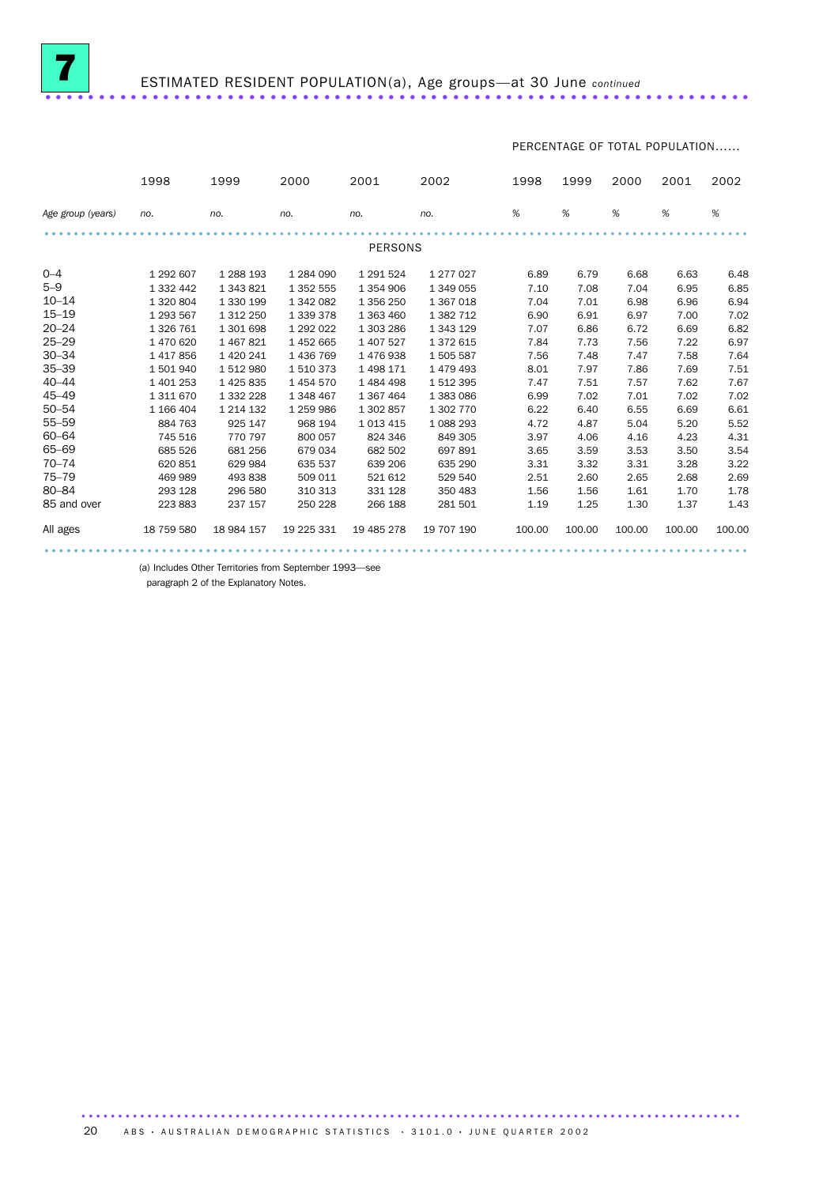

PERCENTAGE OF TOTAL POPULATION......

|                   | 1998          | 1999          | 2000       | 2001           | 2002          | 1998   | 1999   | 2000   | 2001   | 2002   |
|-------------------|---------------|---------------|------------|----------------|---------------|--------|--------|--------|--------|--------|
| Age group (years) | no.           | no.           | no.        | no.            | no.           | $\%$   | %      | %      | %      | $\%$   |
|                   |               |               |            | <b>PERSONS</b> |               |        |        |        |        |        |
|                   |               |               |            |                |               |        |        |        |        |        |
| $0 - 4$           | 1 292 607     | 1 288 193     | 1 284 090  | 1 291 524      | 1 277 0 27    | 6.89   | 6.79   | 6.68   | 6.63   | 6.48   |
| $5 - 9$           | 1 3 3 2 4 4 2 | 1 343 821     | 1 352 555  | 1 3 5 4 9 0 6  | 1 349 055     | 7.10   | 7.08   | 7.04   | 6.95   | 6.85   |
| $10 - 14$         | 1 320 804     | 1 330 199     | 1 342 082  | 1 356 250      | 1 367 018     | 7.04   | 7.01   | 6.98   | 6.96   | 6.94   |
| $15 - 19$         | 1 293 567     | 1 312 250     | 1 339 378  | 1 363 460      | 1 3 8 2 7 1 2 | 6.90   | 6.91   | 6.97   | 7.00   | 7.02   |
| $20 - 24$         | 1 3 2 6 7 6 1 | 1 301 698     | 1 292 022  | 1 303 286      | 1 343 129     | 7.07   | 6.86   | 6.72   | 6.69   | 6.82   |
| $25 - 29$         | 1 470 620     | 1 467 821     | 1452665    | 1 407 527      | 1 372 615     | 7.84   | 7.73   | 7.56   | 7.22   | 6.97   |
| $30 - 34$         | 1417856       | 1 420 241     | 1 436 769  | 1476938        | 1505587       | 7.56   | 7.48   | 7.47   | 7.58   | 7.64   |
| $35 - 39$         | 1 501 940     | 1 512 980     | 1510373    | 1498171        | 1479493       | 8.01   | 7.97   | 7.86   | 7.69   | 7.51   |
| $40 - 44$         | 1 401 253     | 1 4 2 5 8 3 5 | 1454570    | 1484498        | 1512395       | 7.47   | 7.51   | 7.57   | 7.62   | 7.67   |
| $45 - 49$         | 1 311 670     | 1 332 228     | 1 348 467  | 1 367 464      | 1 383 086     | 6.99   | 7.02   | 7.01   | 7.02   | 7.02   |
| $50 - 54$         | 1 166 404     | 1 214 132     | 1 259 986  | 1 302 857      | 1 302 770     | 6.22   | 6.40   | 6.55   | 6.69   | 6.61   |
| $55 - 59$         | 884 763       | 925 147       | 968 194    | 1 0 1 3 4 1 5  | 1088293       | 4.72   | 4.87   | 5.04   | 5.20   | 5.52   |
| $60 - 64$         | 745 516       | 770 797       | 800 057    | 824 346        | 849 305       | 3.97   | 4.06   | 4.16   | 4.23   | 4.31   |
| 65-69             | 685 526       | 681 256       | 679 034    | 682 502        | 697891        | 3.65   | 3.59   | 3.53   | 3.50   | 3.54   |
| $70 - 74$         | 620 851       | 629 984       | 635 537    | 639 206        | 635 290       | 3.31   | 3.32   | 3.31   | 3.28   | 3.22   |
| $75 - 79$         | 469 989       | 493 838       | 509 011    | 521 612        | 529 540       | 2.51   | 2.60   | 2.65   | 2.68   | 2.69   |
| 80-84             | 293 128       | 296 580       | 310 313    | 331 128        | 350 483       | 1.56   | 1.56   | 1.61   | 1.70   | 1.78   |
| 85 and over       | 223 883       | 237 157       | 250 228    | 266 188        | 281 501       | 1.19   | 1.25   | 1.30   | 1.37   | 1.43   |
| All ages          | 18 759 580    | 18 984 157    | 19 225 331 | 19 485 278     | 19 707 190    | 100.00 | 100.00 | 100.00 | 100.00 | 100.00 |
|                   |               |               |            |                |               |        |        |        |        |        |

(a) Includes Other Territories from September 1993—see

paragraph 2 of the Explanatory Notes.

20 A B S • AUSTRALIAN DEMOGRAPHIC STATISTICS • 3101.0 • JUNE QUARTER 2002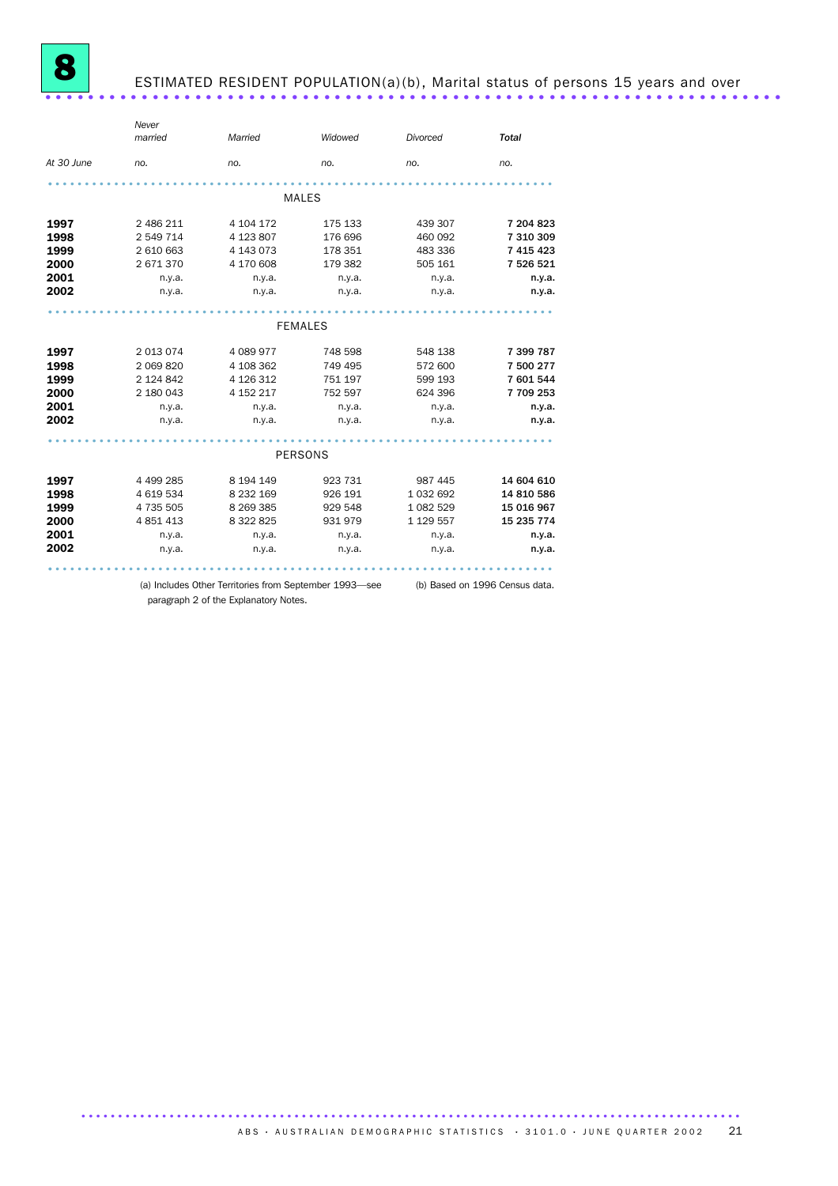

|                | Never     |                |         |               |              |  |  |  |  |  |
|----------------|-----------|----------------|---------|---------------|--------------|--|--|--|--|--|
|                | married   | Married        | Widowed | Divorced      | <b>Total</b> |  |  |  |  |  |
| At 30 June     | no.       | no.            | no.     | no.           | no.          |  |  |  |  |  |
|                |           |                |         |               |              |  |  |  |  |  |
|                |           | <b>MALES</b>   |         |               |              |  |  |  |  |  |
| 1997           | 2 486 211 | 4 104 172      | 175 133 | 439 307       | 7 204 823    |  |  |  |  |  |
| 1998           | 2 549 714 | 4 123 807      | 176 696 | 460 092       | 7 310 309    |  |  |  |  |  |
| 1999           | 2 610 663 | 4 143 073      | 178 351 | 483 336       | 7 415 423    |  |  |  |  |  |
| 2000           | 2671370   | 4 170 608      | 179 382 | 505 161       | 7 526 521    |  |  |  |  |  |
| 2001           | n.y.a.    | n.y.a.         | n.y.a.  | n.y.a.        | n.y.a.       |  |  |  |  |  |
| 2002           | n.y.a.    | n.y.a.         | n.y.a.  | n.y.a.        | n.y.a.       |  |  |  |  |  |
|                |           |                |         |               |              |  |  |  |  |  |
| <b>FEMALES</b> |           |                |         |               |              |  |  |  |  |  |
| 1997           | 2 013 074 | 4 089 977      | 748 598 | 548 138       | 7 399 787    |  |  |  |  |  |
| 1998           | 2 069 820 | 4 108 362      | 749 495 | 572 600       | 7 500 277    |  |  |  |  |  |
| 1999           | 2 124 842 | 4 126 312      | 751 197 | 599 193       | 7 601 544    |  |  |  |  |  |
| 2000           | 2 180 043 | 4 152 217      | 752 597 | 624 396       | 7709253      |  |  |  |  |  |
| 2001           | n.y.a.    | n.y.a.         | n.y.a.  | n.y.a.        | n.y.a.       |  |  |  |  |  |
| 2002           | n.y.a.    | n.y.a.         | n.y.a.  | n.y.a.        | n.y.a.       |  |  |  |  |  |
|                |           |                |         |               |              |  |  |  |  |  |
|                |           | <b>PERSONS</b> |         |               |              |  |  |  |  |  |
| 1997           | 4 499 285 | 8 194 149      | 923 731 | 987 445       | 14 604 610   |  |  |  |  |  |
| 1998           | 4 619 534 | 8 232 169      | 926 191 | 1 0 3 2 6 9 2 | 14 810 586   |  |  |  |  |  |
| 1999           | 4 735 505 | 8 269 385      | 929 548 | 1 082 529     | 15 016 967   |  |  |  |  |  |
| 2000           | 4 851 413 | 8 322 825      | 931 979 | 1 129 557     | 15 235 774   |  |  |  |  |  |
| 2001           | n.y.a.    | n.y.a.         | n.y.a.  | n.y.a.        | n.y.a.       |  |  |  |  |  |
| 2002           | n.y.a.    | n.y.a.         | n.y.a.  | n.y.a.        | n.y.a.       |  |  |  |  |  |
|                |           |                |         |               |              |  |  |  |  |  |

(a) Includes Other Territories from September 1993—see (b) Based on 1996 Census data.

paragraph 2 of the Explanatory Notes.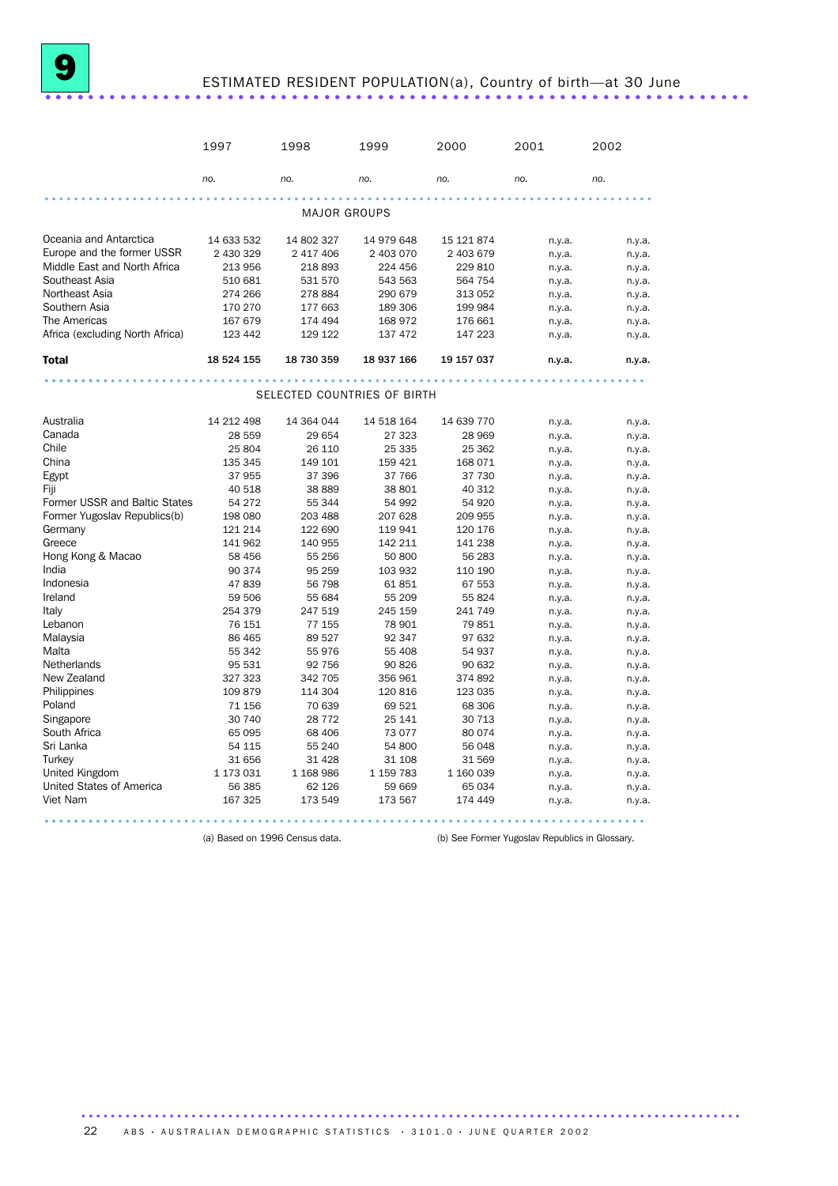# ESTIMATED RESIDENT POPULATION(a), Country of birth—at 30 June .................................................................. ....

|                                      | 1997              | 1998                        | 1999              | 2000              | 2001             | 2002             |
|--------------------------------------|-------------------|-----------------------------|-------------------|-------------------|------------------|------------------|
|                                      | no.               | no.                         | no.               | no.               | no.              | no.              |
|                                      |                   | <b>MAJOR GROUPS</b>         |                   |                   |                  |                  |
| Oceania and Antarctica               | 14 633 532        | 14 802 327                  | 14 979 648        | 15 121 874        | n.y.a.           | n.y.a.           |
| Europe and the former USSR           | 2 430 329         | 2 417 406                   | 2 403 070         | 2 403 679         | n.y.a.           | n.y.a.           |
| Middle East and North Africa         | 213 956           | 218 893                     | 224 456           | 229 810           | n.y.a.           | n.y.a.           |
| Southeast Asia                       | 510 681           | 531 570                     | 543 563           | 564 754           | n.y.a.           | n.y.a.           |
| Northeast Asia                       | 274 266           | 278 884                     | 290 679           | 313 052           | n.y.a.           | n.y.a.           |
| Southern Asia                        | 170 270           | 177 663                     | 189 306           | 199 984           | n.y.a.           | n.y.a.           |
| The Americas                         | 167 679           | 174 494                     | 168 972           | 176 661           | n.y.a.           | n.y.a.           |
| Africa (excluding North Africa)      | 123 442           | 129 122                     | 137 472           | 147 223           | n.y.a.           | n.y.a.           |
| <b>Total</b>                         | 18 524 155        | 18 730 359                  | 18 937 166        | 19 157 037        | n.y.a.           | n.y.a.           |
|                                      |                   |                             |                   |                   |                  |                  |
|                                      |                   | SELECTED COUNTRIES OF BIRTH |                   |                   |                  |                  |
| Australia                            | 14 212 498        | 14 364 044                  | 14 518 164        | 14 639 770        | n.y.a.           | n.y.a.           |
| Canada                               | 28 559            | 29 654                      | 27 323            | 28 969            | n.y.a.           | n.y.a.           |
| Chile                                | 25 804            | 26 110                      | 25 335            | 25 362            | n.y.a.           | n.y.a.           |
| China                                | 135 345           | 149 101                     | 159 421           | 168 071           | n.y.a.           | n.y.a.           |
| Egypt                                | 37 955            | 37 396                      | 37 766            | 37 730            | n.y.a.           | n.y.a.           |
| Fiji                                 | 40 518            | 38 889                      | 38 801            | 40 312            | n.y.a.           | n.y.a.           |
| Former USSR and Baltic States        | 54 272            | 55 344                      | 54 992            | 54 920            | n.y.a.           | n.y.a.           |
| Former Yugoslav Republics(b)         | 198 080           | 203 488                     | 207 628           | 209 955           | n.y.a.           | n.y.a.           |
| Germany                              | 121 214           | 122 690                     | 119 941           | 120 176           | n.y.a.           | n.y.a.           |
| Greece                               | 141 962           | 140 955                     | 142 211           | 141 238           | n.y.a.           | n.y.a.           |
| Hong Kong & Macao                    | 58 456            | 55 256                      | 50 800            | 56 283            | n.y.a.           | n.y.a.           |
| India                                | 90 374            | 95 259                      | 103 932           | 110 190           | n.y.a.           | n.y.a.           |
| Indonesia                            | 47839             | 56 798                      | 61851             | 67 553            | n.y.a.           | n.y.a.           |
| Ireland                              | 59 506            | 55 684                      | 55 209            | 55 824            | n.y.a.           | n.y.a.           |
| Italy                                | 254 379           | 247 519                     | 245 159           | 241 749           | n.y.a.           | n.y.a.           |
| Lebanon                              | 76 151            | 77 155                      | 78 901            | 79851             | n.y.a.           | n.y.a.           |
| Malaysia                             | 86 465            | 89 527                      | 92 347            | 97 632            | n.y.a.           | n.y.a.           |
| Malta                                | 55 342            | 55 976                      | 55 408            | 54 937            | n.y.a.           | n.y.a.           |
| Netherlands                          | 95 531            | 92 756                      | 90 826            | 90 632            | n.y.a.           | n.y.a.           |
| New Zealand                          | 327 323           | 342 705                     | 356 961           | 374 892           | n.y.a.           | n.y.a.           |
| Philippines                          | 109 879           | 114 304                     | 120 816           | 123 035           | n.y.a.           | n.y.a.           |
| Poland                               | 71 156            | 70 639                      | 69 521            | 68 30 6           | n.y.a.           | n.y.a.           |
| Singapore                            | 30 740            | 28 7 7 2                    | 25 141            | 30 713            | n.y.a.           | n.y.a.           |
| South Africa                         | 65 095            | 68 406                      | 73 0 77           | 80 0 74           | n.y.a.           | n.y.a.           |
| Sri Lanka                            | 54 115            | 55 240                      | 54 800            | 56 048            | n.y.a.           | n.y.a.           |
| Turkey                               | 31 656            | 31 4 28                     | 31 108            | 31 569            | n.y.a.           | n.y.a.           |
| United Kingdom                       | 1 173 031         | 1 168 986                   | 1 159 783         | 1 160 039         | n.y.a.           | n.y.a.           |
| United States of America<br>Viet Nam | 56 385<br>167 325 | 62 126<br>173 549           | 59 669<br>173 567 | 65 034<br>174 449 | n.y.a.<br>n.y.a. | n.y.a.<br>n.y.a. |
|                                      |                   |                             |                   |                   |                  |                  |

.................................................................................. .........

(a) Based on 1996 Census data. (b) See Former Yugoslav Republics in Glossary.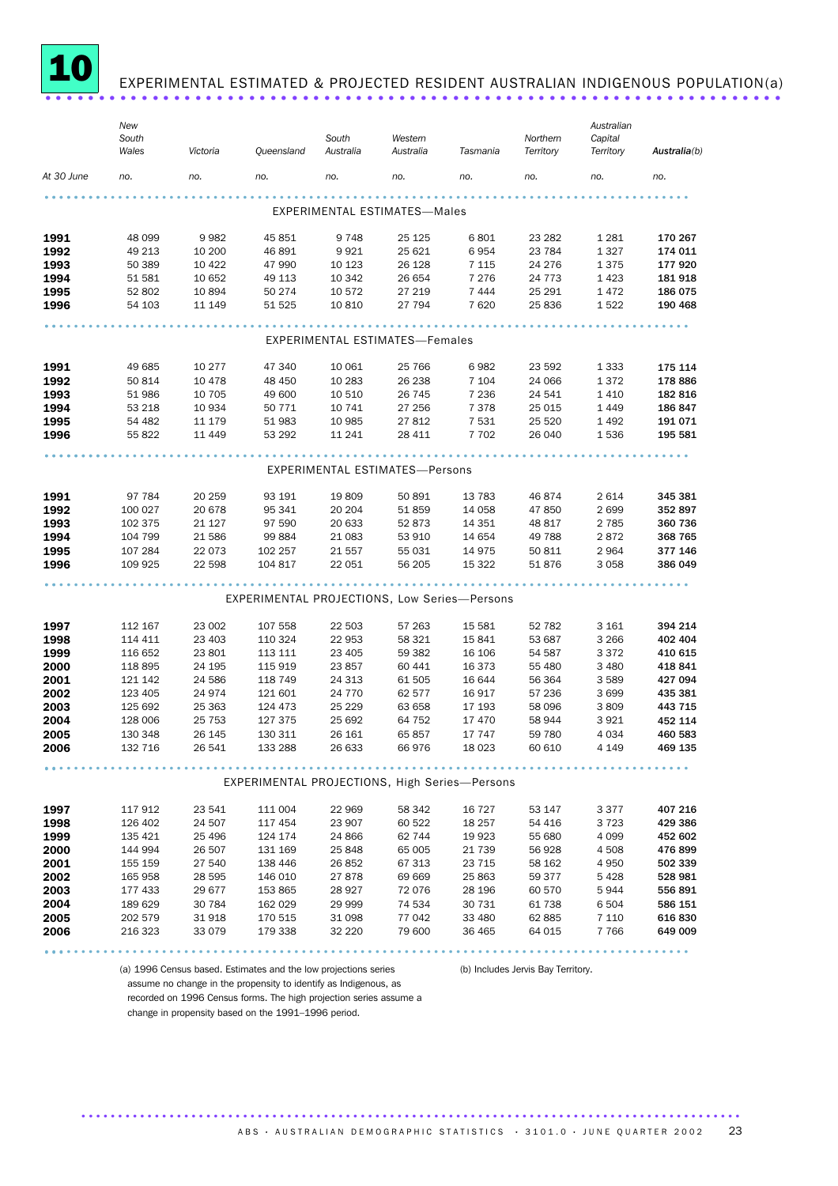

### EXPERIMENTAL ESTIMATED & PROJECTED RESIDENT AUSTRALIAN INDIGENOUS POPULATION(a)

|            | New     |          |                                               |           |                                     |          |           | Australian |              |
|------------|---------|----------|-----------------------------------------------|-----------|-------------------------------------|----------|-----------|------------|--------------|
|            | South   |          |                                               | South     | Western                             |          | Northern  | Capital    |              |
|            | Wales   | Victoria | Queensland                                    | Australia | Australia                           | Tasmania | Territory | Territory  | Australia(b) |
| At 30 June | no.     | no.      | no.                                           | no.       | no.                                 | no.      | no.       | no.        | no.          |
|            |         |          |                                               |           |                                     |          |           |            |              |
|            |         |          |                                               |           | <b>EXPERIMENTAL ESTIMATES-Males</b> |          |           |            |              |
| 1991       | 48 099  | 9982     | 45 851                                        | 9748      | 25 1 25                             | 6801     | 23 28 2   | 1 2 8 1    | 170 267      |
| 1992       | 49 213  | 10 200   | 46 891                                        | 9921      | 25 621                              | 6954     | 23 784    | 1 3 2 7    | 174 011      |
| 1993       | 50 389  | 10 4 22  | 47 990                                        | 10 123    | 26 1 28                             | 7 1 1 5  | 24 276    | 1375       | 177920       |
| 1994       | 51 581  | 10 652   | 49 113                                        | 10 342    | 26 654                              | 7 2 7 6  | 24 7 7 3  | 1423       | 181 918      |
| 1995       | 52 802  | 10894    | 50 274                                        | 10 572    | 27 219                              | 7444     | 25 291    | 1472       | 186 075      |
| 1996       | 54 103  | 11 149   | 51 525                                        | 10 810    | 27 794                              | 7620     | 25 836    | 1522       | 190 468      |
|            |         |          |                                               |           |                                     |          |           |            |              |
|            |         |          |                                               |           | EXPERIMENTAL ESTIMATES—Females      |          |           |            |              |
| 1991       | 49 685  | 10 277   | 47 340                                        | 10 061    | 25 766                              | 6982     | 23 592    | 1 3 3 3    | 175 114      |
| 1992       | 50 814  | 10 4 78  | 48 450                                        | 10 283    | 26 238                              | 7 1 0 4  | 24 066    | 1372       | 178 886      |
| 1993       | 51 986  | 10 705   | 49 600                                        | 10 510    | 26 745                              | 7 2 3 6  | 24 541    | 1410       | 182 816      |
| 1994       | 53 218  | 10 934   | 50 7 7 1                                      | 10 741    | 27 256                              | 7 3 7 8  | 25 015    | 1449       | 186 847      |
| 1995       | 54 482  | 11 179   | 51 983                                        | 10 985    | 27812                               | 7 5 3 1  | 25 5 20   | 1492       | 191 071      |
| 1996       | 55 822  | 11 449   | 53 292                                        | 11 241    | 28 411                              | 7 7 0 2  | 26 040    | 1536       | 195 581      |
|            |         |          |                                               |           |                                     |          |           |            |              |
|            |         |          |                                               |           | EXPERIMENTAL ESTIMATES-Persons      |          |           |            |              |
| 1991       | 97 784  | 20 259   | 93 191                                        | 19809     | 50 891                              | 13 783   | 46874     | 2614       | 345 381      |
| 1992       | 100 027 | 20 678   | 95 341                                        | 20 20 4   | 51 859                              | 14 0 58  | 47 850    | 2699       | 352 897      |
| 1993       | 102 375 | 21 1 27  | 97 590                                        | 20 633    | 52 873                              | 14 3 5 1 | 48 817    | 2 7 8 5    | 360 736      |
| 1994       | 104 799 | 21 586   | 99 884                                        | 21 083    | 53 910                              | 14 654   | 49 788    | 2872       | 368 765      |
| 1995       | 107 284 | 22 073   | 102 257                                       | 21 557    | 55 031                              | 14 975   | 50 811    | 2964       | 377 146      |
| 1996       | 109 925 | 22 598   | 104 817                                       | 22 051    | 56 205                              | 15 322   | 51 876    | 3 0 5 8    | 386 049      |
|            |         |          |                                               |           |                                     |          |           |            |              |
|            |         |          | EXPERIMENTAL PROJECTIONS, Low Series-Persons  |           |                                     |          |           |            |              |
| 1997       | 112 167 | 23 002   | 107 558                                       | 22 503    | 57 263                              | 15 5 81  | 52 782    | 3 1 6 1    | 394 214      |
| 1998       | 114 411 | 23 403   | 110 324                                       | 22 953    | 58 321                              | 15 841   | 53 687    | 3 2 6 6    | 402 404      |
| 1999       | 116 652 | 23 801   | 113 111                                       | 23 405    | 59 382                              | 16 106   | 54 587    | 3 3 7 2    | 410 615      |
| 2000       | 118 895 | 24 195   | 115 919                                       | 23857     | 60 441                              | 16 373   | 55 480    | 3 4 8 0    | 418 841      |
| 2001       | 121 142 | 24 586   | 118 749                                       | 24 313    | 61 505                              | 16 644   | 56 364    | 3589       | 427 094      |
| 2002       | 123 405 | 24974    | 121 601                                       | 24 7 7 0  | 62 577                              | 16 917   | 57 236    | 3699       | 435 381      |
| 2003       | 125 692 | 25 363   | 124 473                                       | 25 2 29   | 63 658                              | 17 193   | 58 096    | 3809       | 443 715      |
| 2004       | 128 006 | 25 7 53  | 127 375                                       | 25 692    | 64 752                              | 17 470   | 58 944    | 3921       | 452 114      |
| 2005       | 130 348 | 26 145   | 130 311                                       | 26 161    | 65857                               | 17 747   | 59 780    | 4 0 3 4    | 460 583      |
| 2006       | 132 716 | 26 541   | 133 288                                       | 26 633    | 66976                               | 18 0 23  | 60 610    | 4 1 4 9    | 469 135      |
|            |         |          |                                               |           |                                     |          |           |            |              |
|            |         |          | EXPERIMENTAL PROJECTIONS, High Series-Persons |           |                                     |          |           |            |              |
| 1997       | 117 912 | 23 541   | 111 004                                       | 22 969    | 58 342                              | 16 727   | 53 147    | 3 3 7 7    | 407 216      |
| 1998       | 126 402 | 24 507   | 117 454                                       | 23 907    | 60 522                              | 18 257   | 54 416    | 3723       | 429 386      |
| 1999       | 135 421 | 25 4 96  | 124 174                                       | 24 866    | 62 744                              | 19 923   | 55 680    | 4 0 9 9    | 452 602      |
| 2000       | 144 994 | 26 507   | 131 169                                       | 25 848    | 65 005                              | 21 739   | 56 928    | 4 5 0 8    | 476899       |
| 2001       | 155 159 | 27 540   | 138 446                                       | 26852     | 67 313                              | 23 715   | 58 162    | 4 9 5 0    | 502 339      |
| 2002       | 165 958 | 28 5 95  | 146 010                                       | 27878     | 69 669                              | 25 863   | 59 377    | 5428       | 528 981      |
| 2003       | 177 433 | 29 677   | 153 865                                       | 28 9 27   | 72 0 76                             | 28 196   | 60 570    | 5944       | 556 891      |
| 2004       | 189 629 | 30 784   | 162 029                                       | 29 999    | 74 534                              | 30 731   | 61 738    | 6 504      | 586 151      |
| 2005       | 202 579 | 31918    | 170 515                                       | 31 098    | 77 042                              | 33 480   | 62 885    | 7 1 1 0    | 616 830      |
| 2006       | 216 323 | 33 0 79  | 179 338                                       | 32 2 2 0  | 79 600                              | 36 465   | 64 015    | 7766       | 649 009      |
|            |         |          |                                               |           |                                     |          |           |            |              |
|            |         |          |                                               |           |                                     |          |           |            |              |

(a) 1996 Census based. Estimates and the low projections series

(b) Includes Jervis Bay Territory.

assume no change in the propensity to identify as Indigenous, as recorded on 1996 Census forms. The high projection series assume a change in propensity based on the 1991–1996 period.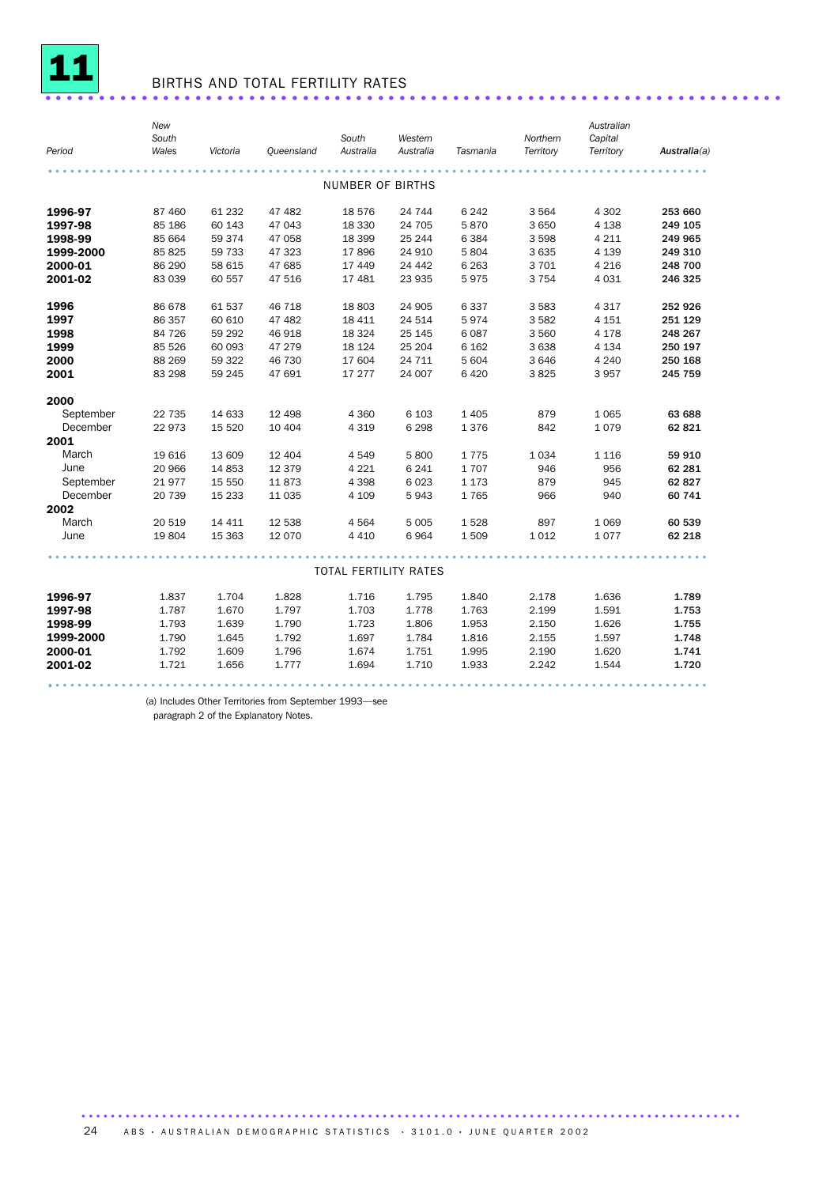

# <sup>11</sup> BIRTHS AND TOTAL FERTILITY RATES .....................................................................

|           | New<br>South |          |            | South                        | Western   |          | Northern  | Australian<br>Capital |              |
|-----------|--------------|----------|------------|------------------------------|-----------|----------|-----------|-----------------------|--------------|
| Period    | Wales        | Victoria | Queensland | Australia                    | Australia | Tasmania | Territory | Territory             | Australia(a) |
|           |              |          |            | <b>NUMBER OF BIRTHS</b>      |           |          |           |                       |              |
|           |              |          |            |                              |           |          |           |                       |              |
| 1996-97   | 87 460       | 61 232   | 47 482     | 18 576                       | 24 744    | 6 2 4 2  | 3564      | 4 3 0 2               | 253 660      |
| 1997-98   | 85 186       | 60 143   | 47 043     | 18 330                       | 24 705    | 5870     | 3 6 5 0   | 4 1 38                | 249 105      |
| 1998-99   | 85 664       | 59 374   | 47 058     | 18 399                       | 25 244    | 6 3 8 4  | 3 5 9 8   | 4 2 1 1               | 249 965      |
| 1999-2000 | 85 825       | 59 733   | 47 323     | 17896                        | 24 910    | 5 8 0 4  | 3 6 3 5   | 4 1 3 9               | 249 310      |
| 2000-01   | 86 290       | 58 615   | 47 685     | 17 449                       | 24 442    | 6 2 6 3  | 3701      | 4 2 1 6               | 248 700      |
| 2001-02   | 83 039       | 60 557   | 47 516     | 17 481                       | 23 935    | 5975     | 3 7 5 4   | 4 0 3 1               | 246 325      |
| 1996      | 86 678       | 61 537   | 46 718     | 18 803                       | 24 905    | 6 3 3 7  | 3 5 8 3   | 4 3 1 7               | 252 926      |
| 1997      | 86 357       | 60 610   | 47 482     | 18 411                       | 24 514    | 5974     | 3 5 8 2   | 4 1 5 1               | 251 129      |
| 1998      | 84 726       | 59 29 2  | 46 918     | 18 3 24                      | 25 145    | 6 0 8 7  | 3 5 6 0   | 4 1 7 8               | 248 267      |
| 1999      | 85 5 26      | 60 093   | 47 279     | 18 124                       | 25 204    | 6 1 6 2  | 3 6 3 8   | 4 1 3 4               | 250 197      |
| 2000      | 88 269       | 59 322   | 46 730     | 17 604                       | 24 711    | 5 604    | 3 6 4 6   | 4 2 4 0               | 250 168      |
| 2001      | 83 298       | 59 245   | 47 691     | 17 277                       | 24 007    | 6 4 20   | 3825      | 3957                  | 245 759      |
| 2000      |              |          |            |                              |           |          |           |                       |              |
| September | 22 735       | 14 633   | 12 4 98    | 4 3 6 0                      | 6 1 0 3   | 1 4 0 5  | 879       | 1 0 6 5               | 63 688       |
| December  | 22973        | 15 5 20  | 10 4 04    | 4 3 1 9                      | 6 2 9 8   | 1376     | 842       | 1079                  | 62 821       |
| 2001      |              |          |            |                              |           |          |           |                       |              |
| March     | 19 616       | 13 609   | 12 4 04    | 4549                         | 5800      | 1775     | 1034      | 1 1 1 6               | 59 910       |
| June      | 20 966       | 14 8 53  | 12 379     | 4 2 2 1                      | 6 2 4 1   | 1707     | 946       | 956                   | 62 281       |
| September | 21977        | 15 550   | 11873      | 4 3 9 8                      | 6 0 23    | 1 1 7 3  | 879       | 945                   | 62 827       |
| December  | 20 739       | 15 2 33  | 11 0 35    | 4 109                        | 5943      | 1765     | 966       | 940                   | 60 741       |
| 2002      |              |          |            |                              |           |          |           |                       |              |
| March     | 20 519       | 14 4 11  | 12 538     | 4564                         | 5 0 0 5   | 1528     | 897       | 1 0 6 9               | 60 539       |
| June      | 19804        | 15 3 63  | 12 0 70    | 4 4 1 0                      | 6964      | 1509     | 1012      | 1077                  | 62 218       |
|           |              |          |            |                              |           |          |           |                       |              |
|           |              |          |            | <b>TOTAL FERTILITY RATES</b> |           |          |           |                       |              |
| 1996-97   | 1.837        | 1.704    | 1.828      | 1.716                        | 1.795     | 1.840    | 2.178     | 1.636                 | 1.789        |
| 1997-98   | 1.787        | 1.670    | 1.797      | 1.703                        | 1.778     | 1.763    | 2.199     | 1.591                 | 1.753        |
| 1998-99   | 1.793        | 1.639    | 1.790      | 1.723                        | 1.806     | 1.953    | 2.150     | 1.626                 | 1.755        |
| 1999-2000 | 1.790        | 1.645    | 1.792      | 1.697                        | 1.784     | 1.816    | 2.155     | 1.597                 | 1.748        |
| 2000-01   | 1.792        | 1.609    | 1.796      | 1.674                        | 1.751     | 1.995    | 2.190     | 1.620                 | 1.741        |
| 2001-02   | 1.721        | 1.656    | 1.777      | 1.694                        | 1.710     | 1.933    | 2.242     | 1.544                 | 1.720        |
|           |              |          |            |                              |           |          |           |                       |              |

(a) Includes Other Territories from September 1993—see

paragraph 2 of the Explanatory Notes.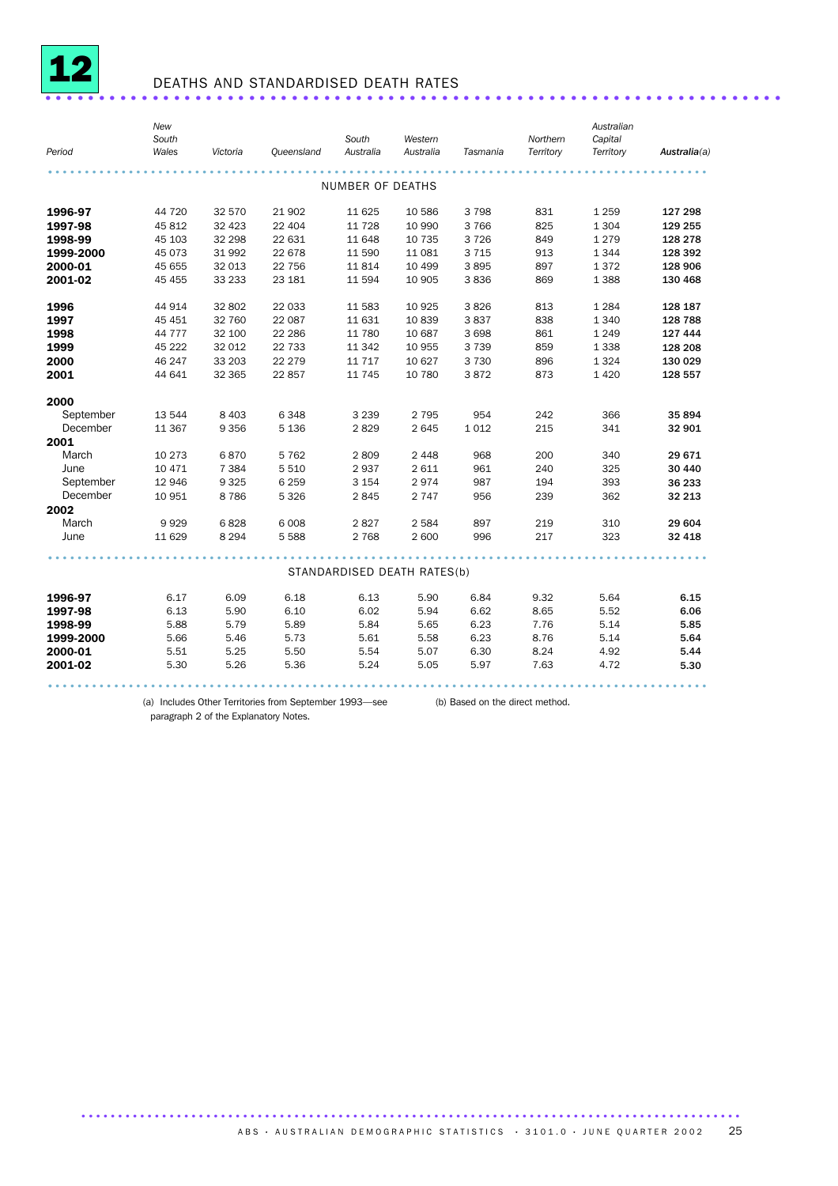

## DEATHS AND STANDARDISED DEATH RATES .....................................................................

| Period    | New<br>South<br>Wales | Victoria | Queensland | South<br>Australia          | Western<br>Australia | Tasmania | Northern<br>Territory | Australian<br>Capital<br>Territory | Australia(a) |
|-----------|-----------------------|----------|------------|-----------------------------|----------------------|----------|-----------------------|------------------------------------|--------------|
|           |                       |          |            |                             |                      |          |                       |                                    |              |
|           |                       |          |            | NUMBER OF DEATHS            |                      |          |                       |                                    |              |
|           |                       |          |            |                             |                      |          |                       |                                    |              |
| 1996-97   | 44 720                | 32 570   | 21 902     | 11 625                      | 10 586               | 3 7 9 8  | 831                   | 1 2 5 9                            | 127 298      |
| 1997-98   | 45 812                | 32 4 23  | 22 404     | 11 728                      | 10 990               | 3 7 6 6  | 825                   | 1 3 0 4                            | 129 255      |
| 1998-99   | 45 103                | 32 298   | 22 631     | 11 648                      | 10 735               | 3 7 2 6  | 849                   | 1 2 7 9                            | 128 278      |
| 1999-2000 | 45 073                | 31 992   | 22 678     | 11 590                      | 11 081               | 3 7 1 5  | 913                   | 1 3 4 4                            | 128 392      |
| 2000-01   | 45 655                | 32 013   | 22 756     | 11 8 14                     | 10 499               | 3895     | 897                   | 1372                               | 128 906      |
| 2001-02   | 45 455                | 33 233   | 23 181     | 11 594                      | 10 905               | 3836     | 869                   | 1 3 8 8                            | 130 468      |
| 1996      | 44 914                | 32 802   | 22 033     | 11 583                      | 10 9 25              | 3826     | 813                   | 1 2 8 4                            | 128 187      |
| 1997      | 45 451                | 32 760   | 22 087     | 11 631                      | 10 839               | 3837     | 838                   | 1 3 4 0                            | 128 788      |
| 1998      | 44 7 7 7              | 32 100   | 22 286     | 11 780                      | 10 687               | 3 6 9 8  | 861                   | 1 2 4 9                            | 127 444      |
| 1999      | 45 222                | 32 012   | 22 733     | 11 342                      | 10 955               | 3 7 3 9  | 859                   | 1 3 3 8                            | 128 208      |
| 2000      | 46 247                | 33 203   | 22 279     | 11 7 17                     | 10 627               | 3 7 3 0  | 896                   | 1 3 2 4                            | 130 029      |
| 2001      | 44 641                | 32 365   | 22 857     | 11 745                      | 10 780               | 3872     | 873                   | 1 4 2 0                            | 128 557      |
| 2000      |                       |          |            |                             |                      |          |                       |                                    |              |
| September | 13 544                | 8 4 0 3  | 6 3 4 8    | 3 2 3 9                     | 2 7 9 5              | 954      | 242                   | 366                                | 35 894       |
| December  | 11 367                | 9 3 5 6  | 5 1 3 6    | 2829                        | 2645                 | 1 0 1 2  | 215                   | 341                                | 32 901       |
| 2001      |                       |          |            |                             |                      |          |                       |                                    |              |
| March     | 10 273                | 6870     | 5 7 6 2    | 2809                        | 2 4 4 8              | 968      | 200                   | 340                                | 29671        |
| June      | 10 471                | 7 3 8 4  | 5 5 1 0    | 2937                        | 2 6 1 1              | 961      | 240                   | 325                                | 30 440       |
| September | 12 946                | 9 3 2 5  | 6 2 5 9    | 3 1 5 4                     | 2974                 | 987      | 194                   | 393                                | 36 233       |
| December  | 10 951                | 8786     | 5 3 2 6    | 2845                        | 2 7 4 7              | 956      | 239                   | 362                                | 32 213       |
| 2002      |                       |          |            |                             |                      |          |                       |                                    |              |
| March     | 9929                  | 6828     | 6 0 08     | 2827                        | 2 5 8 4              | 897      | 219                   | 310                                | 29 604       |
| June      | 11 629                | 8 2 9 4  | 5 5 8 8    | 2 7 6 8                     | 2 600                | 996      | 217                   | 323                                | 32 418       |
|           |                       |          |            |                             |                      |          |                       |                                    |              |
|           |                       |          |            | STANDARDISED DEATH RATES(b) |                      |          |                       |                                    |              |
| 1996-97   | 6.17                  | 6.09     | 6.18       | 6.13                        | 5.90                 | 6.84     | 9.32                  | 5.64                               | 6.15         |
| 1997-98   | 6.13                  | 5.90     | 6.10       | 6.02                        | 5.94                 | 6.62     | 8.65                  | 5.52                               | 6.06         |
| 1998-99   | 5.88                  | 5.79     | 5.89       | 5.84                        | 5.65                 | 6.23     | 7.76                  | 5.14                               | 5.85         |
| 1999-2000 | 5.66                  | 5.46     | 5.73       | 5.61                        | 5.58                 | 6.23     | 8.76                  | 5.14                               | 5.64         |
| 2000-01   | 5.51                  | 5.25     | 5.50       | 5.54                        | 5.07                 | 6.30     | 8.24                  | 4.92                               | 5.44         |
| 2001-02   | 5.30                  | 5.26     | 5.36       | 5.24                        | 5.05                 | 5.97     | 7.63                  | 4.72                               | 5.30         |
|           |                       |          |            |                             |                      |          |                       |                                    |              |

(a) Includes Other Territories from September 1993—see (b) Based on the direct method.paragraph 2 of the Explanatory Notes.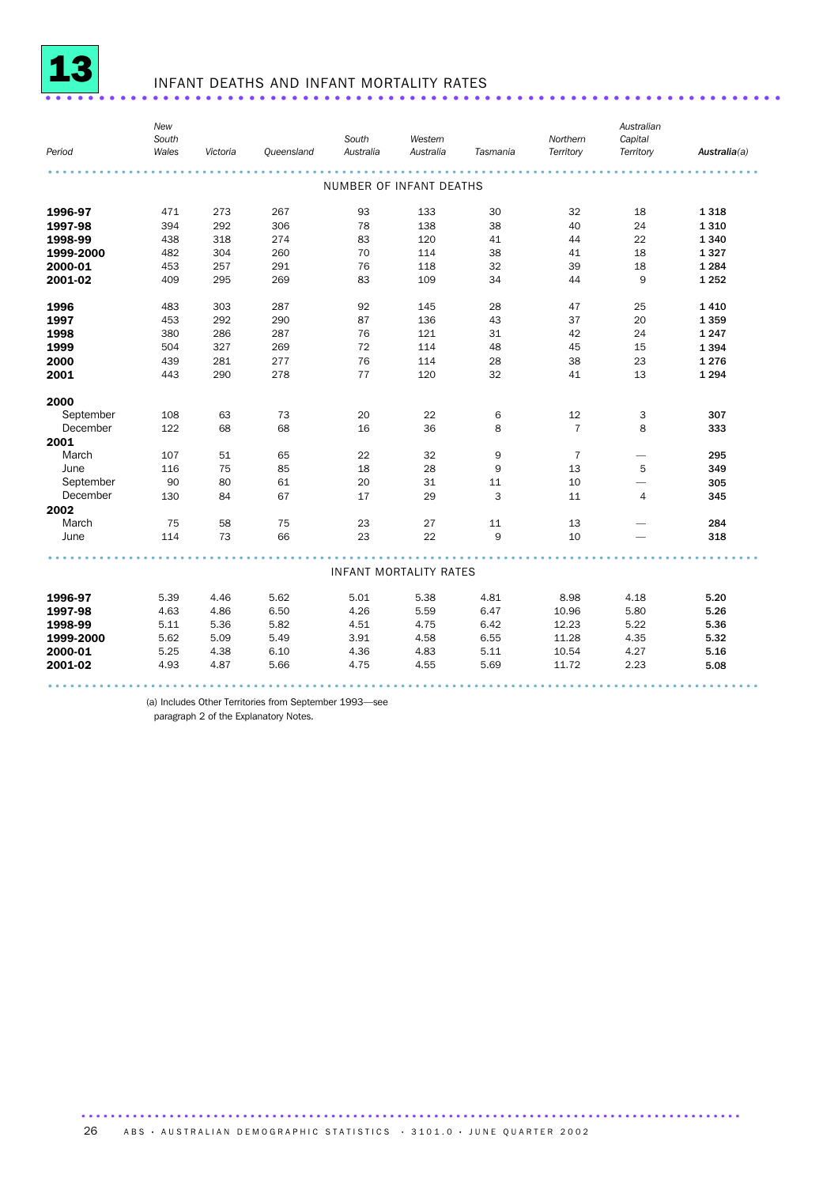

## <sup>13</sup> INFANT DEATHS AND INFANT MORTALITY RATES .....................................................................

| Period           | New<br>South<br>Wales | Victoria | Queensland | South<br>Australia            | Western<br>Australia | Tasmania | Northern<br>Territory | Australian<br>Capital<br>Territory | Australia(a) |
|------------------|-----------------------|----------|------------|-------------------------------|----------------------|----------|-----------------------|------------------------------------|--------------|
|                  |                       |          |            | NUMBER OF INFANT DEATHS       |                      |          |                       |                                    |              |
| 1996-97          | 471                   | 273      | 267        | 93                            | 133                  | 30       | 32                    | 18                                 | 1318         |
| 1997-98          | 394                   | 292      | 306        | 78                            | 138                  | 38       | 40                    | 24                                 | 1310         |
| 1998-99          | 438                   | 318      | 274        | 83                            | 120                  | 41       | 44                    | 22                                 | 1 3 4 0      |
| 1999-2000        | 482                   | 304      | 260        | 70                            | 114                  | 38       | 41                    | 18                                 | 1327         |
| 2000-01          | 453                   | 257      | 291        | 76                            | 118                  | 32       | 39                    | 18                                 | 1 2 8 4      |
| 2001-02          | 409                   | 295      | 269        | 83                            | 109                  | 34       | 44                    | 9                                  | 1 2 5 2      |
| 1996             | 483                   | 303      | 287        | 92                            | 145                  | 28       | 47                    | 25                                 | 1410         |
| 1997             | 453                   | 292      | 290        | 87                            | 136                  | 43       | 37                    | 20                                 | 1359         |
| 1998             | 380                   | 286      | 287        | 76                            | 121                  | 31       | 42                    | 24                                 | 1 2 4 7      |
| 1999             | 504                   | 327      | 269        | 72                            | 114                  | 48       | 45                    | 15                                 | 1394         |
| 2000             | 439                   | 281      | 277        | 76                            | 114                  | 28       | 38                    | 23                                 | 1 2 7 6      |
| 2001             | 443                   | 290      | 278        | 77                            | 120                  | 32       | 41                    | 13                                 | 1 2 9 4      |
| 2000             |                       |          |            |                               |                      |          |                       |                                    |              |
| September        | 108                   | 63       | 73         | 20                            | 22                   | 6        | 12                    | 3                                  | 307          |
| December         | 122                   | 68       | 68         | 16                            | 36                   | 8        | $\overline{7}$        | 8                                  | 333          |
| 2001             |                       |          |            |                               |                      |          |                       |                                    |              |
| March            | 107                   | 51       | 65         | 22                            | 32                   | 9        | $\overline{7}$        | -                                  | 295          |
| June             | 116                   | 75       | 85         | 18                            | 28                   | 9        | 13                    | 5                                  | 349          |
| September        | 90                    | 80       | 61         | 20                            | 31                   | 11       | 10                    | -                                  | 305          |
| December<br>2002 | 130                   | 84       | 67         | 17                            | 29                   | 3        | 11                    | $\overline{4}$                     | 345          |
| March            | 75                    | 58       | 75         | 23                            | 27                   | 11       | 13                    |                                    | 284          |
| June             | 114                   | 73       | 66         | 23                            | 22                   | 9        | 10                    |                                    | 318          |
|                  |                       |          |            | <b>INFANT MORTALITY RATES</b> |                      |          |                       |                                    |              |
| 1996-97          | 5.39                  | 4.46     | 5.62       | 5.01                          | 5.38                 | 4.81     | 8.98                  | 4.18                               | 5.20         |
| 1997-98          | 4.63                  | 4.86     | 6.50       | 4.26                          | 5.59                 | 6.47     | 10.96                 | 5.80                               | 5.26         |
| 1998-99          | 5.11                  | 5.36     | 5.82       | 4.51                          | 4.75                 | 6.42     | 12.23                 | 5.22                               | 5.36         |
| 1999-2000        | 5.62                  | 5.09     | 5.49       | 3.91                          | 4.58                 | 6.55     | 11.28                 | 4.35                               | 5.32         |
| 2000-01          | 5.25                  | 4.38     | 6.10       | 4.36                          | 4.83                 | 5.11     | 10.54                 | 4.27                               | 5.16         |
| 2001-02          | 4.93                  | 4.87     | 5.66       | 4.75                          | 4.55                 | 5.69     | 11.72                 | 2.23                               | 5.08         |
|                  |                       |          |            |                               |                      |          |                       |                                    |              |

(a) Includes Other Territories from September 1993—see

paragraph 2 of the Explanatory Notes.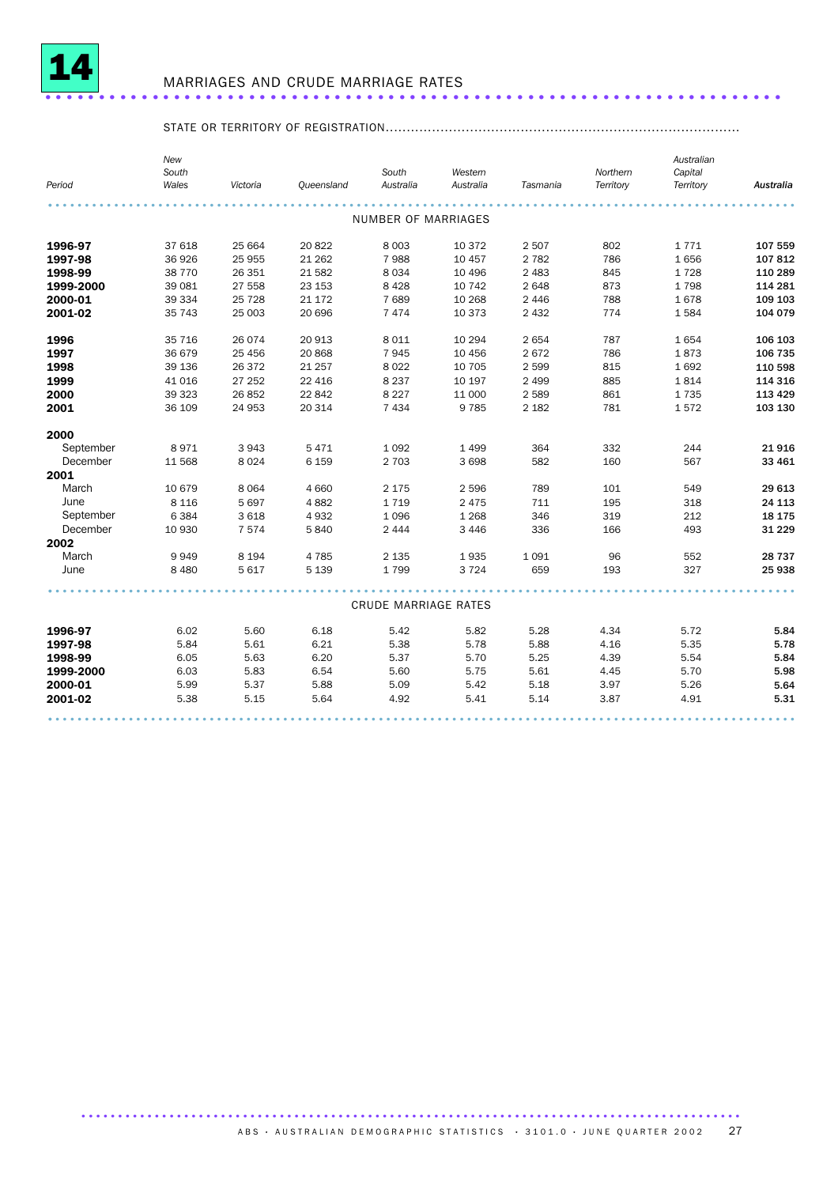

## MARRIAGES AND CRUDE MARRIAGE RATES .....................................................................

### STATE OR TERRITORY OF REGISTRATION....................................................................................

| Period    | New<br>South<br>Wales | Victoria | Queensland | South<br>Australia          | Western<br>Australia | Tasmania | Northern<br>Territory | Australian<br>Capital<br>Territory | Australia |
|-----------|-----------------------|----------|------------|-----------------------------|----------------------|----------|-----------------------|------------------------------------|-----------|
|           |                       |          |            | <b>NUMBER OF MARRIAGES</b>  |                      |          |                       |                                    |           |
|           |                       |          |            |                             |                      |          |                       |                                    |           |
| 1996-97   | 37 618                | 25 664   | 20822      | 8 0 0 3                     | 10 372               | 2 5 0 7  | 802                   | 1771                               | 107 559   |
| 1997-98   | 36 926                | 25 955   | 21 2 62    | 7988                        | 10 457               | 2 7 8 2  | 786                   | 1656                               | 107812    |
| 1998-99   | 38 770                | 26 351   | 21 5 82    | 8 0 3 4                     | 10 4 9 6             | 2 4 8 3  | 845                   | 1728                               | 110 289   |
| 1999-2000 | 39 081                | 27 558   | 23 153     | 8 4 2 8                     | 10 742               | 2648     | 873                   | 1798                               | 114 281   |
| 2000-01   | 39 334                | 25 7 28  | 21 172     | 7689                        | 10 268               | 2 4 4 6  | 788                   | 1678                               | 109 103   |
| 2001-02   | 35 743                | 25 003   | 20 696     | 7 4 7 4                     | 10 373               | 2 4 3 2  | 774                   | 1584                               | 104 079   |
| 1996      | 35 716                | 26 0 74  | 20 913     | 8 0 1 1                     | 10 294               | 2654     | 787                   | 1654                               | 106 103   |
| 1997      | 36 679                | 25 4 56  | 20 868     | 7945                        | 10 45 6              | 2672     | 786                   | 1873                               | 106 735   |
| 1998      | 39 136                | 26 372   | 21 257     | 8 0 2 2                     | 10 705               | 2 5 9 9  | 815                   | 1692                               | 110 598   |
| 1999      | 41 016                | 27 252   | 22 4 16    | 8 2 3 7                     | 10 197               | 2 4 9 9  | 885                   | 1814                               | 114 316   |
| 2000      | 39 323                | 26 852   | 22 842     | 8 2 2 7                     | 11 000               | 2 5 8 9  | 861                   | 1735                               | 113 429   |
| 2001      | 36 109                | 24 953   | 20 314     | 7 4 3 4                     | 9785                 | 2 1 8 2  | 781                   | 1572                               | 103 130   |
| 2000      |                       |          |            |                             |                      |          |                       |                                    |           |
| September | 8971                  | 3943     | 5471       | 1 0 9 2                     | 1 4 9 9              | 364      | 332                   | 244                                | 21916     |
| December  | 11 568                | 8024     | 6 1 5 9    | 2 703                       | 3698                 | 582      | 160                   | 567                                | 33 461    |
| 2001      |                       |          |            |                             |                      |          |                       |                                    |           |
| March     | 10 679                | 8 0 6 4  | 4 6 6 0    | 2 1 7 5                     | 2 5 9 6              | 789      | 101                   | 549                                | 29 613    |
| June      | 8 1 1 6               | 5 6 9 7  | 4882       | 1719                        | 2 4 7 5              | 711      | 195                   | 318                                | 24 113    |
| September | 6 3 8 4               | 3618     | 4932       | 1 0 9 6                     | 1 2 6 8              | 346      | 319                   | 212                                | 18 175    |
| December  | 10 930                | 7574     | 5840       | 2 4 4 4                     | 3 4 4 6              | 336      | 166                   | 493                                | 31 2 2 9  |
| 2002      |                       |          |            |                             |                      |          |                       |                                    |           |
| March     | 9949                  | 8 1 9 4  | 4 7 8 5    | 2 1 3 5                     | 1935                 | 1091     | 96                    | 552                                | 28 737    |
| June      | 8 4 8 0               | 5 6 1 7  | 5 1 3 9    | 1799                        | 3 7 2 4              | 659      | 193                   | 327                                | 25 938    |
|           |                       |          |            |                             |                      |          |                       |                                    |           |
|           |                       |          |            | <b>CRUDE MARRIAGE RATES</b> |                      |          |                       |                                    |           |
| 1996-97   | 6.02                  | 5.60     | 6.18       | 5.42                        | 5.82                 | 5.28     | 4.34                  | 5.72                               | 5.84      |
| 1997-98   | 5.84                  | 5.61     | 6.21       | 5.38                        | 5.78                 | 5.88     | 4.16                  | 5.35                               | 5.78      |
| 1998-99   | 6.05                  | 5.63     | 6.20       | 5.37                        | 5.70                 | 5.25     | 4.39                  | 5.54                               | 5.84      |
| 1999-2000 | 6.03                  | 5.83     | 6.54       | 5.60                        | 5.75                 | 5.61     | 4.45                  | 5.70                               | 5.98      |
| 2000-01   | 5.99                  | 5.37     | 5.88       | 5.09                        | 5.42                 | 5.18     | 3.97                  | 5.26                               | 5.64      |
| 2001-02   | 5.38                  | 5.15     | 5.64       | 4.92                        | 5.41                 | 5.14     | 3.87                  | 4.91                               | 5.31      |
|           |                       |          |            |                             |                      |          |                       |                                    |           |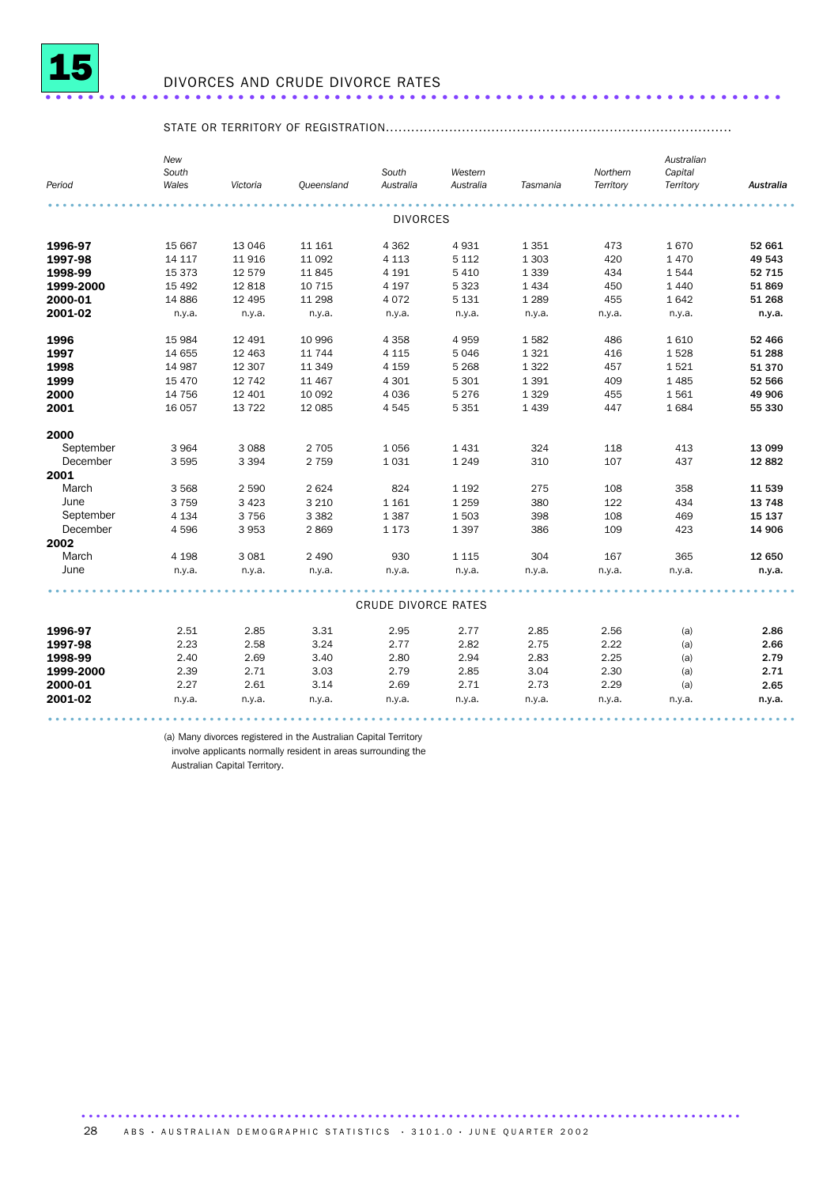

## DIVORCES AND CRUDE DIVORCE RATES .....................................................................

### STATE OR TERRITORY OF REGISTRATION..................................................................................

|           | New<br>South |          |            | South                      | Western   |          | Northern  | Australian<br>Capital |                  |
|-----------|--------------|----------|------------|----------------------------|-----------|----------|-----------|-----------------------|------------------|
| Period    | Wales        | Victoria | Queensland | Australia                  | Australia | Tasmania | Territory | Territory             | <b>Australia</b> |
|           |              |          |            |                            |           |          |           |                       |                  |
|           |              |          |            | <b>DIVORCES</b>            |           |          |           |                       |                  |
| 1996-97   | 15 667       | 13 046   | 11 161     | 4 3 6 2                    | 4931      | 1 3 5 1  | 473       | 1670                  | 52 661           |
| 1997-98   | 14 117       | 11 916   | 11 092     | 4 1 1 3                    | 5 1 1 2   | 1 3 0 3  | 420       | 1470                  | 49 543           |
| 1998-99   | 15 373       | 12 579   | 11 845     | 4 1 9 1                    | 5 4 1 0   | 1 3 3 9  | 434       | 1544                  | 52 715           |
| 1999-2000 | 15 4 92      | 12 818   | 10 715     | 4 1 9 7                    | 5 3 2 3   | 1 4 3 4  | 450       | 1 4 4 0               | 51869            |
| 2000-01   | 14 8 86      | 12 4 95  | 11 298     | 4 0 7 2                    | 5 1 3 1   | 1 2 8 9  | 455       | 1642                  | 51 268           |
| 2001-02   | n.y.a.       | n.y.a.   | n.y.a.     | n.y.a.                     | n.y.a.    | n.y.a.   | n.y.a.    | n.y.a.                | n.y.a.           |
| 1996      | 15 984       | 12 491   | 10 996     | 4 3 5 8                    | 4959      | 1582     | 486       | 1610                  | 52 466           |
| 1997      | 14 655       | 12 4 63  | 11 744     | 4 1 1 5                    | 5046      | 1 3 2 1  | 416       | 1528                  | 51 288           |
| 1998      | 14 987       | 12 307   | 11 349     | 4 1 5 9                    | 5 2 6 8   | 1 3 2 2  | 457       | 1521                  | 51 370           |
| 1999      | 15 4 70      | 12 742   | 11 467     | 4 3 0 1                    | 5 3 0 1   | 1 3 9 1  | 409       | 1485                  | 52 566           |
| 2000      | 14 756       | 12 401   | 10 092     | 4 0 3 6                    | 5 2 7 6   | 1 3 2 9  | 455       | 1561                  | 49 906           |
| 2001      | 16 057       | 13 722   | 12 085     | 4545                       | 5 3 5 1   | 1 4 3 9  | 447       | 1684                  | 55 330           |
| 2000      |              |          |            |                            |           |          |           |                       |                  |
| September | 3 9 6 4      | 3 0 8 8  | 2 7 0 5    | 1056                       | 1431      | 324      | 118       | 413                   | 13 099           |
| December  | 3 5 9 5      | 3 3 9 4  | 2 7 5 9    | 1 0 3 1                    | 1 2 4 9   | 310      | 107       | 437                   | 12 8 82          |
| 2001      |              |          |            |                            |           |          |           |                       |                  |
| March     | 3 5 6 8      | 2 5 9 0  | 2 6 2 4    | 824                        | 1 1 9 2   | 275      | 108       | 358                   | 11 539           |
| June      | 3 7 5 9      | 3 4 2 3  | 3 2 1 0    | 1 1 6 1                    | 1 2 5 9   | 380      | 122       | 434                   | 13 748           |
| September | 4 1 3 4      | 3756     | 3 3 8 2    | 1 3 8 7                    | 1503      | 398      | 108       | 469                   | 15 137           |
| December  | 4596         | 3 9 5 3  | 2869       | 1 1 7 3                    | 1397      | 386      | 109       | 423                   | 14 906           |
| 2002      |              |          |            |                            |           |          |           |                       |                  |
| March     | 4 1 9 8      | 3 0 8 1  | 2 4 9 0    | 930                        | 1 1 1 5   | 304      | 167       | 365                   | 12 650           |
| June      | n.y.a.       | n.y.a.   | n.y.a.     | n.y.a.                     | n.y.a.    | n.y.a.   | n.y.a.    | n.y.a.                | n.y.a.           |
|           |              |          |            | <b>CRUDE DIVORCE RATES</b> |           |          |           |                       |                  |
|           |              |          |            |                            |           |          |           |                       |                  |
| 1996-97   | 2.51         | 2.85     | 3.31       | 2.95                       | 2.77      | 2.85     | 2.56      | (a)                   | 2.86             |
| 1997-98   | 2.23         | 2.58     | 3.24       | 2.77                       | 2.82      | 2.75     | 2.22      | (a)                   | 2.66             |
| 1998-99   | 2.40         | 2.69     | 3.40       | 2.80                       | 2.94      | 2.83     | 2.25      | (a)                   | 2.79             |
| 1999-2000 | 2.39         | 2.71     | 3.03       | 2.79                       | 2.85      | 3.04     | 2.30      | (a)                   | 2.71             |
| 2000-01   | 2.27         | 2.61     | 3.14       | 2.69                       | 2.71      | 2.73     | 2.29      | (a)                   | 2.65             |
| 2001-02   | n.y.a.       | n.y.a.   | n.y.a.     | n.y.a.                     | n.y.a.    | n.y.a.   | n.y.a.    | n.y.a.                | n.y.a.           |
|           |              |          |            |                            |           |          |           |                       |                  |

(a) Many divorces registered in the Australian Capital Territory

involve applicants normally resident in areas surrounding the

Australian Capital Territory.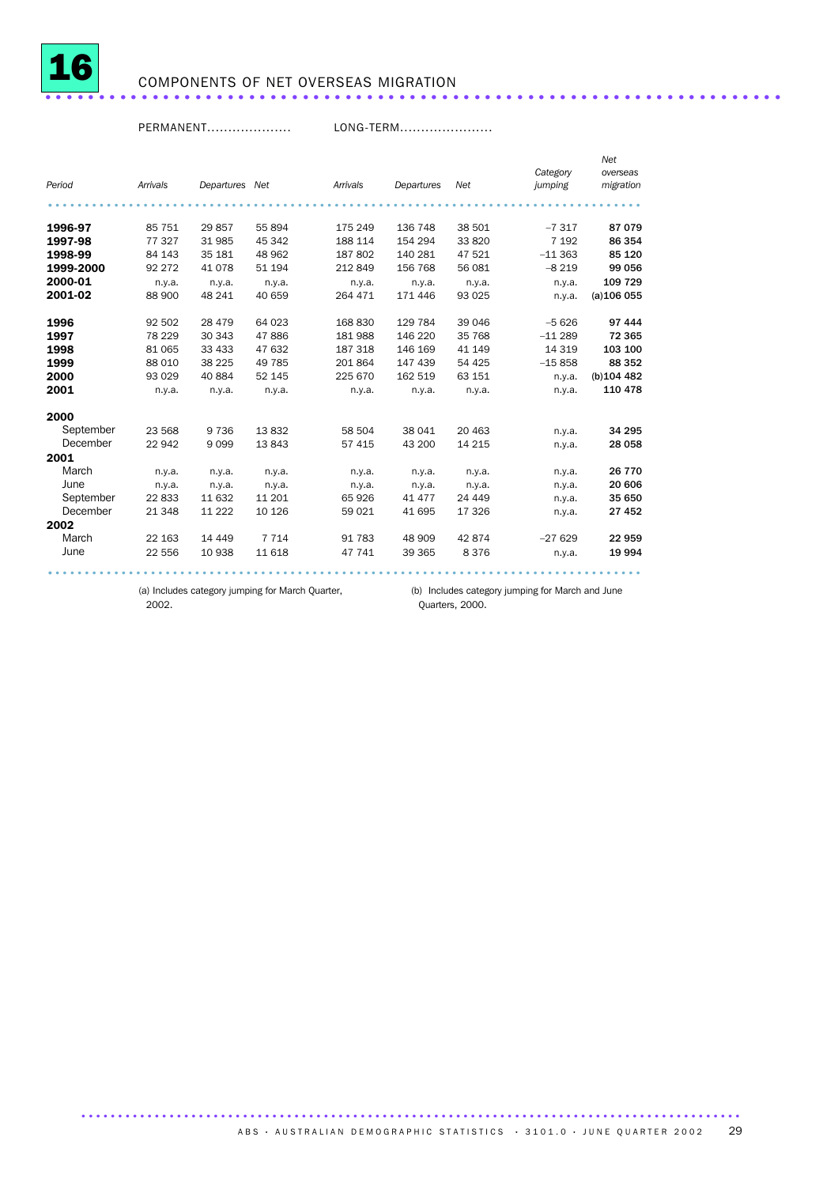

## <sup>16</sup> COMPONENTS OF NET OVERSEAS MIGRATION .....................................................................

PERMANENT.................... LONG-TERM......................

|           |          |                |         |          |            |          |          | Net           |
|-----------|----------|----------------|---------|----------|------------|----------|----------|---------------|
|           |          |                |         |          |            |          | Category | overseas      |
| Period    | Arrivals | Departures Net |         | Arrivals | Departures | Net      | jumping  | migration     |
|           |          |                |         |          |            |          |          |               |
| 1996-97   | 85 751   | 29 857         | 55 894  | 175 249  | 136 748    | 38 501   | $-7317$  | 87 079        |
| 1997-98   | 77327    | 31 985         | 45 342  | 188 114  | 154 294    | 33 820   | 7 1 9 2  | 86 354        |
| 1998-99   | 84 143   | 35 181         | 48 962  | 187 802  | 140 281    | 47 521   | $-11363$ | 85 120        |
| 1999-2000 | 92 272   | 41 0 78        | 51 194  | 212849   | 156 768    | 56 081   | $-8219$  | 99 056        |
| 2000-01   | n.y.a.   | n.y.a.         | n.y.a.  | n.y.a.   | n.y.a.     | n.y.a.   | n.y.a.   | 109 729       |
| 2001-02   | 88 900   | 48 241         | 40 659  | 264 471  | 171 446    | 93 0 25  | n.y.a.   | $(a)$ 106 055 |
|           |          |                |         |          |            |          |          |               |
| 1996      | 92 502   | 28 479         | 64 023  | 168 830  | 129 784    | 39 046   | $-5626$  | 97 444        |
| 1997      | 78 229   | 30 343         | 47886   | 181 988  | 146 220    | 35 768   | $-11289$ | 72 365        |
| 1998      | 81 065   | 33 433         | 47 632  | 187 318  | 146 169    | 41 149   | 14 3 19  | 103 100       |
| 1999      | 88 010   | 38 2 25        | 49 785  | 201864   | 147 439    | 54 425   | $-15858$ | 88 352        |
| 2000      | 93 0 29  | 40 884         | 52 145  | 225 670  | 162 519    | 63 151   | n.y.a.   | (b) 104 482   |
| 2001      | n.y.a.   | n.y.a.         | n.y.a.  | n.y.a.   | n.y.a.     | n.y.a.   | n.y.a.   | 110 478       |
|           |          |                |         |          |            |          |          |               |
| 2000      |          |                |         |          |            |          |          |               |
| September | 23 568   | 9 7 3 6        | 13832   | 58 504   | 38 041     | 20 4 63  | n.y.a.   | 34 295        |
| December  | 22 942   | 9099           | 13843   | 57 415   | 43 200     | 14 215   | n.y.a.   | 28 058        |
| 2001      |          |                |         |          |            |          |          |               |
| March     | n.y.a.   | n.y.a.         | n.y.a.  | n.y.a.   | n.y.a.     | n.y.a.   | n.y.a.   | 26 770        |
| June      | n.y.a.   | n.y.a.         | n.y.a.  | n.y.a.   | n.y.a.     | n.y.a.   | n.y.a.   | 20 606        |
| September | 22833    | 11 632         | 11 201  | 65 926   | 41 477     | 24 4 4 9 | n.y.a.   | 35 650        |
| December  | 21 348   | 11 2 22        | 10 126  | 59 0 21  | 41 695     | 17 326   | n.y.a.   | 27 452        |
| 2002      |          |                |         |          |            |          |          |               |
| March     | 22 163   | 14 4 4 9       | 7 7 1 4 | 91 783   | 48 909     | 42874    | $-27629$ | 22 959        |
| June      | 22 556   | 10 938         | 11 618  | 47 741   | 39 365     | 8 3 7 6  | n.y.a.   | 19 994        |
|           |          |                |         |          |            |          |          |               |

................................................................................. .

2002.

(a) Includes category jumping for March Quarter, (b) Includes category jumping for March and June Quarters, 2000.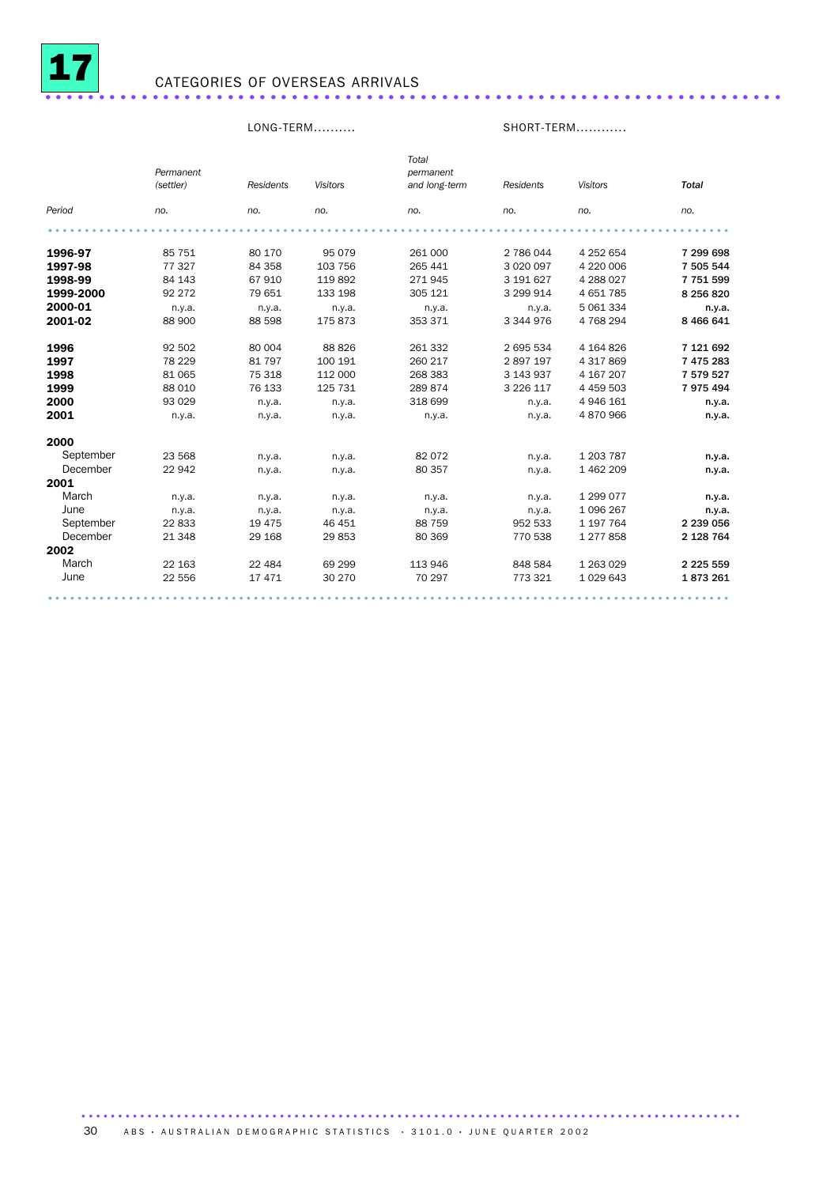

## <sup>17</sup> CATEGORIES OF OVERSEAS ARRIVALS .....................................................................

### LONG-TERM.......... SHORT-TERM............

|           | Permanent |           |                 | Total<br>permanent |               |                 |               |
|-----------|-----------|-----------|-----------------|--------------------|---------------|-----------------|---------------|
|           | (settler) | Residents | <b>Visitors</b> | and long-term      | Residents     | <b>Visitors</b> | <b>Total</b>  |
| Period    | no.       | no.       | no.             | no.                | no.           | no.             | no.           |
|           |           |           |                 |                    |               |                 |               |
| 1996-97   | 85 751    | 80 170    | 95 0 79         | 261 000            | 2 786 044     | 4 252 654       | 7 299 698     |
| 1997-98   | 77327     | 84 358    | 103 756         | 265 441            | 3 0 20 0 97   | 4 220 006       | 7 505 544     |
| 1998-99   | 84 143    | 67910     | 119892          | 271945             | 3 191 627     | 4 288 027       | 7751599       |
| 1999-2000 | 92 272    | 79 651    | 133 198         | 305 121            | 3 299 914     | 4 651 785       | 8 256 820     |
| 2000-01   | n.y.a.    | n.y.a.    | n.y.a.          | n.y.a.             | n.y.a.        | 5 061 334       | n.y.a.        |
| 2001-02   | 88 900    | 88 598    | 175 873         | 353 371            | 3 344 976     | 4 768 294       | 8 4 6 6 6 4 1 |
| 1996      | 92 502    | 80 004    | 88 8 26         | 261 332            | 2 695 534     | 4 164 826       | 7 121 692     |
| 1997      | 78 229    | 81 797    | 100 191         | 260 217            | 2897197       | 4 317 869       | 7 475 283     |
| 1998      | 81 065    | 75 318    | 112 000         | 268 383            | 3 143 937     | 4 167 207       | 7 579 527     |
| 1999      | 88 010    | 76 133    | 125 731         | 289 874            | 3 2 2 6 1 1 7 | 4 459 503       | 7975494       |
| 2000      | 93 0 29   | n.y.a.    | n.y.a.          | 318 699            | n.y.a.        | 4 946 161       | n.y.a.        |
| 2001      | n.y.a.    | n.y.a.    | n.y.a.          | n.y.a.             | n.y.a.        | 4 870 966       | n.y.a.        |
| 2000      |           |           |                 |                    |               |                 |               |
| September | 23 5 68   | n.y.a.    | n.y.a.          | 82 0 72            | n.y.a.        | 1 203 787       | n.y.a.        |
| December  | 22 942    | n.y.a.    | n.y.a.          | 80 357             | n.y.a.        | 1 462 209       | n.y.a.        |
| 2001      |           |           |                 |                    |               |                 |               |
| March     | n.y.a.    | n.y.a.    | n.y.a.          | n.y.a.             | n.y.a.        | 1 299 077       | n.y.a.        |
| June      | n.y.a.    | n.y.a.    | n.y.a.          | n.y.a.             | n.y.a.        | 1 096 267       | n.y.a.        |
| September | 22 833    | 19 4 75   | 46 451          | 88 759             | 952 533       | 1 197 764       | 2 239 056     |
| December  | 21 348    | 29 168    | 29853           | 80 369             | 770 538       | 1277858         | 2 128 764     |
| 2002      |           |           |                 |                    |               |                 |               |
| March     | 22 163    | 22 4 84   | 69 299          | 113 946            | 848 584       | 1 263 0 29      | 2 2 2 5 5 5 9 |
| June      | 22 556    | 17471     | 30 270          | 70 297             | 773 321       | 1029643         | 1873261       |
|           |           |           |                 |                    |               |                 |               |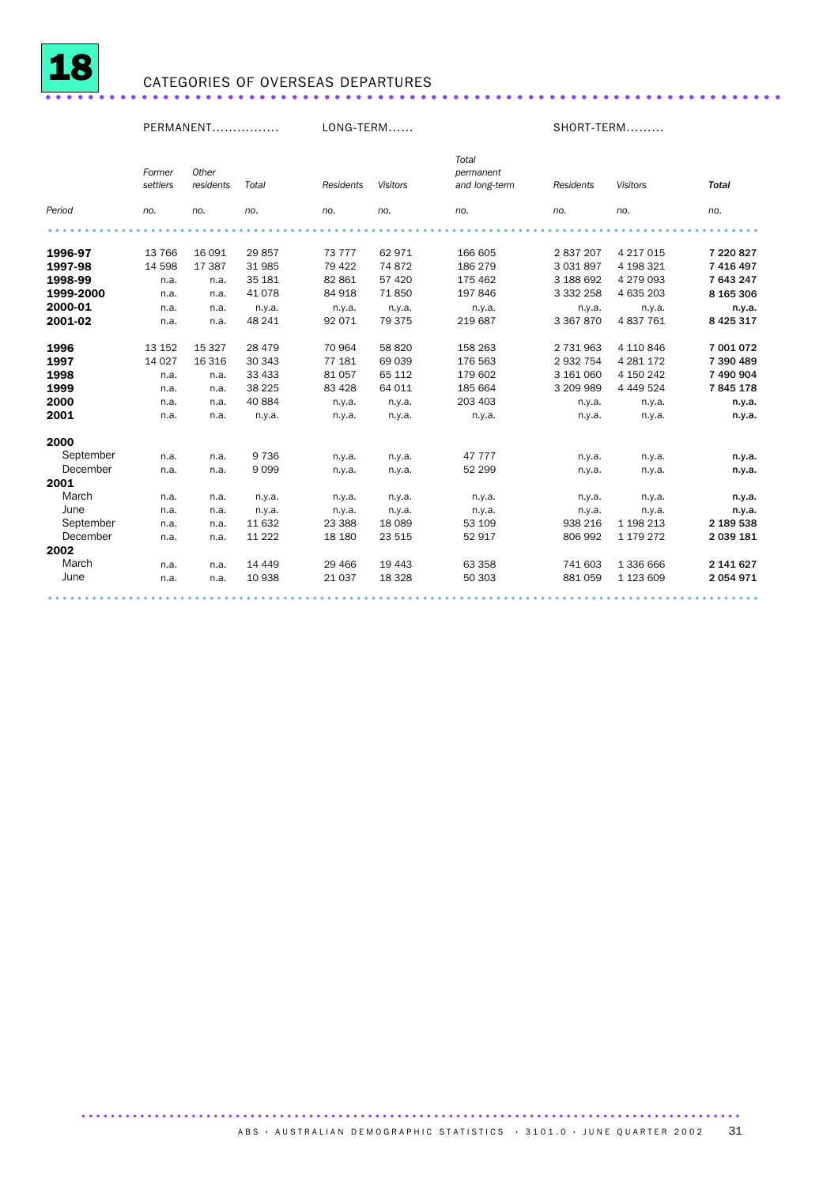

## <sup>18</sup> CATEGORIES OF OVERSEAS DEPARTURES .....................................................................

### PERMANENT................ LONG-TERM...... SHORT-TERM......... *Period Former settlers no. Other residents Total no. no. Residents Visitors no. no. Total permanent and long-term no. Residents no. Visitors no. Total no.* ................................................................................................. . **1996-97** 13 766 16 091 29 857 73 777 62 971 166 605 2 837 207 4 217 015 7 220 827<br>**1997-98** 14 598 17 387 31 985 79 422 74 872 186 279 3 031 897 4 198 321 7 416 497 **1997-98** 14 598 17 387 31 985 79 422 74 872 186 279 3 031 897 4 198 321 7 416 497<br>**1998-99** n.a. n.a. 35 181 82 861 57 420 175 462 3 188 692 4 279 093 7 643 247 **1998-99** n.a. n.a. 35 181 82 861 57 420 175 462 3 188 692 4 279 093 7 643 247<br>**1999-2000** n.a. n.a. 41 078 84 918 71 850 197 846 3 332 258 4 635 203 8 165 306 n.a. n.a. 41 078 84 918 71 850 197 846 3 332 258 4 635 203 2000-01 n.a. n.a. n.y.a. n.y.a. n.y.a. n.y.a. n.y.a. n.y.a. n.y.a. 2001-02 n.a. n.a. 48 241 92 071 79 375 219 687 3 367 870 4 837 761 8 425 317 **1996** 13 152 15 327 28 479 70 964 58 820 158 263 2 731 963 4 110 846 7 001 072<br>**1997** 14 027 16 316 30 343 77 181 69 039 176 563 2 932 754 4 281 172 7 390 489 1997 14 027 16 316 30 343 77 181 69 039 176 563 2 932 754 4 281 172 7 390 489 **1998** n.a. n.a. 33 433 81 057 65 112 179 602 3 161 060 4 150 242 7 490 904<br>**1999** n.a. n.a. 38 225 83 428 64 011 185 664 3 209 989 4 449 524 7 **845 178** n.a. n.a. 38 225 83 428 64 011 185 664 3 209 989 4 449 524 2000 n.a. n.a. 40 884 n.y.a. n.y.a. 203 403 n.y.a. n.y.a. n.y.a. 2001 n.a. n.a. n.y.a. n.y.a. n.y.a. n.y.a. n.y.a. n.y.a. n.y.a. 2000<br>September September n.a. n.a. 9 736 n.y.a. n.y.a. 47 777 n.y.a. n.y.a. n.y.a. December n.a. n.a. 9 099 n.y.a. n.y.a. 52 299 n.y.a. n.y.a. n.y.a. 2001 March n.a. n.a. n.y.a. n.y.a. n.y.a. n.y.a. n.y.a. n.y.a. n.y.a. June n.a. n.a. n.y.a. n.y.a. n.y.a. n.y.a. n.y.a. n.y.a. n.y.a. September n.a. n.a. 11 632 23 388 18 089 53 109 938 216 1 198 213 2 189 538 December n.a. n.a. 11 222 18 180 23 515 52 917 806 992 1 179 272 2 039 181 **2002**<br>March March n.a. n.a. 14 449 29 466 19 443 63 358 741 603 1 336 666 2 141 627<br>
June n.a. n.a. 10 938 21 037 18 328 50 303 881 059 1 123 609 2 054 971 n.a. n.a. 10 938 21 037 18 328 50 303 881 059 1 123 609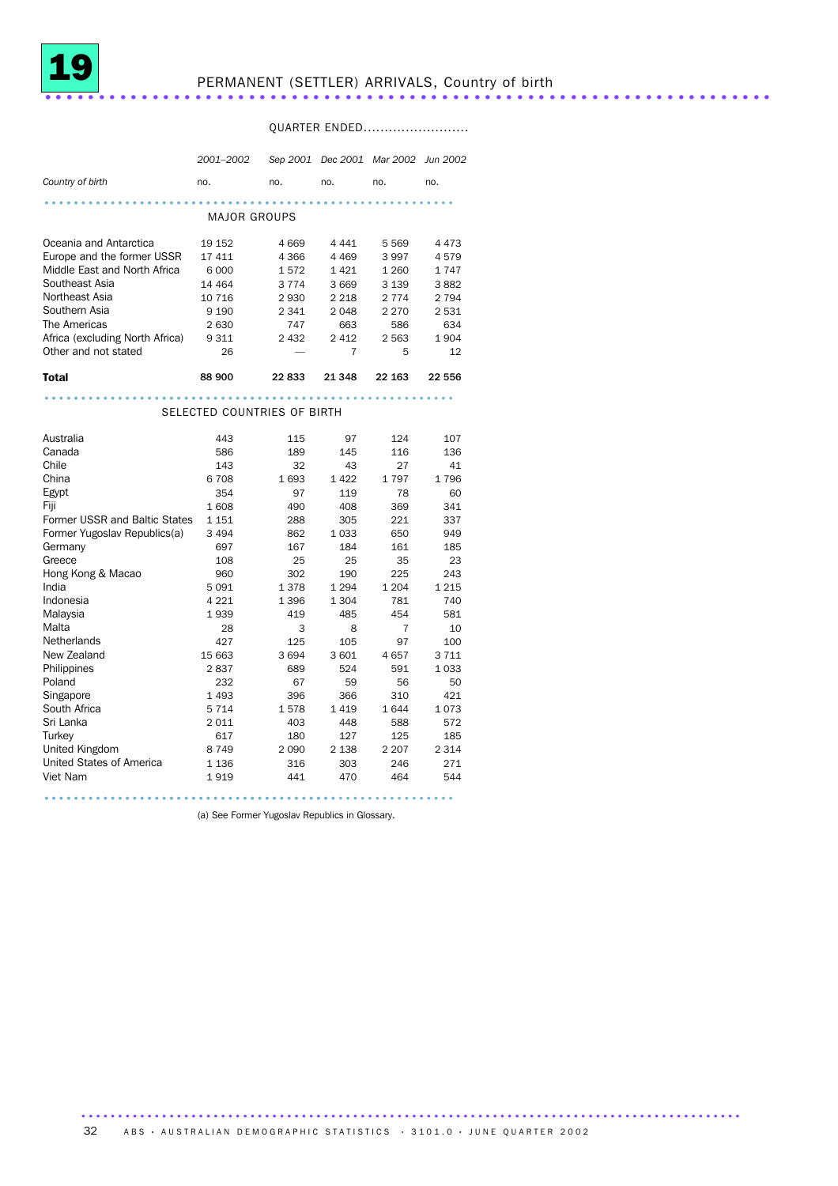

# PERMANENT (SETTLER) ARRIVALS, Country of birth .................................

## QUARTER ENDED.........................

|                                 | 2001-2002                   |         |         | Sep 2001 Dec 2001 Mar 2002 | <b>Jun 2002</b> |
|---------------------------------|-----------------------------|---------|---------|----------------------------|-----------------|
| Country of birth                | no.                         | no.     | no.     | no.                        | no.             |
|                                 |                             |         |         |                            |                 |
|                                 | <b>MAJOR GROUPS</b>         |         |         |                            |                 |
| Oceania and Antarctica          | 19 152                      | 4 6 6 9 | 4 4 4 1 | 5569                       | 4473            |
| Europe and the former USSR      | 17411                       | 4 3 6 6 | 4 4 6 9 | 3997                       | 4579            |
| Middle East and North Africa    | 6 0 0 0                     | 1572    | 1421    | 1 2 6 0                    | 1747            |
| Southeast Asia                  | 14 4 64                     | 3 7 7 4 | 3 6 6 9 | 3 1 3 9                    | 3882            |
| Northeast Asia                  | 10 716                      | 2 9 3 0 | 2 2 1 8 | 2 7 7 4                    | 2 7 9 4         |
| Southern Asia                   | 9 1 9 0                     | 2 3 4 1 | 2 0 4 8 | 2 2 7 0                    | 2531            |
| The Americas                    | 2630                        | 747     | 663     | 586                        | 634             |
| Africa (excluding North Africa) | 9 3 1 1                     | 2 4 3 2 | 2 4 1 2 | 2 5 6 3                    | 1904            |
| Other and not stated            | 26                          |         | 7       | 5                          | 12              |
| <b>Total</b>                    | 88 900                      | 22833   | 21 348  | 22 163                     | 22 556          |
|                                 |                             |         |         |                            |                 |
|                                 | SELECTED COUNTRIES OF BIRTH |         |         |                            |                 |
| Australia                       | 443                         | 115     | 97      | 124                        | 107             |
| Canada                          | 586                         | 189     | 145     | 116                        | 136             |
| Chile                           | 143                         | 32      | 43      | 27                         | 41              |
| China                           | 6708                        | 1693    | 1422    | 1797                       | 1796            |
| Egypt                           | 354                         | 97      | 119     | 78                         | 60              |
| Fiji                            | 1608                        | 490     | 408     | 369                        | 341             |
| Former USSR and Baltic States   | 1 1 5 1                     | 288     | 305     | 221                        | 337             |
| Former Yugoslav Republics(a)    | 3 4 9 4                     | 862     | 1033    | 650                        | 949             |
| Germany                         | 697                         | 167     | 184     | 161                        | 185             |
| Greece                          | 108                         | 25      | 25      | 35                         | 23              |
| Hong Kong & Macao               | 960                         | 302     | 190     | 225                        | 243             |
| India                           | 5091                        | 1378    | 1 2 9 4 | 1 2 0 4                    | 1 2 1 5         |
| Indonesia                       | 4 2 2 1                     | 1 3 9 6 | 1 3 0 4 | 781                        | 740             |
| Malaysia                        | 1939                        | 419     | 485     | 454                        | 581             |
| Malta                           | 28                          | 3       | 8       | 7                          | 10              |
| <b>Netherlands</b>              | 427                         | 125     | 105     | 97                         | 100             |
| New Zealand                     | 15 663                      | 3694    | 3601    | 4657                       | 3711            |
| Philippines                     | 2837                        | 689     | 524     | 591                        | 1033            |
| Poland                          | 232                         | 67      | 59      | 56                         | 50              |
| Singapore                       | 1493                        | 396     | 366     | 310                        | 421             |
| South Africa                    | 5 7 1 4                     | 1578    | 1419    | 1644                       | 1073            |
| Sri Lanka                       | 2011                        | 403     | 448     | 588                        | 572             |
| Turkey                          | 617                         | 180     | 127     | 125                        | 185             |
| United Kingdom                  | 8749                        | 2090    | 2 1 3 8 | 2 2 0 7                    | 2 3 1 4         |
| United States of America        | 1 1 3 6                     | 316     | 303     | 246                        | 271             |
| Viet Nam                        | 1919                        | 441     | 470     | 464                        | 544             |
|                                 |                             |         |         |                            |                 |

(a) See Former Yugoslav Republics in Glossary.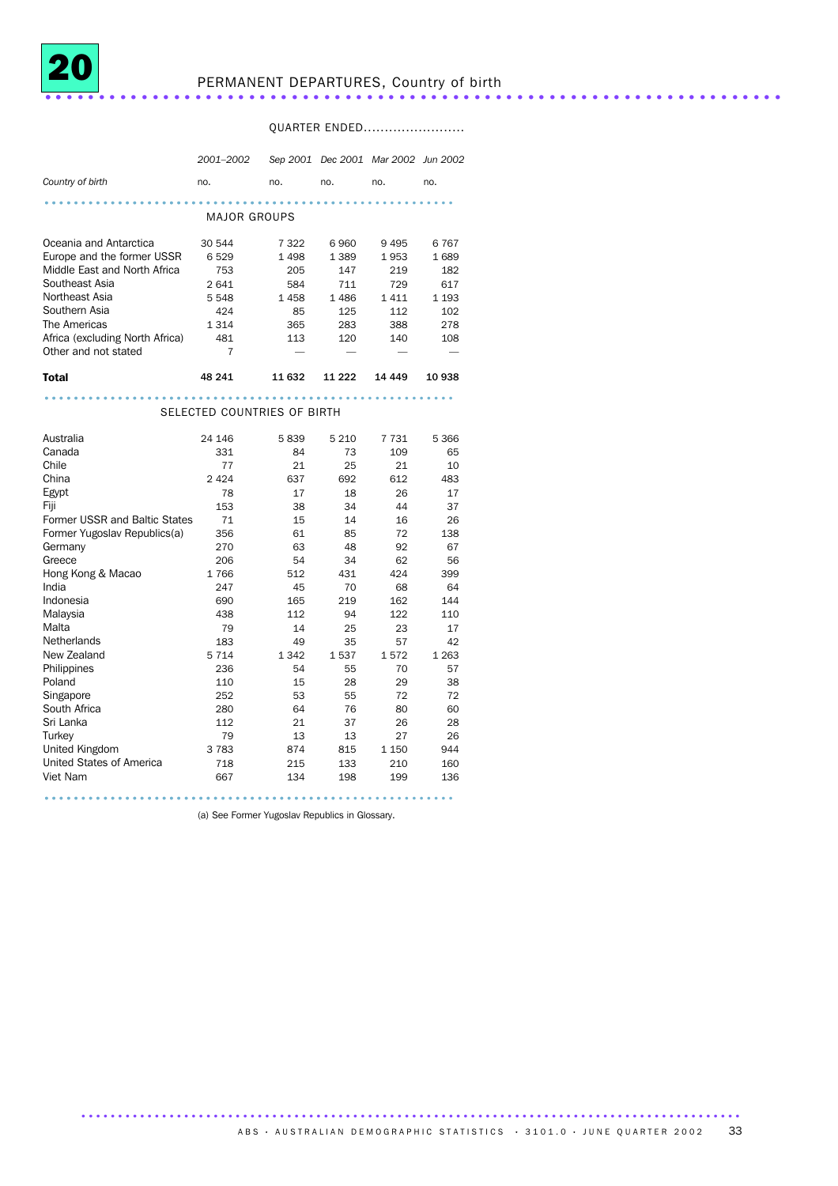

### QUARTER ENDED........................

|                                 | 2001-2002                   |         |         | Sep 2001 Dec 2001 Mar 2002 Jun 2002 |         |
|---------------------------------|-----------------------------|---------|---------|-------------------------------------|---------|
| Country of birth                | no.                         | no.     | no.     | no.                                 | no.     |
|                                 |                             |         |         |                                     |         |
|                                 | MAJOR GROUPS                |         |         |                                     |         |
| Oceania and Antarctica          | 30 544                      | 7 3 2 2 | 6960    | 9 4 9 5                             | 6767    |
| Europe and the former USSR      | 6529                        | 1498    | 1 3 8 9 | 1953                                | 1689    |
| Middle East and North Africa    | 753                         | 205     | 147     | 219                                 | 182     |
| Southeast Asia                  | 2641                        | 584     | 711     | 729                                 | 617     |
| Northeast Asia                  | 5 5 4 8                     | 1458    | 1486    | 1411                                | 1 1 9 3 |
| Southern Asia                   | 424                         | 85      | 125     | 112                                 | 102     |
| The Americas                    | 1 3 1 4                     | 365     | 283     | 388                                 | 278     |
| Africa (excluding North Africa) | 481                         | 113     | 120     | 140                                 | 108     |
| Other and not stated            | 7                           |         |         |                                     |         |
| <b>Total</b>                    | 48 241                      | 11 632  | 11 222  | 14 4 4 9                            | 10 938  |
|                                 |                             |         |         |                                     |         |
|                                 | SELECTED COUNTRIES OF BIRTH |         |         |                                     |         |
| Australia                       | 24 146                      | 5839    | 5 2 1 0 | 7 7 3 1                             | 5 3 6 6 |
| Canada                          | 331                         | 84      | 73      | 109                                 | 65      |
| Chile                           | 77                          | 21      | 25      | 21                                  | 10      |
| China                           | 2 4 2 4                     | 637     | 692     | 612                                 | 483     |
| Egypt                           | 78                          | 17      | 18      | 26                                  | 17      |
| Fiji                            | 153                         | 38      | 34      | 44                                  | 37      |
| Former USSR and Baltic States   | 71                          | 15      | 14      | 16                                  | 26      |
| Former Yugoslav Republics(a)    | 356                         | 61      | 85      | 72                                  | 138     |
| Germany                         | 270                         | 63      | 48      | 92                                  | 67      |
| Greece                          | 206                         | 54      | 34      | 62                                  | 56      |
| Hong Kong & Macao               | 1766                        | 512     | 431     | 424                                 | 399     |
| India                           | 247                         | 45      | 70      | 68                                  | 64      |
| Indonesia                       | 690                         | 165     | 219     | 162                                 | 144     |
| Malaysia                        | 438                         | 112     | 94      | 122                                 | 110     |
| Malta                           | 79                          | 14      | 25      | 23                                  | 17      |
| Netherlands                     | 183                         | 49      | 35      | 57                                  | 42      |
| New Zealand                     | 5 7 1 4                     | 1 3 4 2 | 1537    | 1572                                | 1 2 6 3 |
| Philippines                     | 236                         | 54      | 55      | 70                                  | 57      |
| Poland                          | 110                         | 15      | 28      | 29                                  | 38      |
| Singapore                       | 252                         | 53      | 55      | 72                                  | 72      |
| South Africa                    | 280                         | 64      | 76      | 80                                  | 60      |
| Sri Lanka                       | 112                         | 21      | 37      | 26                                  | 28      |
| Turkey                          | 79                          | 13      | 13      | 27                                  | 26      |
| United Kingdom                  | 3 7 8 3                     | 874     | 815     | 1 1 5 0                             | 944     |
| United States of America        | 718                         | 215     | 133     | 210                                 | 160     |
| Viet Nam                        | 667                         | 134     | 198     | 199                                 | 136     |
|                                 |                             |         |         |                                     |         |

(a) See Former Yugoslav Republics in Glossary.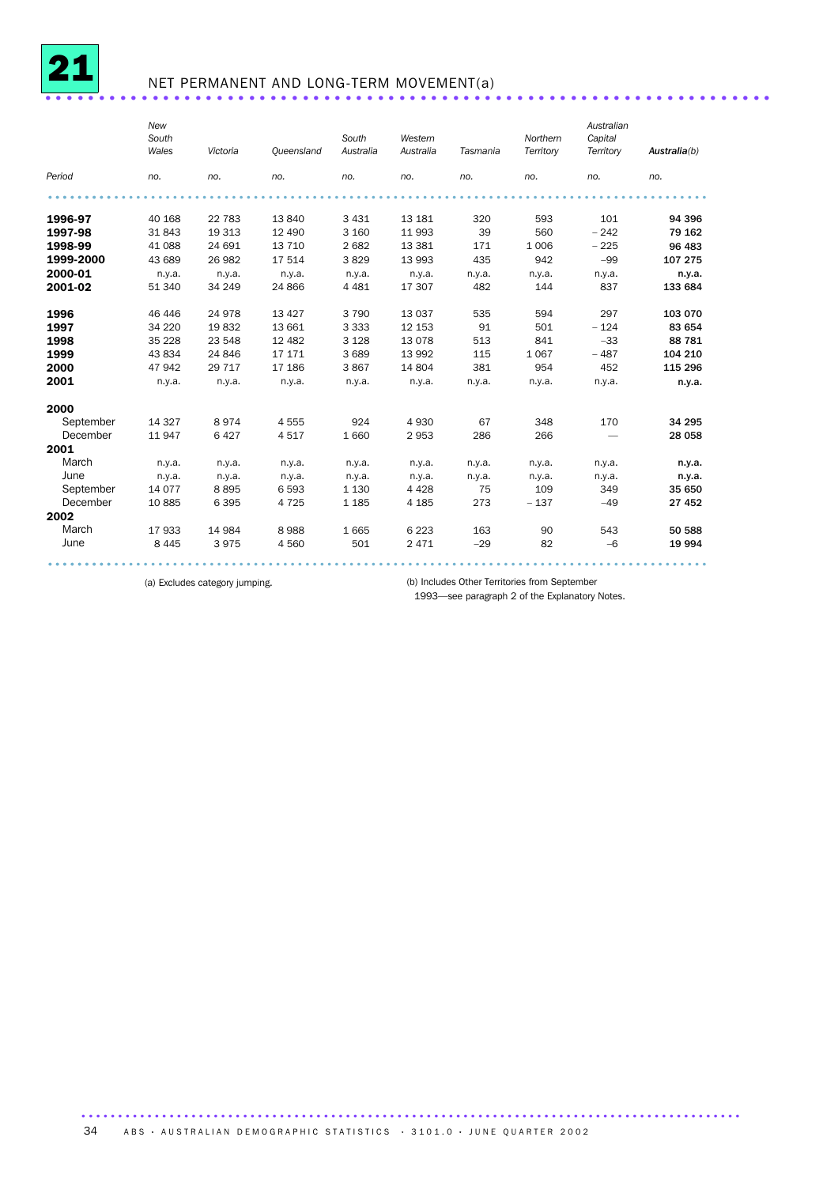

## NET PERMANENT AND LONG-TERM MOVEMENT(a) ....................................................................

|           | New<br>South<br>Wales | Victoria | Oueensland | South<br>Australia | Western<br>Australia | Tasmania | Northern<br>Territory | Australian<br>Capital<br>Territory | Australia(b) |
|-----------|-----------------------|----------|------------|--------------------|----------------------|----------|-----------------------|------------------------------------|--------------|
| Period    | no.                   | no.      | no.        | no.                | no.                  | no.      | no.                   | no.                                | no.          |
|           |                       |          |            |                    |                      |          |                       |                                    |              |
| 1996-97   | 40 168                | 22 783   | 13 840     | 3 4 3 1            | 13 181               | 320      | 593                   | 101                                | 94 396       |
| 1997-98   | 31843                 | 19 313   | 12 490     | 3 1 6 0            | 11993                | 39       | 560                   | $-242$                             | 79 162       |
| 1998-99   | 41 088                | 24 691   | 13 710     | 2682               | 13 3 8 1             | 171      | 1 0 0 6               | $-225$                             | 96 483       |
| 1999-2000 | 43 689                | 26 982   | 17 514     | 3829               | 13 993               | 435      | 942                   | $-99$                              | 107 275      |
| 2000-01   | n.y.a.                | n.y.a.   | n.y.a.     | n.y.a.             | n.y.a.               | n.y.a.   | n.y.a.                | n.y.a.                             | n.y.a.       |
| 2001-02   | 51 340                | 34 249   | 24 866     | 4 4 8 1            | 17 307               | 482      | 144                   | 837                                | 133 684      |
| 1996      | 46 44 6               | 24 978   | 13 4 27    | 3790               | 13 0 37              | 535      | 594                   | 297                                | 103 070      |
| 1997      | 34 2 20               | 19832    | 13 661     | 3 3 3 3            | 12 153               | 91       | 501                   | $-124$                             | 83 654       |
| 1998      | 35 2 28               | 23 548   | 12 4 82    | 3 1 2 8            | 13 0 78              | 513      | 841                   | $-33$                              | 88 781       |
| 1999      | 43 834                | 24 846   | 17 17 1    | 3689               | 13 992               | 115      | 1067                  | $-487$                             | 104 210      |
| 2000      | 47942                 | 29 717   | 17 186     | 3867               | 14 804               | 381      | 954                   | 452                                | 115 296      |
| 2001      | n.y.a.                | n.y.a.   | n.y.a.     | n.y.a.             | n.y.a.               | n.y.a.   | n.y.a.                | n.y.a.                             | n.y.a.       |
| 2000      |                       |          |            |                    |                      |          |                       |                                    |              |
| September | 14 3 27               | 8974     | 4555       | 924                | 4930                 | 67       | 348                   | 170                                | 34 295       |
| December  | 11947                 | 6 4 2 7  | 4517       | 1 6 6 0            | 2953                 | 286      | 266                   |                                    | 28 058       |
| 2001      |                       |          |            |                    |                      |          |                       |                                    |              |
| March     | n.y.a.                | n.y.a.   | n.y.a.     | n.y.a.             | n.y.a.               | n.y.a.   | n.y.a.                | n.y.a.                             | n.y.a.       |
| June      | n.y.a.                | n.y.a.   | n.y.a.     | n.y.a.             | n.y.a.               | n.y.a.   | n.y.a.                | n.y.a.                             | n.y.a.       |
| September | 14 0 77               | 8895     | 6 5 9 3    | 1 1 3 0            | 4 4 2 8              | 75       | 109                   | 349                                | 35 650       |
| December  | 10885                 | 6 3 9 5  | 4 7 2 5    | 1 1 8 5            | 4 1 8 5              | 273      | $-137$                | $-49$                              | 27 452       |
| 2002      |                       |          |            |                    |                      |          |                       |                                    |              |
| March     | 17933                 | 14 984   | 8988       | 1665               | 6 2 2 3              | 163      | 90                    | 543                                | 50 588       |
| June      | 8 4 4 5               | 3975     | 4 5 6 0    | 501                | 2 4 7 1              | $-29$    | 82                    | $-6$                               | 19 994       |

.......................................................................................... .........

(a) Excludes category jumping. (b) Includes Other Territories from September

1993—see paragraph 2 of the Explanatory Notes.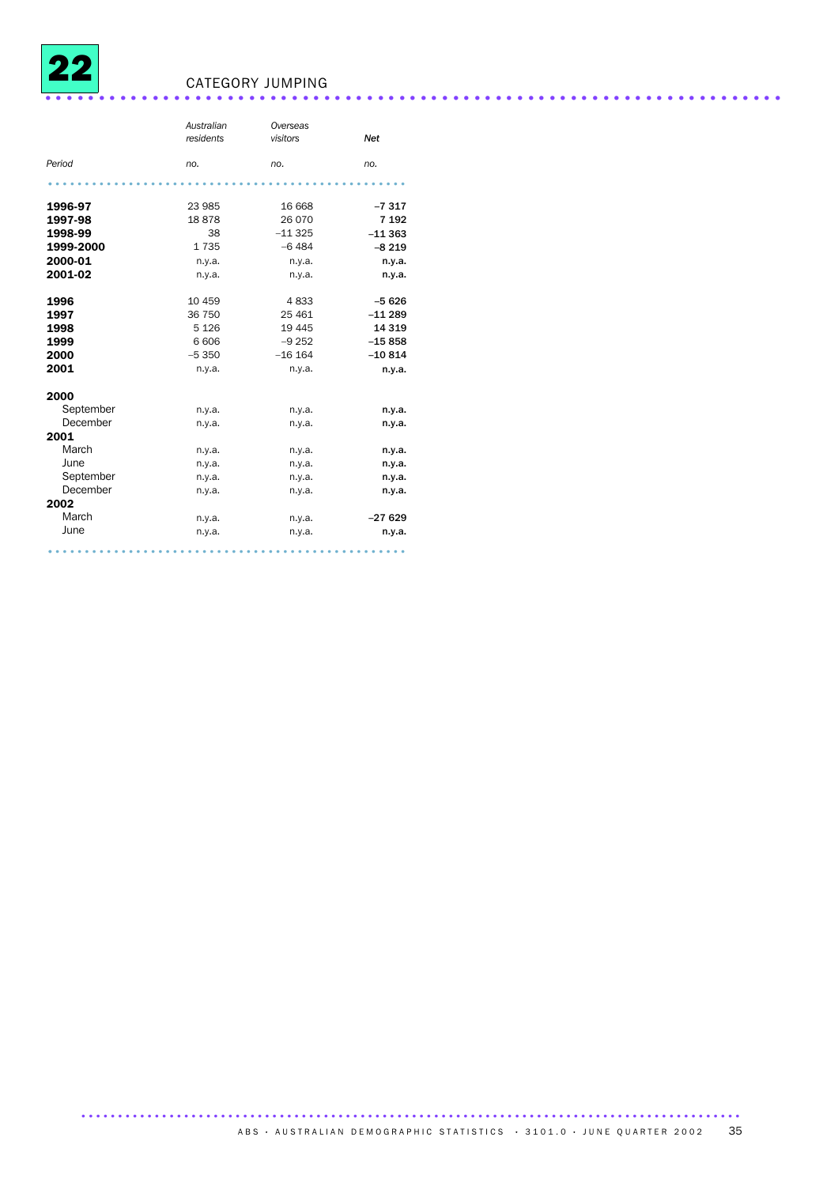

## <sup>22</sup> CATEGORY JUMPING .....................................................................

|           | Australian<br>residents | Overseas<br>visitors | <b>Net</b> |
|-----------|-------------------------|----------------------|------------|
| Period    | no.                     | no.                  | no.        |
|           |                         |                      |            |
| 1996-97   | 23 985                  | 16 668               | $-7317$    |
| 1997-98   | 18878                   | 26 070               | 7 1 9 2    |
| 1998-99   | 38                      | $-11325$             | $-11363$   |
| 1999-2000 | 1735                    | $-6484$              | $-8219$    |
| 2000-01   | n.y.a.                  | n.y.a.               | n.y.a.     |
| 2001-02   | n.y.a.                  | n.y.a.               | n.y.a.     |
| 1996      | 10 459                  | 4833                 | $-5626$    |
| 1997      | 36 750                  | 25 4 61              | $-11289$   |
| 1998      | 5 1 2 6                 | 19 4 45              | 14 3 19    |
| 1999      | 6 60 6                  | $-9252$              | $-15858$   |
| 2000      | $-5350$                 | $-16$ 164            | $-10814$   |
| 2001      | n.y.a.                  | n.y.a.               | n.y.a.     |
| 2000      |                         |                      |            |
| September | n.y.a.                  | n.y.a.               | n.y.a.     |
| December  | n.y.a.                  | n.y.a.               | n.y.a.     |
| 2001      |                         |                      |            |
| March     | n.y.a.                  | n.y.a.               | n.y.a.     |
| June      | n.y.a.                  | n.y.a.               | n.y.a.     |
| September | n.y.a.                  | n.y.a.               | n.y.a.     |
| December  | n.y.a.                  | n.y.a.               | n.y.a.     |
| 2002      |                         |                      |            |
| March     | n.y.a.                  | n.y.a.               | $-27629$   |
| June      | n.y.a.                  | n.y.a.               | n.y.a.     |
|           |                         |                      |            |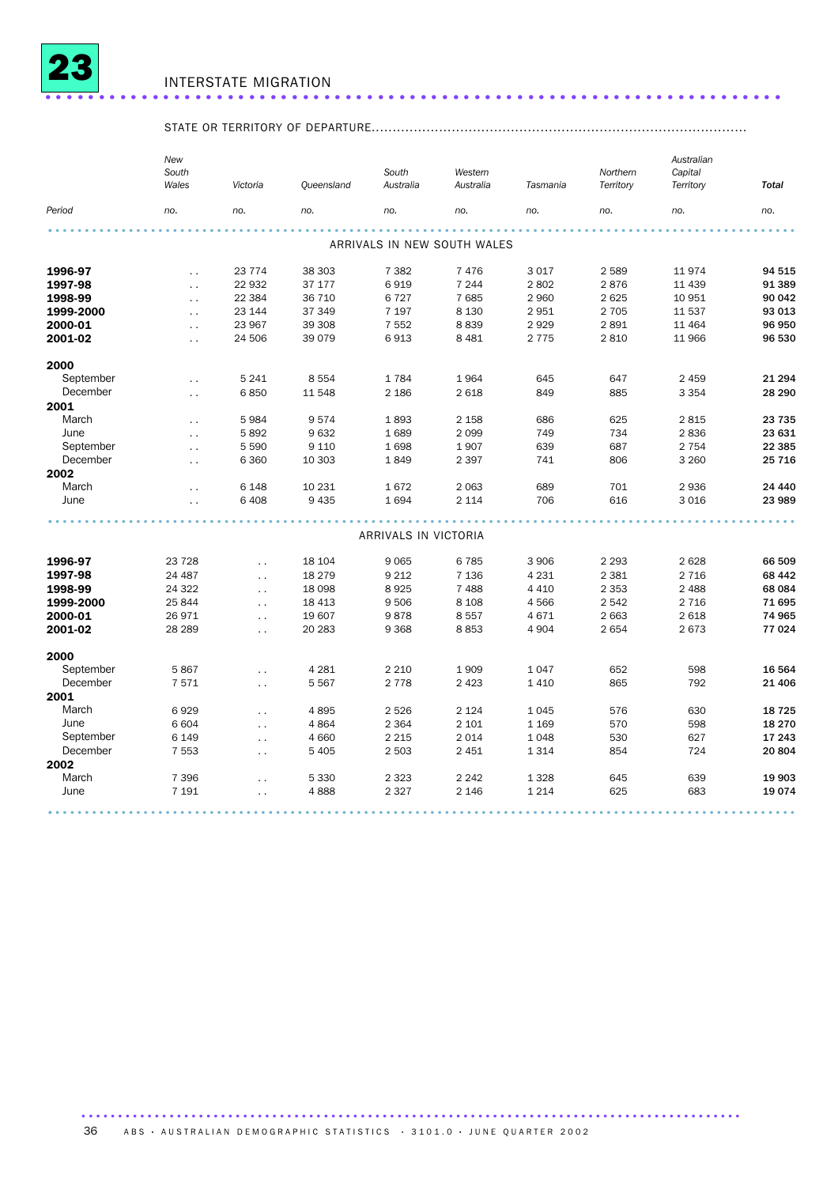

### STATE OR TERRITORY OF DEPARTURE.........................................................................................

|           | New<br>South<br>Wales | Victoria             | Queensland | South<br>Australia   | Western<br>Australia        | Tasmania | Northern<br>Territory | Australian<br>Capital<br>Territory | <b>Total</b> |
|-----------|-----------------------|----------------------|------------|----------------------|-----------------------------|----------|-----------------------|------------------------------------|--------------|
| Period    | no.                   | no.                  | no.        | no.                  | no.                         | no.      | no.                   | no.                                | no.          |
|           |                       |                      |            |                      |                             |          |                       |                                    |              |
|           |                       |                      |            |                      | ARRIVALS IN NEW SOUTH WALES |          |                       |                                    |              |
| 1996-97   | $\ddot{\phantom{0}}$  | 23 774               | 38 303     | 7 3 8 2              | 7 4 7 6                     | 3 0 1 7  | 2 5 8 9               | 11974                              | 94 515       |
| 1997-98   | $\ddotsc$             | 22 932               | 37 177     | 6919                 | 7 2 4 4                     | 2802     | 2876                  | 11 439                             | 91 389       |
| 1998-99   | $\ddot{\phantom{0}}$  | 22 384               | 36 710     | 6727                 | 7 6 8 5                     | 2 9 6 0  | 2 6 2 5               | 10 951                             | 90 042       |
| 1999-2000 | $\ddot{\phantom{a}}$  | 23 144               | 37 349     | 7 197                | 8 1 3 0                     | 2951     | 2 7 0 5               | 11 537                             | 93 013       |
| 2000-01   | $\sim$                | 23 967               | 39 308     | 7 5 5 2              | 8839                        | 2929     | 2891                  | 11 4 64                            | 96 950       |
| 2001-02   | $\ddot{\phantom{0}}$  | 24 506               | 39 0 79    | 6913                 | 8 4 8 1                     | 2 7 7 5  | 2 8 1 0               | 11 966                             | 96 530       |
| 2000      |                       |                      |            |                      |                             |          |                       |                                    |              |
| September | $\ddot{\phantom{a}}$  | 5 2 4 1              | 8 5 5 4    | 1784                 | 1964                        | 645      | 647                   | 2 4 5 9                            | 21 294       |
| December  | $\sim$ .              | 6850                 | 11 548     | 2 1 8 6              | 2 6 18                      | 849      | 885                   | 3 3 5 4                            | 28 290       |
| 2001      |                       |                      |            |                      |                             |          |                       |                                    |              |
| March     | $\ddot{\phantom{0}}$  | 5984                 | 9574       | 1893                 | 2 1 5 8                     | 686      | 625                   | 2815                               | 23 735       |
| June      | $\ddot{\phantom{0}}$  | 5892                 | 9632       | 1689                 | 2 0 9 9                     | 749      | 734                   | 2836                               | 23 631       |
| September | $\ddot{\phantom{a}}$  | 5 5 9 0              | 9 1 1 0    | 1698                 | 1907                        | 639      | 687                   | 2 7 5 4                            | 22 385       |
| December  | $\ddotsc$             | 6 3 6 0              | 10 303     | 1849                 | 2 3 9 7                     | 741      | 806                   | 3 2 6 0                            | 25 7 16      |
| 2002      |                       |                      |            |                      |                             |          |                       |                                    |              |
| March     | $\ddot{\phantom{a}}$  | 6 1 4 8              | 10 231     | 1672                 | 2 0 6 3                     | 689      | 701                   | 2936                               | 24 440       |
| June      | $\ddot{\phantom{0}}$  | 6 4 0 8              | 9 4 3 5    | 1694                 | 2 1 1 4                     | 706      | 616                   | 3 0 16                             | 23 989       |
|           |                       |                      |            |                      |                             |          |                       |                                    |              |
|           |                       |                      |            | ARRIVALS IN VICTORIA |                             |          |                       |                                    |              |
| 1996-97   | 23 7 28               | $\ddot{\phantom{a}}$ | 18 104     | 9 0 6 5              | 6785                        | 3 9 0 6  | 2 2 9 3               | 2628                               | 66 509       |
| 1997-98   | 24 487                | $\ddotsc$            | 18 279     | 9 2 1 2              | 7 1 3 6                     | 4 2 3 1  | 2 3 8 1               | 2 7 1 6                            | 68 442       |
| 1998-99   | 24 3 22               | $\ddotsc$            | 18 0 98    | 8925                 | 7 4 8 8                     | 4 4 1 0  | 2 3 5 3               | 2 4 8 8                            | 68 084       |
| 1999-2000 | 25 844                | $\ddotsc$            | 18 4 13    | 9 5 0 6              | 8 1 0 8                     | 4566     | 2 5 4 2               | 2 7 1 6                            | 71 695       |
| 2000-01   | 26 971                | $\ddotsc$            | 19 607     | 9878                 | 8557                        | 4671     | 2 6 6 3               | 2 6 18                             | 74 965       |
| 2001-02   | 28 2 89               | $\ddotsc$            | 20 28 3    | 9 3 6 8              | 8853                        | 4 9 0 4  | 2 6 5 4               | 2673                               | 77 024       |
| 2000      |                       |                      |            |                      |                             |          |                       |                                    |              |
| September | 5867                  | $\ddotsc$            | 4 2 8 1    | 2 2 1 0              | 1 9 0 9                     | 1 0 4 7  | 652                   | 598                                | 16 564       |
| December  | 7571                  | $\ddotsc$            | 5 5 6 7    | 2 7 7 8              | 2 4 2 3                     | 1 4 1 0  | 865                   | 792                                | 21 406       |
| 2001      |                       |                      |            |                      |                             |          |                       |                                    |              |
| March     | 6929                  | $\ddotsc$            | 4895       | 2 5 2 6              | 2 1 2 4                     | 1 0 4 5  | 576                   | 630                                | 18 7 25      |
| June      | 6 604                 | $\ddotsc$            | 4864       | 2 3 6 4              | 2 1 0 1                     | 1 1 6 9  | 570                   | 598                                | 18 270       |
| September | 6 1 4 9               | $\ddotsc$            | 4 6 6 0    | 2 2 1 5              | 2 0 1 4                     | 1 0 4 8  | 530                   | 627                                | 17 243       |
| December  | 7 5 5 3               | $\ddotsc$            | 5 4 0 5    | 2 503                | 2 4 5 1                     | 1 3 1 4  | 854                   | 724                                | 20804        |
| 2002      |                       |                      |            |                      |                             |          |                       |                                    |              |
| March     | 7 3 9 6               | $\ddotsc$            | 5 3 3 0    | 2 3 2 3              | 2 2 4 2                     | 1 3 2 8  | 645                   | 639                                | 19 903       |
| June      | 7 1 9 1               | $\ddotsc$            | 4888       | 2 3 2 7              | 2 1 4 6                     | 1 2 1 4  | 625                   | 683                                | 19074        |
|           |                       |                      |            |                      |                             |          |                       |                                    |              |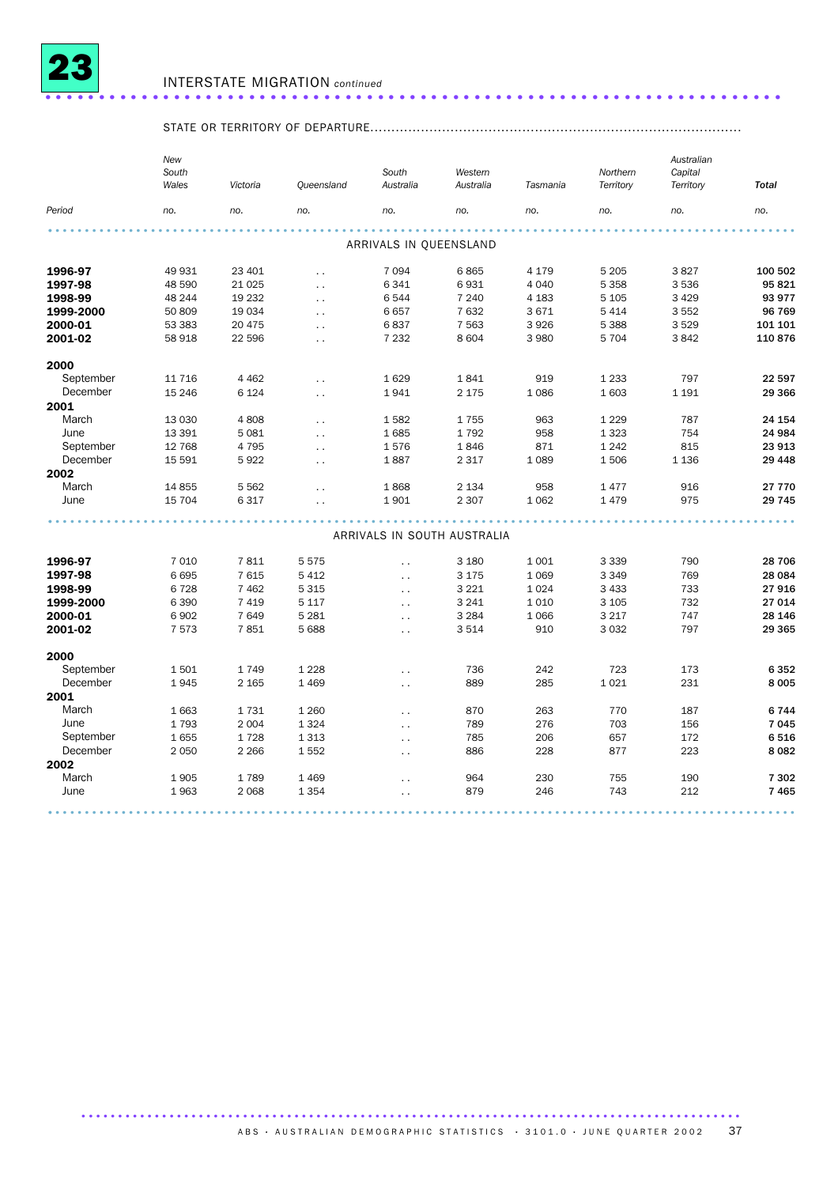

### STATE OR TERRITORY OF DEPARTURE........................................................................................

|           | New<br>South<br>Wales | Victoria | Queensland           | South<br>Australia          | Western<br>Australia | Tasmania | Northern<br>Territory | Australian<br>Capital<br>Territory | <b>Total</b> |
|-----------|-----------------------|----------|----------------------|-----------------------------|----------------------|----------|-----------------------|------------------------------------|--------------|
| Period    | no.                   | no.      | no.                  | no.                         | no.                  | no.      | no.                   | no.                                | no.          |
|           |                       |          |                      |                             |                      |          |                       |                                    |              |
|           |                       |          |                      | ARRIVALS IN QUEENSLAND      |                      |          |                       |                                    |              |
| 1996-97   | 49 931                | 23 401   | $\ddot{\phantom{a}}$ | 7 0 9 4                     | 6865                 | 4 1 7 9  | 5 2 0 5               | 3827                               | 100 502      |
| 1997-98   | 48 590                | 21 0 25  | $\ddotsc$            | 6 3 4 1                     | 6931                 | 4 0 4 0  | 5 3 5 8               | 3536                               | 95821        |
| 1998-99   | 48 244                | 19 232   | $\ddot{\phantom{0}}$ | 6 5 4 4                     | 7 2 4 0              | 4 1 8 3  | 5 1 0 5               | 3 4 2 9                            | 93 977       |
| 1999-2000 | 50 809                | 19 034   | $\ddotsc$            | 6657                        | 7632                 | 3671     | 5 4 1 4               | 3552                               | 96 769       |
| 2000-01   | 53 383                | 20 475   | $\ddot{\phantom{a}}$ | 6837                        | 7 5 6 3              | 3926     | 5 3 8 8               | 3529                               | 101 101      |
| 2001-02   | 58 918                | 22 596   | $\ddotsc$            | 7 2 3 2                     | 8 6 0 4              | 3 9 8 0  | 5 7 0 4               | 3842                               | 110876       |
| 2000      |                       |          |                      |                             |                      |          |                       |                                    |              |
| September | 11 7 16               | 4 4 6 2  | $\ddot{\phantom{a}}$ | 1629                        | 1841                 | 919      | 1 2 3 3               | 797                                | 22 597       |
| December  | 15 24 6               | 6 1 2 4  | $\ddot{\phantom{a}}$ | 1941                        | 2 1 7 5              | 1086     | 1603                  | 1 1 9 1                            | 29 366       |
| 2001      |                       |          |                      |                             |                      |          |                       |                                    |              |
| March     | 13 0 30               | 4808     | $\ddot{\phantom{a}}$ | 1582                        | 1755                 | 963      | 1 2 2 9               | 787                                | 24 154       |
| June      | 13 391                | 5 0 8 1  | $\ddot{\phantom{a}}$ | 1685                        | 1792                 | 958      | 1 3 2 3               | 754                                | 24 984       |
| September | 12 768                | 4 7 9 5  | $\ddot{\phantom{a}}$ | 1576                        | 1846                 | 871      | 1 2 4 2               | 815                                | 23 913       |
| December  | 15 5 91               | 5922     | $\ddot{\phantom{0}}$ | 1887                        | 2 3 1 7              | 1 0 8 9  | 1506                  | 1 1 3 6                            | 29 4 48      |
| 2002      |                       |          |                      |                             |                      |          |                       |                                    |              |
| March     | 14 8 55               | 5 5 6 2  | $\ddot{\phantom{a}}$ | 1868                        | 2 1 3 4              | 958      | 1477                  | 916                                | 27 770       |
| June      | 15 704                | 6 3 1 7  | $\ddot{\phantom{0}}$ | 1901                        | 2 3 0 7              | 1062     | 1479                  | 975                                | 29 745       |
|           |                       |          |                      |                             |                      |          |                       |                                    |              |
|           |                       |          |                      | ARRIVALS IN SOUTH AUSTRALIA |                      |          |                       |                                    |              |
| 1996-97   | 7 0 1 0               | 7811     | 5575                 | $\ddot{\phantom{0}}$        | 3 1 8 0              | 1 0 0 1  | 3 3 3 9               | 790                                | 28 706       |
| 1997-98   | 6695                  | 7 6 1 5  | 5412                 | $\ddot{\phantom{0}}$        | 3 1 7 5              | 1 0 6 9  | 3 3 4 9               | 769                                | 28 084       |
| 1998-99   | 6728                  | 7 4 6 2  | 5 3 1 5              | $\ddot{\phantom{a}}$        | 3 2 2 1              | 1 0 2 4  | 3 4 3 3               | 733                                | 27916        |
| 1999-2000 | 6 3 9 0               | 7 4 1 9  | 5 1 1 7              | $\ddot{\phantom{0}}$        | 3 2 4 1              | 1 0 1 0  | 3 1 0 5               | 732                                | 27 014       |
| 2000-01   | 6902                  | 7 6 4 9  | 5 2 8 1              | $\ddot{\phantom{a}}$        | 3 2 8 4              | 1 0 6 6  | 3 2 1 7               | 747                                | 28 146       |
| 2001-02   | 7573                  | 7851     | 5 6 8 8              | $\ddot{\phantom{0}}$        | 3 5 1 4              | 910      | 3 0 3 2               | 797                                | 29 3 65      |
| 2000      |                       |          |                      |                             |                      |          |                       |                                    |              |
| September | 1501                  | 1749     | 1 2 2 8              | $\ddot{\phantom{0}}$        | 736                  | 242      | 723                   | 173                                | 6352         |
| December  | 1945                  | 2 1 6 5  | 1 4 6 9              | $\ddot{\phantom{0}}$        | 889                  | 285      | 1021                  | 231                                | 8 0 0 5      |
| 2001      |                       |          |                      |                             |                      |          |                       |                                    |              |
| March     | 1663                  | 1731     | 1 2 6 0              | $\ddot{\phantom{0}}$        | 870                  | 263      | 770                   | 187                                | 6744         |
| June      | 1793                  | 2 0 0 4  | 1 3 2 4              | $\ddot{\phantom{0}}$        | 789                  | 276      | 703                   | 156                                | 7045         |
| September | 1655                  | 1728     | 1 3 1 3              | $\ddot{\phantom{0}}$        | 785                  | 206      | 657                   | 172                                | 6516         |
| December  | 2 0 5 0               | 2 2 6 6  | 1552                 | $\ddot{\phantom{0}}$        | 886                  | 228      | 877                   | 223                                | 8 0 8 2      |
| 2002      |                       |          |                      |                             |                      |          |                       |                                    |              |
| March     | 1905                  | 1789     | 1 4 6 9              | $\ddot{\phantom{0}}$        | 964                  | 230      | 755                   | 190                                | 7 3 0 2      |
| June      | 1963                  | 2 0 6 8  | 1 3 5 4              |                             | 879                  | 246      | 743                   | 212                                | 7465         |
|           |                       |          |                      |                             |                      |          |                       |                                    |              |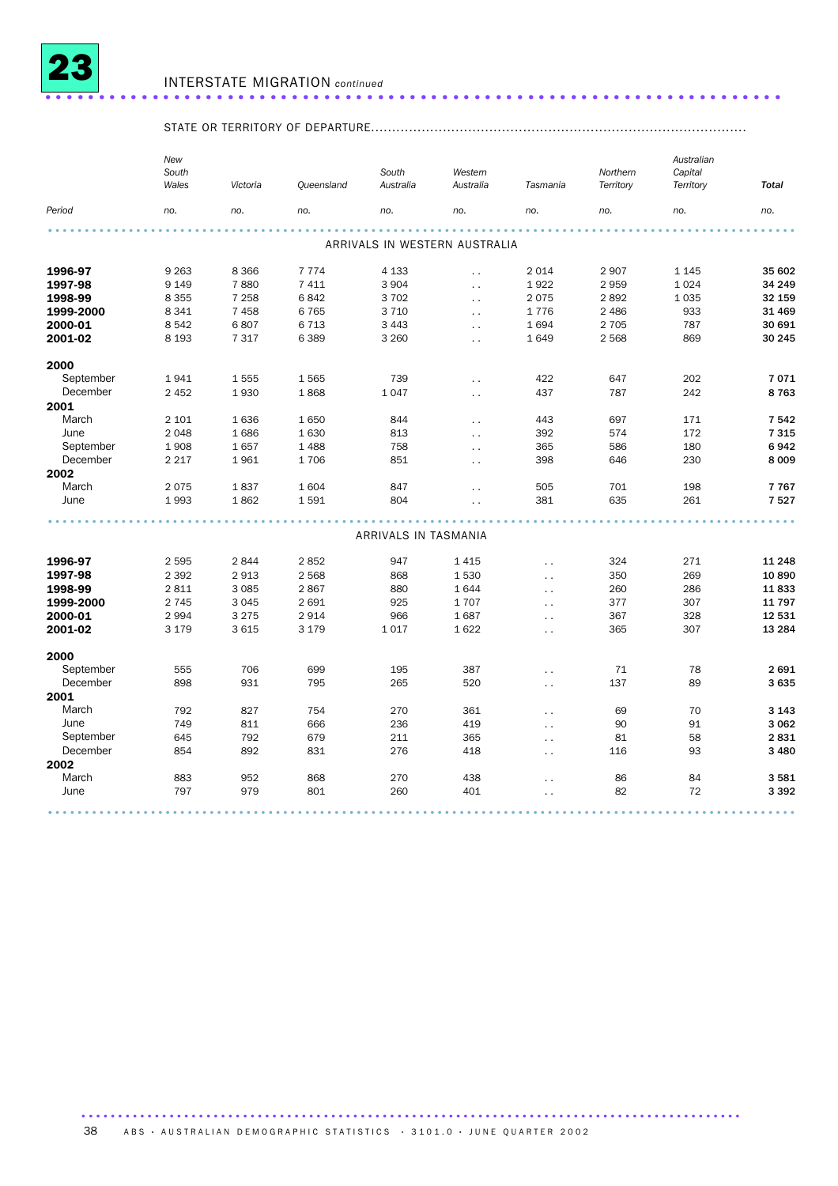

### STATE OR TERRITORY OF DEPARTURE.........................................................................................

|                   | New<br>South<br>Wales | Victoria | Queensland   | South<br>Australia   | Western<br>Australia          | Tasmania               | Northern<br>Territory | Australian<br>Capital<br>Territory | <b>Total</b> |
|-------------------|-----------------------|----------|--------------|----------------------|-------------------------------|------------------------|-----------------------|------------------------------------|--------------|
| Period            | no.                   | no.      | no.          | no.                  | no.                           | no.                    | no.                   | no.                                | no.          |
|                   |                       |          |              |                      |                               |                        |                       |                                    |              |
|                   |                       |          |              |                      | ARRIVALS IN WESTERN AUSTRALIA |                        |                       |                                    |              |
| 1996-97           | 9 2 6 3               | 8 3 6 6  | 7 7 7 4      | 4 1 3 3              | $\ddot{\phantom{a}}$          | 2014                   | 2907                  | 1 1 4 5                            | 35 602       |
| 1997-98           | 9 1 4 9               | 7880     | 7 4 1 1      | 3 9 0 4              | $\ddotsc$                     | 1922                   | 2959                  | 1024                               | 34 249       |
| 1998-99           | 8 3 5 5               | 7 2 5 8  | 6842         | 3702                 | $\ddotsc$                     | 2075                   | 2892                  | 1 0 3 5                            | 32 159       |
| 1999-2000         | 8 3 4 1               | 7458     | 6765         | 3 7 1 0              | $\sim$ $\sim$                 | 1776                   | 2 4 8 6               | 933                                | 31 469       |
| 2000-01           | 8542                  | 6807     | 6713         | 3 4 4 3              | $\ddot{\phantom{0}}$          | 1694                   | 2 7 0 5               | 787                                | 30 691       |
| 2001-02           | 8 1 9 3               | 7 3 1 7  | 6389         | 3 2 6 0              | $\ddotsc$                     | 1649                   | 2568                  | 869                                | 30 245       |
|                   |                       |          |              |                      |                               |                        |                       |                                    |              |
| 2000<br>September | 1941                  | 1555     | 1565         | 739                  |                               | 422                    | 647                   | 202                                | 7071         |
| December          | 2 4 5 2               | 1930     | 1868         | 1047                 | $\ddot{\phantom{a}}$          | 437                    | 787                   | 242                                | 8763         |
| 2001              |                       |          |              |                      | $\ddotsc$                     |                        |                       |                                    |              |
| March             | 2 1 0 1               | 1636     | 1650         | 844                  |                               | 443                    | 697                   | 171                                | 7542         |
| June              | 2 0 4 8               | 1686     |              | 813                  | $\ddot{\phantom{a}}$          | 392                    | 574                   |                                    |              |
| September         | 1908                  | 1657     | 1630         | 758                  | $\ddot{\phantom{0}}$          | 365                    | 586                   | 172<br>180                         | 7315<br>6942 |
| December          | 2 2 1 7               | 1961     | 1488<br>1706 | 851                  | $\ddot{\phantom{0}}$          | 398                    | 646                   | 230                                | 8 0 0 9      |
|                   |                       |          |              |                      | $\ddot{\phantom{0}}$          |                        |                       |                                    |              |
| 2002              |                       |          |              |                      |                               |                        |                       |                                    |              |
| March             | 2075                  | 1837     | 1604         | 847                  | $\ddot{\phantom{0}}$          | 505                    | 701                   | 198                                | 7767         |
| June              | 1993                  | 1862     | 1591         | 804                  | $\ddot{\phantom{0}}$          | 381                    | 635                   | 261                                | 7527         |
|                   |                       |          |              | ARRIVALS IN TASMANIA |                               |                        |                       |                                    |              |
|                   |                       |          |              |                      |                               |                        |                       |                                    |              |
| 1996-97           | 2 5 9 5               | 2844     | 2852         | 947                  | 1415                          | $\ddot{\phantom{1}}$ . | 324                   | 271                                | 11 248       |
| 1997-98           | 2 3 9 2               | 2913     | 2 5 6 8      | 868                  | 1530                          | $\ddotsc$              | 350                   | 269                                | 10890        |
| 1998-99           | 2 8 1 1               | 3 0 8 5  | 2867         | 880                  | 1644                          | $\ddot{\phantom{0}}$   | 260                   | 286                                | 11833        |
| 1999-2000         | 2 7 4 5               | 3 0 4 5  | 2691         | 925                  | 1707                          | $\ddotsc$              | 377                   | 307                                | 11 797       |
| 2000-01           | 2 9 9 4               | 3 2 7 5  | 2914         | 966                  | 1687                          | $\ddot{\phantom{0}}$   | 367                   | 328                                | 12 531       |
| 2001-02           | 3 1 7 9               | 3 6 1 5  | 3 1 7 9      | 1017                 | 1622                          | $\sim$ $\sim$          | 365                   | 307                                | 13 284       |
| 2000              |                       |          |              |                      |                               |                        |                       |                                    |              |
| September         | 555                   | 706      | 699          | 195                  | 387                           | $\ddot{\phantom{0}}$   | 71                    | 78                                 | 2691         |
| December          | 898                   | 931      | 795          | 265                  | 520                           |                        | 137                   | 89                                 | 3635         |
| 2001              |                       |          |              |                      |                               | $\ddot{\phantom{1}}$ . |                       |                                    |              |
| March             | 792                   | 827      | 754          | 270                  | 361                           |                        | 69                    | 70                                 | 3 1 4 3      |
| June              |                       |          |              |                      |                               | $\sim$                 |                       |                                    |              |
|                   | 749                   | 811      | 666          | 236                  | 419                           | $\ddot{\phantom{1}}$   | 90                    | 91                                 | 3 0 6 2      |
| September         | 645                   | 792      | 679          | 211                  | 365                           | $\sim$ $\sim$          | 81                    | 58                                 | 2831         |
| December          | 854                   | 892      | 831          | 276                  | 418                           | $\ddot{\phantom{0}}$   | 116                   | 93                                 | 3 4 8 0      |
| 2002              |                       |          |              |                      |                               |                        |                       |                                    |              |
| March             | 883                   | 952      | 868          | 270                  | 438                           | $\ddot{\phantom{0}}$   | 86                    | 84                                 | 3581         |
| June              | 797                   | 979      | 801          | 260                  | 401                           | $\ddot{\phantom{0}}$   | 82                    | 72                                 | 3 3 9 2      |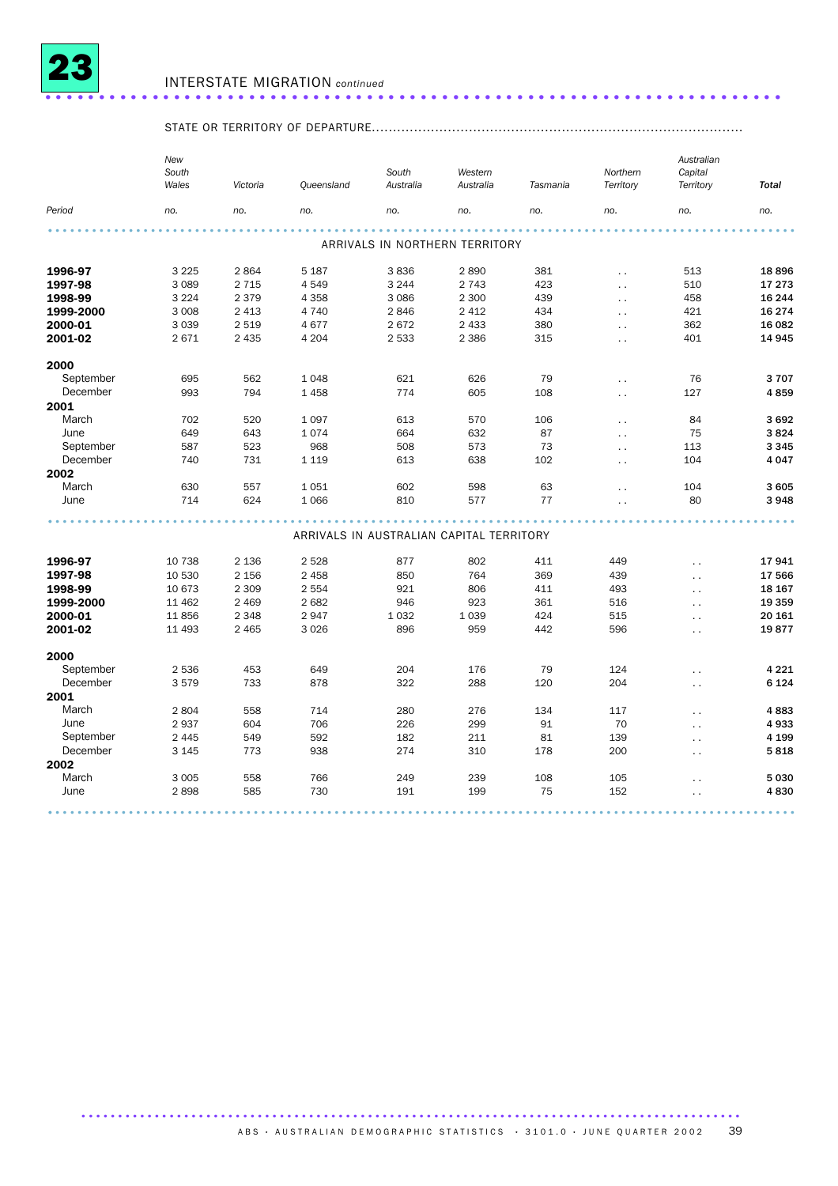

### STATE OR TERRITORY OF DEPARTURE........................................................................................

|           | South<br>Wales | Victoria | Queensland                               | South<br>Australia | Western<br>Australia           | Tasmania | Northern<br>Territory | Australian<br>Capital<br>Territory | <b>Total</b> |
|-----------|----------------|----------|------------------------------------------|--------------------|--------------------------------|----------|-----------------------|------------------------------------|--------------|
| Period    | no.            | no.      | no.                                      | no.                | no.                            | no.      | no.                   | no.                                | no.          |
|           |                |          |                                          |                    |                                |          |                       |                                    |              |
|           |                |          |                                          |                    | ARRIVALS IN NORTHERN TERRITORY |          |                       |                                    |              |
| 1996-97   | 3 2 2 5        | 2864     | 5 1 8 7                                  | 3836               | 2890                           | 381      | $\ddot{\phantom{0}}$  | 513                                | 18896        |
| 1997-98   | 3 0 8 9        | 2 7 1 5  | 4549                                     | 3 2 4 4            | 2 7 4 3                        | 423      | $\ddot{\phantom{0}}$  | 510                                | 17 273       |
| 1998-99   | 3 2 2 4        | 2 3 7 9  | 4 3 5 8                                  | 3 0 8 6            | 2 3 0 0                        | 439      | $\ddot{\phantom{0}}$  | 458                                | 16 244       |
| 1999-2000 | 3 0 0 8        | 2 4 1 3  | 4 7 4 0                                  | 2846               | 2 4 1 2                        | 434      | $\ddot{\phantom{0}}$  | 421                                | 16 274       |
| 2000-01   | 3 0 3 9        | 2519     | 4677                                     | 2672               | 2 4 3 3                        | 380      | $\ddot{\phantom{0}}$  | 362                                | 16 082       |
| 2001-02   | 2671           | 2 4 3 5  | 4 2 0 4                                  | 2 5 3 3            | 2 3 8 6                        | 315      | $\ddot{\phantom{a}}$  | 401                                | 14 945       |
| 2000      |                |          |                                          |                    |                                |          |                       |                                    |              |
| September | 695            | 562      | 1 0 4 8                                  | 621                | 626                            | 79       | $\ddot{\phantom{0}}$  | 76                                 | 3707         |
| December  | 993            | 794      | 1458                                     | 774                | 605                            | 108      | $\ddot{\phantom{a}}$  | 127                                | 4859         |
| 2001      |                |          |                                          |                    |                                |          |                       |                                    |              |
| March     | 702            | 520      | 1 0 9 7                                  | 613                | 570                            | 106      | $\ddotsc$             | 84                                 | 3692         |
| June      | 649            | 643      | 1074                                     | 664                | 632                            | 87       | $\ddot{\phantom{0}}$  | 75                                 | 3824         |
| September | 587            | 523      | 968                                      | 508                | 573                            | 73       | $\ddot{\phantom{1}}$  | 113                                | 3 3 4 5      |
| December  | 740            | 731      | 1 1 1 9                                  | 613                | 638                            | 102      | $\ddot{\phantom{0}}$  | 104                                | 4 0 4 7      |
| 2002      |                |          |                                          |                    |                                |          |                       |                                    |              |
| March     | 630            | 557      | 1051                                     | 602                | 598                            | 63       | $\ddot{\phantom{0}}$  | 104                                | 3 605        |
| June      | 714            | 624      | 1 0 6 6                                  | 810                | 577                            | 77       | $\ddot{\phantom{1}}$  | 80                                 | 3948         |
|           |                |          |                                          |                    |                                |          |                       |                                    |              |
|           |                |          | ARRIVALS IN AUSTRALIAN CAPITAL TERRITORY |                    |                                |          |                       |                                    |              |
| 1996-97   | 10 738         | 2 1 3 6  | 2 5 2 8                                  | 877                | 802                            | 411      | 449                   | $\ddot{\phantom{1}}$               | 17941        |
| 1997-98   | 10 530         | 2 1 5 6  | 2 4 5 8                                  | 850                | 764                            | 369      | 439                   | $\ddot{\phantom{0}}$               | 17 566       |
| 1998-99   | 10 673         | 2 3 0 9  | 2 5 5 4                                  | 921                | 806                            | 411      | 493                   | $\ddot{\phantom{a}}$               | 18 167       |
| 1999-2000 | 11 4 62        | 2 4 6 9  | 2682                                     | 946                | 923                            | 361      | 516                   | $\ddot{\phantom{0}}$               | 19 359       |
| 2000-01   | 11856          | 2 3 4 8  | 2947                                     | 1032               | 1 0 3 9                        | 424      | 515                   | $\ddot{\phantom{0}}$               | 20 161       |
| 2001-02   | 11 4 93        | 2 4 6 5  | 3 0 26                                   | 896                | 959                            | 442      | 596                   | $\ddot{\phantom{0}}$               | 19877        |
| 2000      |                |          |                                          |                    |                                |          |                       |                                    |              |
| September | 2 5 3 6        | 453      | 649                                      | 204                | 176                            | 79       | 124                   | $\ddot{\phantom{0}}$               | 4 2 2 1      |
| December  | 3579           | 733      | 878                                      | 322                | 288                            | 120      | 204                   | $\ddot{\phantom{0}}$               | 6 1 2 4      |
| 2001      |                |          |                                          |                    |                                |          |                       |                                    |              |
| March     | 2804           | 558      | 714                                      | 280                | 276                            | 134      | 117                   | . .                                | 4883         |
| June      | 2937           | 604      | 706                                      | 226                | 299                            | 91       | 70                    | $\ddot{\phantom{0}}$               | 4933         |
| September | 2 4 4 5        | 549      | 592                                      | 182                | 211                            | 81       | 139                   | $\ddot{\phantom{0}}$               | 4 1 9 9      |
| December  | 3 1 4 5        | 773      | 938                                      | 274                | 310                            | 178      | 200                   | . .                                | 5818         |
| 2002      |                |          |                                          |                    |                                |          |                       |                                    |              |
| March     | 3 0 0 5        | 558      | 766                                      | 249                | 239                            | 108      | 105                   | . .                                | 5 0 3 0      |
| June      | 2898           | 585      | 730                                      | 191                | 199                            | 75       | 152                   |                                    | 4830         |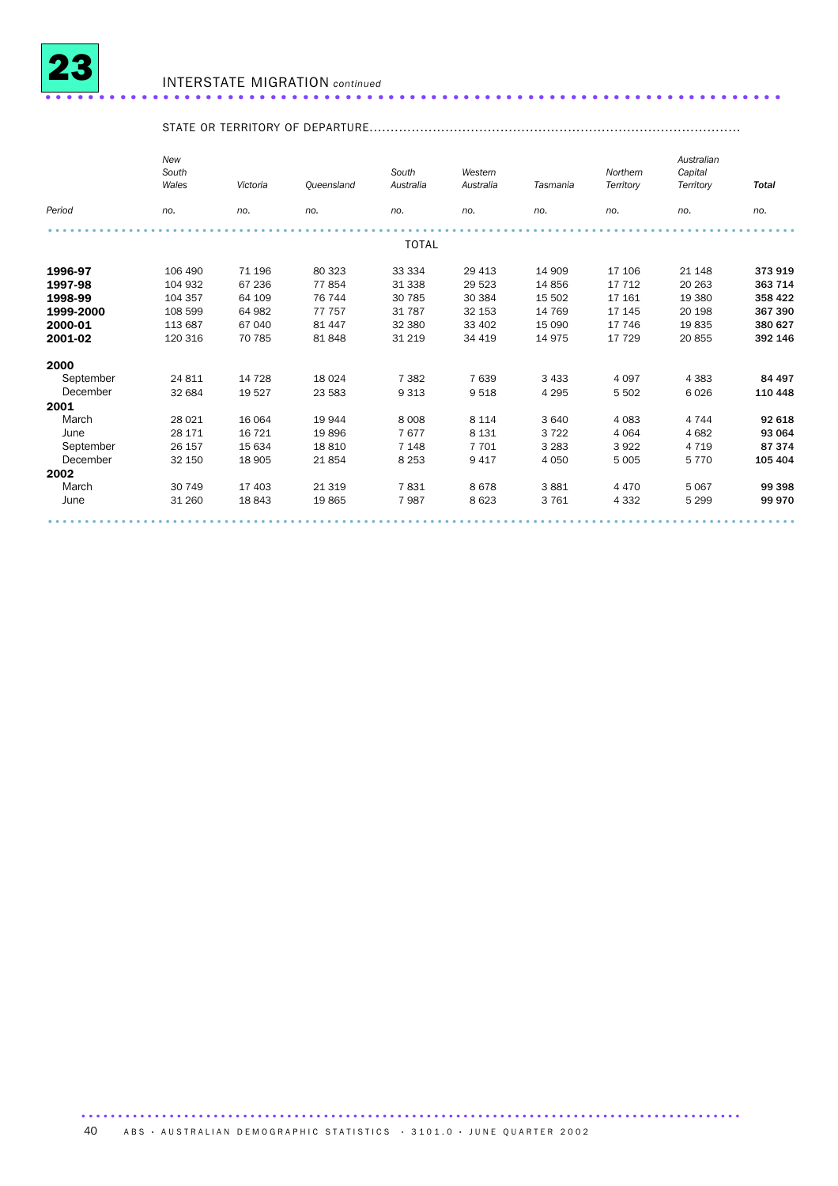

### STATE OR TERRITORY OF DEPARTURE........................................................................................

| Period    | no.     | no.     |         |              | Australia | Tasmania | Territory | Territory | <b>Total</b> |
|-----------|---------|---------|---------|--------------|-----------|----------|-----------|-----------|--------------|
|           |         |         | no.     | no.          | no.       | no.      | no.       | no.       | no.          |
|           |         |         |         | <b>TOTAL</b> |           |          |           |           |              |
| 1996-97   | 106 490 | 71 196  | 80 323  | 33 334       | 29 413    | 14 909   | 17 106    | 21 148    | 373 919      |
| 1997-98   | 104 932 | 67 236  | 77854   | 31 338       | 29 5 23   | 14856    | 17 7 12   | 20 26 3   | 363 714      |
| 1998-99   | 104 357 | 64 109  | 76 744  | 30 785       | 30 384    | 15 502   | 17 161    | 19 380    | 358 422      |
| 1999-2000 | 108 599 | 64 982  | 77 757  | 31 787       | 32 153    | 14 769   | 17 145    | 20 198    | 367 390      |
| 2000-01   | 113 687 | 67 040  | 81 447  | 32 380       | 33 402    | 15 0 90  | 17 746    | 19835     | 380 627      |
| 2001-02   | 120 316 | 70 785  | 81848   | 31 219       | 34 419    | 14975    | 17 729    | 20855     | 392 146      |
| 2000      |         |         |         |              |           |          |           |           |              |
| September | 24 811  | 14 7 28 | 18 0 24 | 7 3 8 2      | 7 6 3 9   | 3 4 3 3  | 4 0 9 7   | 4 3 8 3   | 84 497       |
| December  | 32 684  | 19 5 27 | 23 5 83 | 9 3 1 3      | 9518      | 4 2 9 5  | 5 5 0 2   | 6026      | 110 448      |
| 2001      |         |         |         |              |           |          |           |           |              |
| March     | 28 0 21 | 16 064  | 19 944  | 8 0 0 8      | 8 1 1 4   | 3 6 4 0  | 4 0 8 3   | 4 7 4 4   | 92 618       |
| June      | 28 17 1 | 16 7 21 | 19896   | 7677         | 8 1 3 1   | 3722     | 4 0 6 4   | 4682      | 93 064       |
| September | 26 157  | 15 634  | 18810   | 7 1 4 8      | 7 7 0 1   | 3 2 8 3  | 3922      | 4 7 1 9   | 87374        |
| December  | 32 150  | 18 905  | 21854   | 8 2 5 3      | 9 4 1 7   | 4 0 5 0  | 5 0 0 5   | 5770      | 105 404      |
| 2002      |         |         |         |              |           |          |           |           |              |
| March     | 30 749  | 17 403  | 21 3 19 | 7831         | 8678      | 3881     | 4 4 7 0   | 5 0 6 7   | 99 398       |
| June      | 31 260  | 18843   | 19865   | 7987         | 8 6 23    | 3761     | 4 3 3 2   | 5 2 9 9   | 99 970       |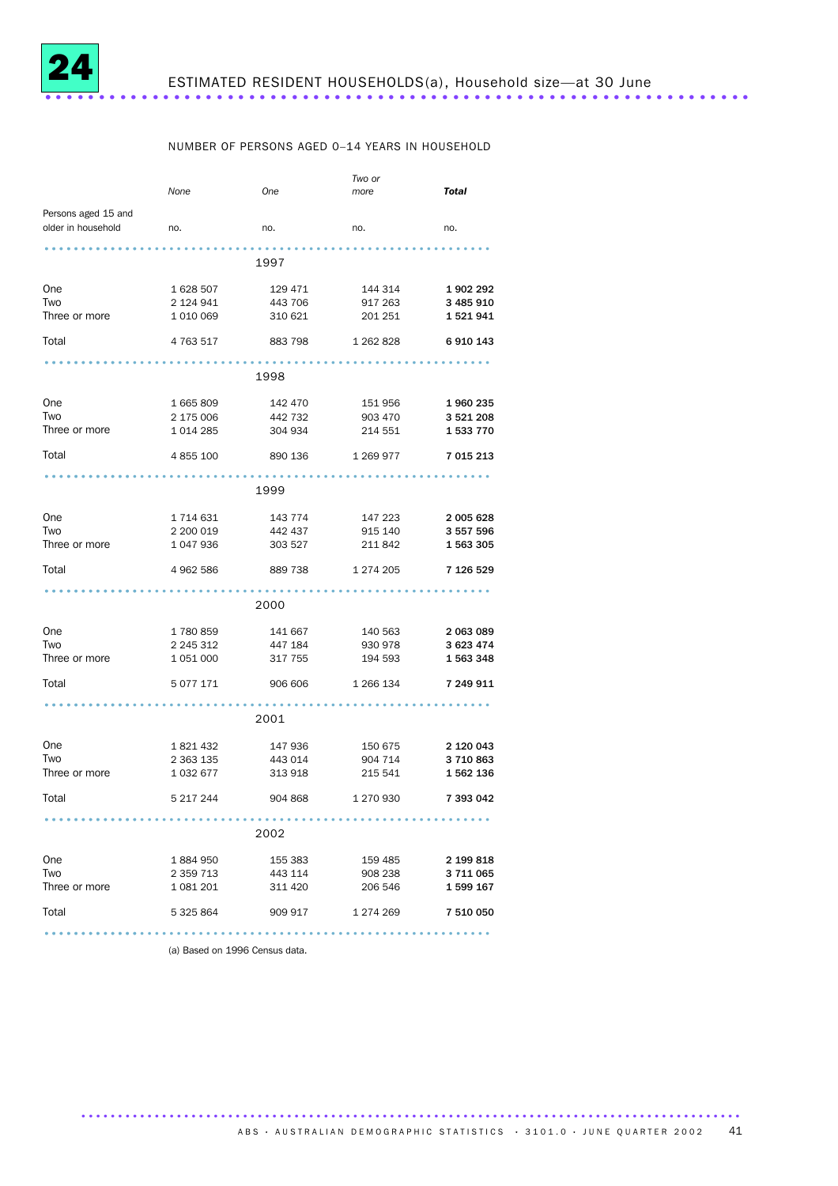

### NUMBER OF PERSONS AGED 0–14 YEARS IN HOUSEHOLD

|                     | None          | One               | Two or<br>more | <b>Total</b> |
|---------------------|---------------|-------------------|----------------|--------------|
| Persons aged 15 and |               |                   |                |              |
| older in household  | no.           | no.               | no.            | no.          |
|                     |               |                   |                |              |
|                     |               | 1997              |                |              |
| <b>One</b>          | 1 628 507     | 129 471           | 144 314        | 1902292      |
| Two                 | 2 124 941     | 443 706           | 917 263        | 3 485 910    |
| Three or more       | 1 010 069     | 310 621           | 201 251        | 1521941      |
| Total               | 4 763 517     | 883 798 1 262 828 |                | 6 910 143    |
|                     |               |                   |                |              |
|                     |               | 1998              |                |              |
| One                 | 1665809       | 142 470           | 151 956        | 1960235      |
| Two                 | 2 175 006     | 442 732           | 903 470        | 3 521 208    |
| Three or more       | 1 0 1 4 2 8 5 | 304 934           | 214 551        | 1 533 770    |
| Total               | 4 855 100     | 890 136           | 1 269 977      | 7 015 213    |
|                     |               |                   |                |              |
|                     |               | 1999              |                |              |
| One                 | 1 714 631     | 143 774           | 147 223        | 2 005 628    |
| Two                 | 2 200 019     | 442 437           | 915 140        | 3 557 596    |
| Three or more       | 1 047 936     | 303 527           | 211 842        | 1563305      |
| Total               | 4 962 586     | 889 738           | 1 274 205      | 7 126 529    |
|                     |               |                   |                |              |
|                     |               | 2000              |                |              |
| One                 | 1 780 859     | 141 667           | 140 563        | 2 063 089    |
| Two                 | 2 245 312     | 447 184           | 930 978        | 3 623 474    |
| Three or more       | 1 051 000     | 317 755           | 194 593        | 1 563 348    |
| Total               | 5 0 7 7 1 7 1 | 906 606           | 1 266 134      | 7 249 911    |
|                     |               |                   |                |              |
|                     |               | 2001              |                |              |
| One                 | 1 821 432     | 147 936           | 150 675        | 2 120 043    |
| Two                 | 2 363 135     | 443 014           | 904 714        | 3710863      |
| Three or more       | 1 0 3 2 6 7 7 | 313 918           | 215 541        | 1 562 136    |
| Total               | 5 217 244     | 904 868           | 1 270 930      | 7 393 042    |
|                     |               |                   |                |              |
|                     |               | 2002              |                |              |
| One                 | 1 884 950     | 155 383           | 159 485        | 2 199 818    |
| Two                 | 2 3 5 9 7 1 3 | 443 114           | 908 238        | 3 711 065    |
| Three or more       | 1 081 201     | 311 420           | 206 546        | 1599167      |
| Total               | 5 325 864     | 909 917           | 1 274 269      | 7 510 050    |
|                     |               |                   |                |              |

(a) Based on 1996 Census data.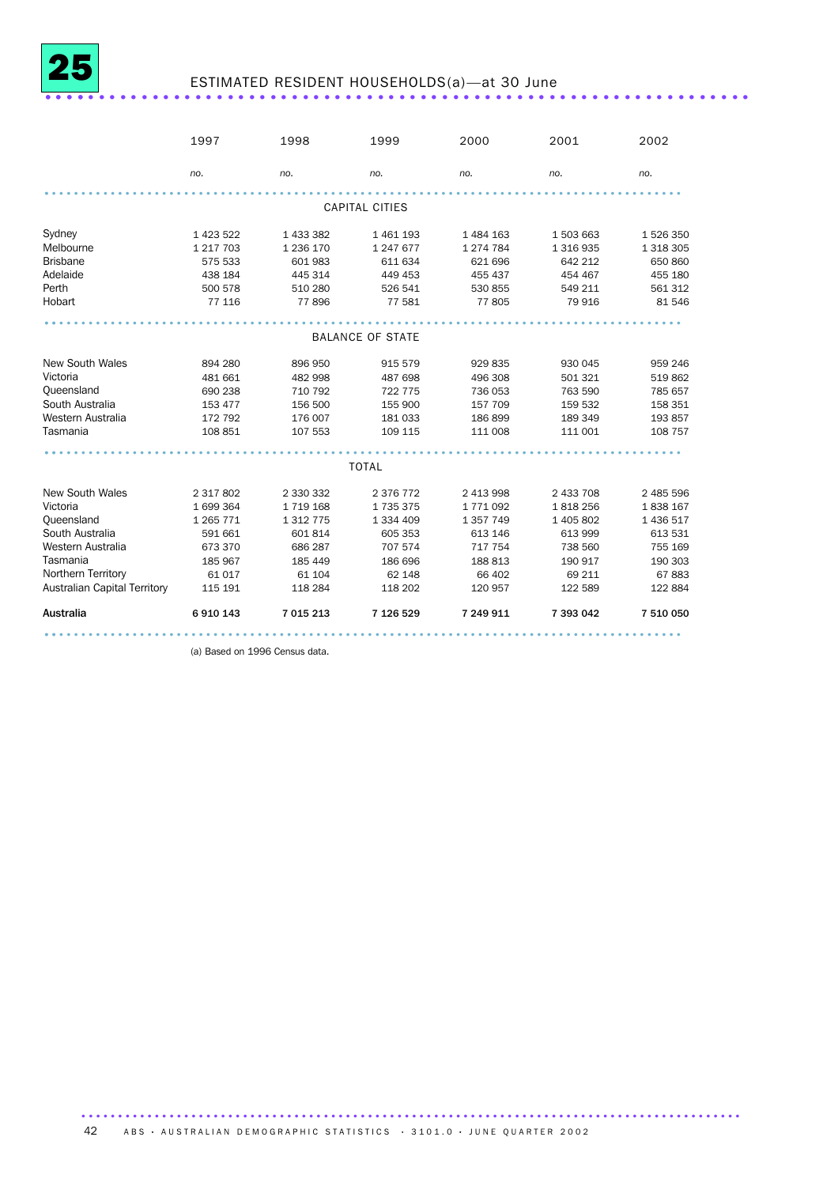

## ESTIMATED RESIDENT HOUSEHOLDS(a)—at 30 June .................................................................. ....

|                              | 1997        | 1998          | 1999                    | 2000          | 2001      | 2002      |
|------------------------------|-------------|---------------|-------------------------|---------------|-----------|-----------|
|                              | no.         | no.           | no.                     | no.           | no.       | no.       |
|                              |             |               | <b>CAPITAL CITIES</b>   |               |           |           |
| Sydney                       | 1 423 522   | 1 433 382     | 1 461 193               | 1 484 163     | 1 503 663 | 1 526 350 |
| Melbourne                    | 1 217 703   | 1 236 170     | 1 247 677               | 1 274 784     | 1 316 935 | 1 318 305 |
| <b>Brisbane</b>              | 575 533     | 601 983       | 611 634                 | 621 696       | 642 212   | 650 860   |
| Adelaide                     | 438 184     | 445 314       | 449 453                 | 455 437       | 454 467   | 455 180   |
| Perth                        | 500 578     | 510 280       | 526 541                 | 530 855       | 549 211   | 561 312   |
| Hobart                       | 77 116      | 77896         | 77 581                  | 77805         | 79 916    | 81 546    |
|                              |             |               |                         |               |           |           |
|                              |             |               | <b>BALANCE OF STATE</b> |               |           |           |
| <b>New South Wales</b>       | 894 280     | 896 950       | 915 579                 | 929 835       | 930 045   | 959 246   |
| Victoria                     | 481 661     | 482 998       | 487 698                 | 496 308       | 501 321   | 519862    |
| Queensland                   | 690 238     | 710 792       | 722 775                 | 736 053       | 763 590   | 785 657   |
| South Australia              | 153 477     | 156 500       | 155 900                 | 157 709       | 159 532   | 158 351   |
| Western Australia            | 172 792     | 176 007       | 181 033                 | 186899        | 189 349   | 193 857   |
| Tasmania                     | 108 851     | 107 553       | 109 115                 | 111 008       | 111 001   | 108 757   |
|                              |             |               |                         |               |           |           |
|                              |             |               | <b>TOTAL</b>            |               |           |           |
| <b>New South Wales</b>       | 2 317 802   | 2 330 332     | 2 376 772               | 2 413 998     | 2 433 708 | 2 485 596 |
| Victoria                     | 1699364     | 1 7 1 9 1 6 8 | 1735375                 | 1771092       | 1818256   | 1838 167  |
| Queensland                   | 1 2 6 7 7 1 | 1 3 1 7 7 5   | 1 334 409               | 1 3 5 7 7 4 9 | 1 405 802 | 1 436 517 |
| South Australia              | 591 661     | 601 814       | 605 353                 | 613 146       | 613 999   | 613 531   |
| Western Australia            | 673 370     | 686 287       | 707 574                 | 717 754       | 738 560   | 755 169   |
| Tasmania                     | 185 967     | 185 449       | 186 696                 | 188 813       | 190 917   | 190 303   |
| Northern Territory           | 61 017      | 61 104        | 62 148                  | 66 402        | 69 211    | 67883     |
| Australian Capital Territory | 115 191     | 118 284       | 118 202                 | 120 957       | 122 589   | 122 884   |
| <b>Australia</b>             | 6910143     | 7 015 213     | 7 126 529               | 7 249 911     | 7 393 042 | 7 510 050 |
|                              |             |               |                         |               |           |           |

(a) Based on 1996 Census data.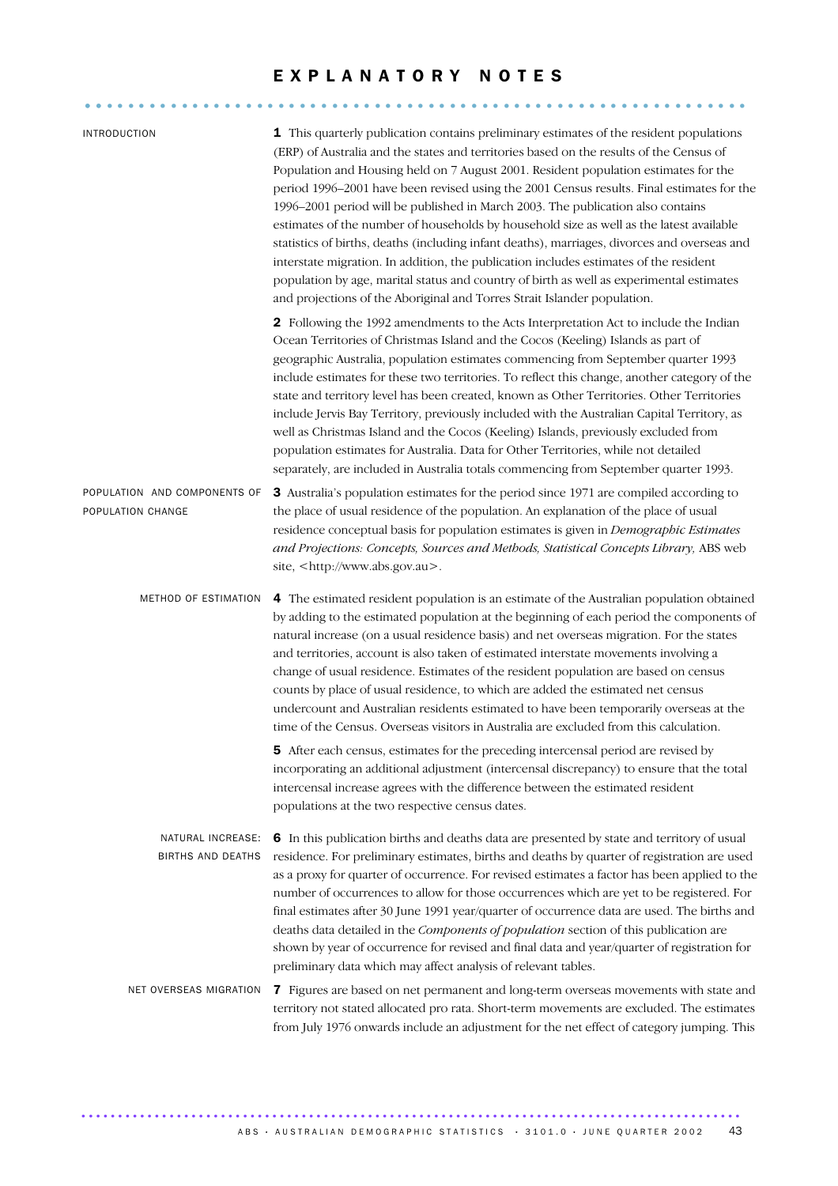### EXPLANATORY NOTES .............................................................. ..

| <b>INTRODUCTION</b>                               | 1 This quarterly publication contains preliminary estimates of the resident populations<br>(ERP) of Australia and the states and territories based on the results of the Census of<br>Population and Housing held on 7 August 2001. Resident population estimates for the<br>period 1996-2001 have been revised using the 2001 Census results. Final estimates for the<br>1996–2001 period will be published in March 2003. The publication also contains<br>estimates of the number of households by household size as well as the latest available<br>statistics of births, deaths (including infant deaths), marriages, divorces and overseas and<br>interstate migration. In addition, the publication includes estimates of the resident<br>population by age, marital status and country of birth as well as experimental estimates<br>and projections of the Aboriginal and Torres Strait Islander population. |
|---------------------------------------------------|-----------------------------------------------------------------------------------------------------------------------------------------------------------------------------------------------------------------------------------------------------------------------------------------------------------------------------------------------------------------------------------------------------------------------------------------------------------------------------------------------------------------------------------------------------------------------------------------------------------------------------------------------------------------------------------------------------------------------------------------------------------------------------------------------------------------------------------------------------------------------------------------------------------------------|
|                                                   | 2 Following the 1992 amendments to the Acts Interpretation Act to include the Indian<br>Ocean Territories of Christmas Island and the Cocos (Keeling) Islands as part of<br>geographic Australia, population estimates commencing from September quarter 1993<br>include estimates for these two territories. To reflect this change, another category of the<br>state and territory level has been created, known as Other Territories. Other Territories<br>include Jervis Bay Territory, previously included with the Australian Capital Territory, as<br>well as Christmas Island and the Cocos (Keeling) Islands, previously excluded from<br>population estimates for Australia. Data for Other Territories, while not detailed<br>separately, are included in Australia totals commencing from September quarter 1993.                                                                                         |
| POPULATION AND COMPONENTS OF<br>POPULATION CHANGE | 3 Australia's population estimates for the period since 1971 are compiled according to<br>the place of usual residence of the population. An explanation of the place of usual<br>residence conceptual basis for population estimates is given in <i>Demographic Estimates</i><br>and Projections: Concepts, Sources and Methods, Statistical Concepts Library, ABS web<br>site, <http: www.abs.gov.au="">.</http:>                                                                                                                                                                                                                                                                                                                                                                                                                                                                                                   |
| METHOD OF ESTIMATION                              | 4 The estimated resident population is an estimate of the Australian population obtained<br>by adding to the estimated population at the beginning of each period the components of<br>natural increase (on a usual residence basis) and net overseas migration. For the states<br>and territories, account is also taken of estimated interstate movements involving a<br>change of usual residence. Estimates of the resident population are based on census<br>counts by place of usual residence, to which are added the estimated net census<br>undercount and Australian residents estimated to have been temporarily overseas at the<br>time of the Census. Overseas visitors in Australia are excluded from this calculation.                                                                                                                                                                                 |
|                                                   | <b>5</b> After each census, estimates for the preceding intercensal period are revised by<br>incorporating an additional adjustment (intercensal discrepancy) to ensure that the total<br>intercensal increase agrees with the difference between the estimated resident<br>populations at the two respective census dates.                                                                                                                                                                                                                                                                                                                                                                                                                                                                                                                                                                                           |
| NATURAL INCREASE:<br>BIRTHS AND DEATHS            | 6 In this publication births and deaths data are presented by state and territory of usual<br>residence. For preliminary estimates, births and deaths by quarter of registration are used<br>as a proxy for quarter of occurrence. For revised estimates a factor has been applied to the<br>number of occurrences to allow for those occurrences which are yet to be registered. For<br>final estimates after 30 June 1991 year/quarter of occurrence data are used. The births and<br>deaths data detailed in the Components of population section of this publication are<br>shown by year of occurrence for revised and final data and year/quarter of registration for<br>preliminary data which may affect analysis of relevant tables.                                                                                                                                                                         |
| NET OVERSEAS MIGRATION                            | 7 Figures are based on net permanent and long-term overseas movements with state and<br>territory not stated allocated pro rata. Short-term movements are excluded. The estimates<br>from July 1976 onwards include an adjustment for the net effect of category jumping. This                                                                                                                                                                                                                                                                                                                                                                                                                                                                                                                                                                                                                                        |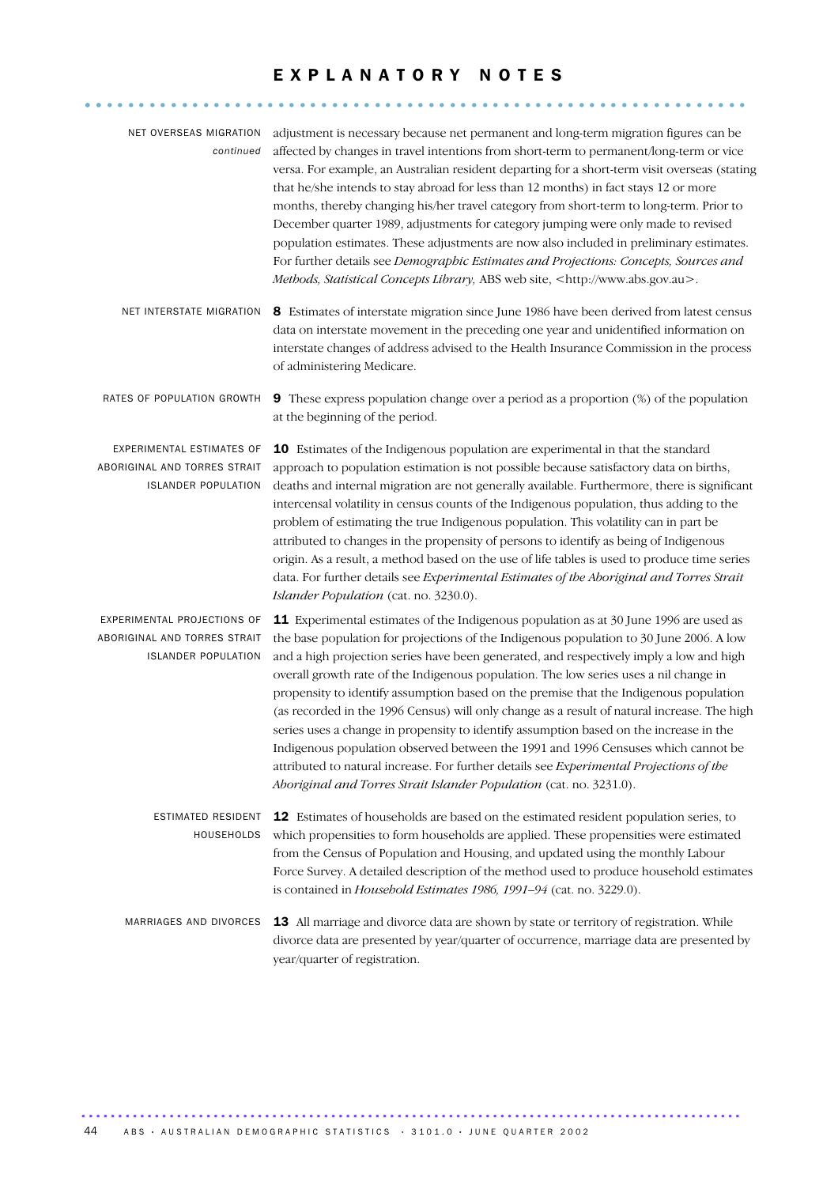### EXPLANATORY NOTES

.............................................................. ..

| NET OVERSEAS MIGRATION<br>continued                                                       | adjustment is necessary because net permanent and long-term migration figures can be<br>affected by changes in travel intentions from short-term to permanent/long-term or vice<br>versa. For example, an Australian resident departing for a short-term visit overseas (stating<br>that he/she intends to stay abroad for less than 12 months) in fact stays 12 or more<br>months, thereby changing his/her travel category from short-term to long-term. Prior to<br>December quarter 1989, adjustments for category jumping were only made to revised<br>population estimates. These adjustments are now also included in preliminary estimates.<br>For further details see Demographic Estimates and Projections: Concepts, Sources and<br>Methods, Statistical Concepts Library, ABS web site, <http: www.abs.gov.au="">.</http:>                                                                        |
|-------------------------------------------------------------------------------------------|---------------------------------------------------------------------------------------------------------------------------------------------------------------------------------------------------------------------------------------------------------------------------------------------------------------------------------------------------------------------------------------------------------------------------------------------------------------------------------------------------------------------------------------------------------------------------------------------------------------------------------------------------------------------------------------------------------------------------------------------------------------------------------------------------------------------------------------------------------------------------------------------------------------|
| NET INTERSTATE MIGRATION                                                                  | 8 Estimates of interstate migration since June 1986 have been derived from latest census<br>data on interstate movement in the preceding one year and unidentified information on<br>interstate changes of address advised to the Health Insurance Commission in the process<br>of administering Medicare.                                                                                                                                                                                                                                                                                                                                                                                                                                                                                                                                                                                                    |
| RATES OF POPULATION GROWTH                                                                | <b>9</b> These express population change over a period as a proportion (%) of the population<br>at the beginning of the period.                                                                                                                                                                                                                                                                                                                                                                                                                                                                                                                                                                                                                                                                                                                                                                               |
| EXPERIMENTAL ESTIMATES OF<br>ABORIGINAL AND TORRES STRAIT<br><b>ISLANDER POPULATION</b>   | 10 Estimates of the Indigenous population are experimental in that the standard<br>approach to population estimation is not possible because satisfactory data on births,<br>deaths and internal migration are not generally available. Furthermore, there is significant<br>intercensal volatility in census counts of the Indigenous population, thus adding to the<br>problem of estimating the true Indigenous population. This volatility can in part be<br>attributed to changes in the propensity of persons to identify as being of Indigenous<br>origin. As a result, a method based on the use of life tables is used to produce time series<br>data. For further details see Experimental Estimates of the Aboriginal and Torres Strait<br>Islander Population (cat. no. 3230.0).                                                                                                                  |
| EXPERIMENTAL PROJECTIONS OF<br>ABORIGINAL AND TORRES STRAIT<br><b>ISLANDER POPULATION</b> | 11 Experimental estimates of the Indigenous population as at 30 June 1996 are used as<br>the base population for projections of the Indigenous population to 30 June 2006. A low<br>and a high projection series have been generated, and respectively imply a low and high<br>overall growth rate of the Indigenous population. The low series uses a nil change in<br>propensity to identify assumption based on the premise that the Indigenous population<br>(as recorded in the 1996 Census) will only change as a result of natural increase. The high<br>series uses a change in propensity to identify assumption based on the increase in the<br>Indigenous population observed between the 1991 and 1996 Censuses which cannot be<br>attributed to natural increase. For further details see Experimental Projections of the<br>Aboriginal and Torres Strait Islander Population (cat. no. 3231.0). |
| ESTIMATED RESIDENT<br>HOUSEHOLDS                                                          | 12 Estimates of households are based on the estimated resident population series, to<br>which propensities to form households are applied. These propensities were estimated<br>from the Census of Population and Housing, and updated using the monthly Labour<br>Force Survey. A detailed description of the method used to produce household estimates<br>is contained in Household Estimates 1986, 1991-94 (cat. no. 3229.0).                                                                                                                                                                                                                                                                                                                                                                                                                                                                             |
| MARRIAGES AND DIVORCES                                                                    | 13 All marriage and divorce data are shown by state or territory of registration. While<br>divorce data are presented by year/quarter of occurrence, marriage data are presented by<br>year/quarter of registration.                                                                                                                                                                                                                                                                                                                                                                                                                                                                                                                                                                                                                                                                                          |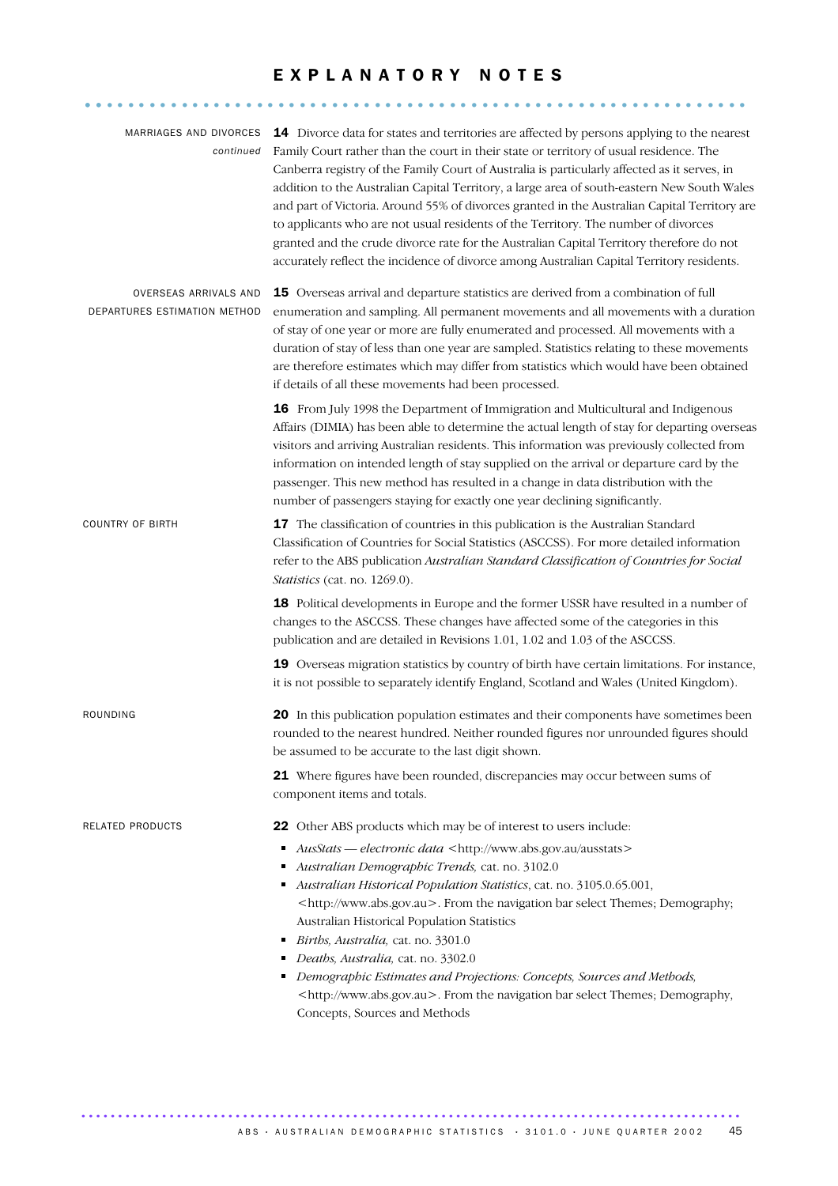### EXPLANATORY NOTES

.............................................................. ..

| continued                                             | MARRIAGES AND DIVORCES 14 Divorce data for states and territories are affected by persons applying to the nearest<br>Family Court rather than the court in their state or territory of usual residence. The<br>Canberra registry of the Family Court of Australia is particularly affected as it serves, in<br>addition to the Australian Capital Territory, a large area of south-eastern New South Wales<br>and part of Victoria. Around 55% of divorces granted in the Australian Capital Territory are<br>to applicants who are not usual residents of the Territory. The number of divorces<br>granted and the crude divorce rate for the Australian Capital Territory therefore do not<br>accurately reflect the incidence of divorce among Australian Capital Territory residents. |
|-------------------------------------------------------|-------------------------------------------------------------------------------------------------------------------------------------------------------------------------------------------------------------------------------------------------------------------------------------------------------------------------------------------------------------------------------------------------------------------------------------------------------------------------------------------------------------------------------------------------------------------------------------------------------------------------------------------------------------------------------------------------------------------------------------------------------------------------------------------|
| OVERSEAS ARRIVALS AND<br>DEPARTURES ESTIMATION METHOD | 15 Overseas arrival and departure statistics are derived from a combination of full<br>enumeration and sampling. All permanent movements and all movements with a duration<br>of stay of one year or more are fully enumerated and processed. All movements with a<br>duration of stay of less than one year are sampled. Statistics relating to these movements<br>are therefore estimates which may differ from statistics which would have been obtained<br>if details of all these movements had been processed.                                                                                                                                                                                                                                                                      |
|                                                       | 16 From July 1998 the Department of Immigration and Multicultural and Indigenous<br>Affairs (DIMIA) has been able to determine the actual length of stay for departing overseas<br>visitors and arriving Australian residents. This information was previously collected from<br>information on intended length of stay supplied on the arrival or departure card by the<br>passenger. This new method has resulted in a change in data distribution with the<br>number of passengers staying for exactly one year declining significantly.                                                                                                                                                                                                                                               |
| <b>COUNTRY OF BIRTH</b>                               | 17 The classification of countries in this publication is the Australian Standard<br>Classification of Countries for Social Statistics (ASCCSS). For more detailed information<br>refer to the ABS publication Australian Standard Classification of Countries for Social<br>Statistics (cat. no. 1269.0).                                                                                                                                                                                                                                                                                                                                                                                                                                                                                |
|                                                       | 18 Political developments in Europe and the former USSR have resulted in a number of<br>changes to the ASCCSS. These changes have affected some of the categories in this<br>publication and are detailed in Revisions 1.01, 1.02 and 1.03 of the ASCCSS.                                                                                                                                                                                                                                                                                                                                                                                                                                                                                                                                 |
|                                                       | 19 Overseas migration statistics by country of birth have certain limitations. For instance,<br>it is not possible to separately identify England, Scotland and Wales (United Kingdom).                                                                                                                                                                                                                                                                                                                                                                                                                                                                                                                                                                                                   |
| ROUNDING                                              | 20 In this publication population estimates and their components have sometimes been<br>rounded to the nearest hundred. Neither rounded figures nor unrounded figures should<br>be assumed to be accurate to the last digit shown.                                                                                                                                                                                                                                                                                                                                                                                                                                                                                                                                                        |
|                                                       | 21 Where figures have been rounded, discrepancies may occur between sums of<br>component items and totals.                                                                                                                                                                                                                                                                                                                                                                                                                                                                                                                                                                                                                                                                                |
| RELATED PRODUCTS                                      | 22 Other ABS products which may be of interest to users include:                                                                                                                                                                                                                                                                                                                                                                                                                                                                                                                                                                                                                                                                                                                          |
|                                                       | AusStats - electronic data <http: ausstats="" www.abs.gov.au=""><br/>п<br/>Australian Demographic Trends, cat. no. 3102.0<br/>Australian Historical Population Statistics, cat. no. 3105.0.65.001,<br/>٠<br/><http: www.abs.gov.au="">. From the navigation bar select Themes; Demography;</http:></http:>                                                                                                                                                                                                                                                                                                                                                                                                                                                                                |
|                                                       | Australian Historical Population Statistics                                                                                                                                                                                                                                                                                                                                                                                                                                                                                                                                                                                                                                                                                                                                               |
|                                                       | Births, Australia, cat. no. 3301.0<br>٠<br>Deaths, Australia, cat. no. 3302.0                                                                                                                                                                                                                                                                                                                                                                                                                                                                                                                                                                                                                                                                                                             |
|                                                       | Demographic Estimates and Projections: Concepts, Sources and Methods,<br><http: www.abs.gov.au="">. From the navigation bar select Themes; Demography,<br/>Concepts, Sources and Methods</http:>                                                                                                                                                                                                                                                                                                                                                                                                                                                                                                                                                                                          |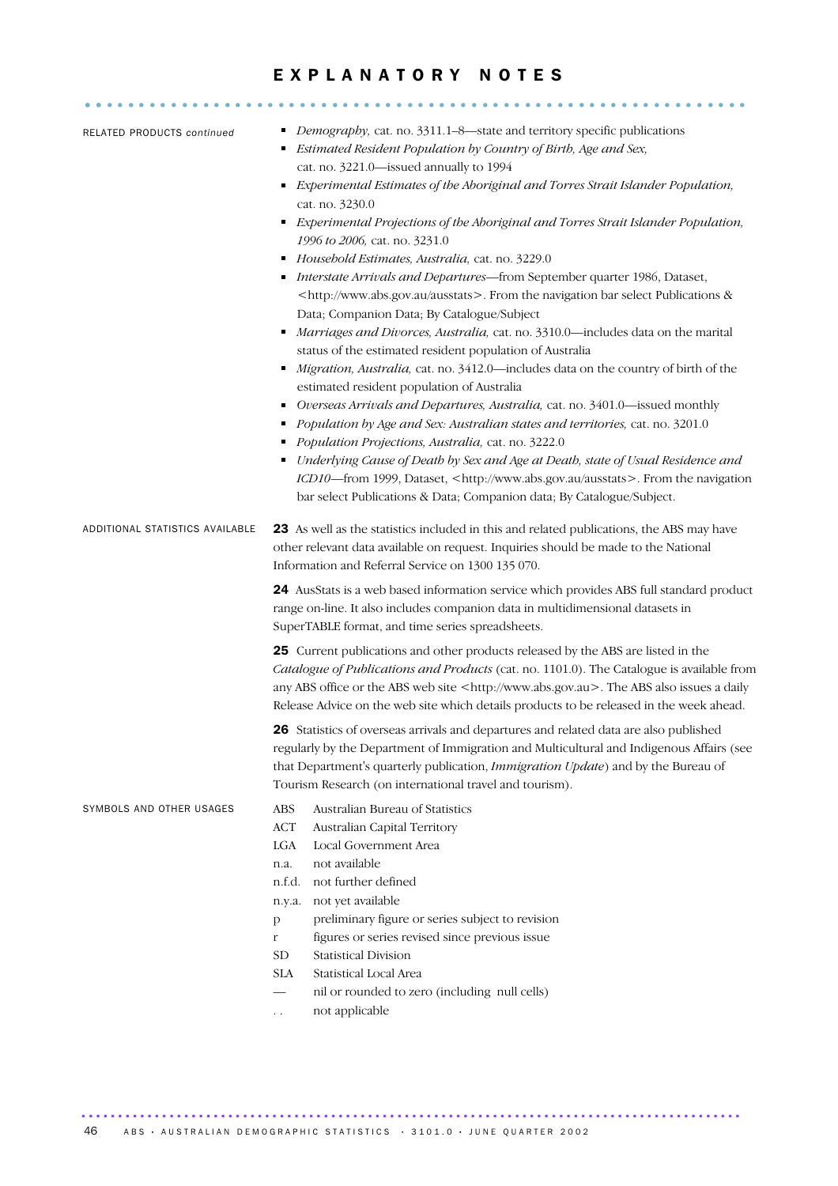### EXPLANATORY NOTES

| RELATED PRODUCTS continued      | Demography, cat. no. 3311.1-8-state and territory specific publications<br>Estimated Resident Population by Country of Birth, Age and Sex,<br>cat. no. 3221.0-issued annually to 1994<br>Experimental Estimates of the Aboriginal and Torres Strait Islander Population,<br>٠<br>cat. no. 3230.0<br>Experimental Projections of the Aboriginal and Torres Strait Islander Population,<br>1996 to 2006, cat. no. 3231.0<br>Household Estimates, Australia, cat. no. 3229.0<br>п<br>Interstate Arrivals and Departures-from September quarter 1986, Dataset,<br><http: ausstats="" www.abs.gov.au="">. From the navigation bar select Publications &amp;<br/>Data; Companion Data; By Catalogue/Subject<br/>Marriages and Divorces, Australia, cat. no. 3310.0-includes data on the marital<br/>status of the estimated resident population of Australia<br/>Migration, Australia, cat. no. 3412.0-includes data on the country of birth of the<br/>estimated resident population of Australia<br/>Overseas Arrivals and Departures, Australia, cat. no. 3401.0-issued monthly<br/>٠<br/>Population by Age and Sex: Australian states and territories, cat. no. 3201.0<br/>Population Projections, Australia, cat. no. 3222.0<br/>Underlying Cause of Death by Sex and Age at Death, state of Usual Residence and<br/>ICD10-from 1999, Dataset, <http: ausstats="" www.abs.gov.au="">. From the navigation<br/>bar select Publications &amp; Data; Companion data; By Catalogue/Subject.</http:></http:> |
|---------------------------------|--------------------------------------------------------------------------------------------------------------------------------------------------------------------------------------------------------------------------------------------------------------------------------------------------------------------------------------------------------------------------------------------------------------------------------------------------------------------------------------------------------------------------------------------------------------------------------------------------------------------------------------------------------------------------------------------------------------------------------------------------------------------------------------------------------------------------------------------------------------------------------------------------------------------------------------------------------------------------------------------------------------------------------------------------------------------------------------------------------------------------------------------------------------------------------------------------------------------------------------------------------------------------------------------------------------------------------------------------------------------------------------------------------------------------------------------------------------------------------------------------------|
| ADDITIONAL STATISTICS AVAILABLE | 23 As well as the statistics included in this and related publications, the ABS may have<br>other relevant data available on request. Inquiries should be made to the National<br>Information and Referral Service on 1300 135 070.<br>24 AusStats is a web based information service which provides ABS full standard product<br>range on-line. It also includes companion data in multidimensional datasets in<br>SuperTABLE format, and time series spreadsheets.                                                                                                                                                                                                                                                                                                                                                                                                                                                                                                                                                                                                                                                                                                                                                                                                                                                                                                                                                                                                                                   |
|                                 | 25 Current publications and other products released by the ABS are listed in the<br>Catalogue of Publications and Products (cat. no. 1101.0). The Catalogue is available from<br>any ABS office or the ABS web site <http: www.abs.gov.au="">. The ABS also issues a daily<br/>Release Advice on the web site which details products to be released in the week ahead.<br/>26 Statistics of overseas arrivals and departures and related data are also published<br/>regularly by the Department of Immigration and Multicultural and Indigenous Affairs (see<br/>that Department's quarterly publication, Immigration Update) and by the Bureau of<br/>Tourism Research (on international travel and tourism).</http:>                                                                                                                                                                                                                                                                                                                                                                                                                                                                                                                                                                                                                                                                                                                                                                                |
| SYMBOLS AND OTHER USAGES        | ABS<br>Australian Bureau of Statistics<br><b>ACT</b><br>Australian Capital Territory<br>Local Government Area<br>LGA<br>not available<br>n.a.<br>not further defined<br>n.f.d.<br>not yet available<br>n.y.a.<br>preliminary figure or series subject to revision<br>$\mathbf{p}$<br>figures or series revised since previous issue<br>$\mathbf r$<br><b>Statistical Division</b><br>${\rm SD}$<br>Statistical Local Area<br><b>SLA</b><br>nil or rounded to zero (including null cells)<br>not applicable<br>. .                                                                                                                                                                                                                                                                                                                                                                                                                                                                                                                                                                                                                                                                                                                                                                                                                                                                                                                                                                                      |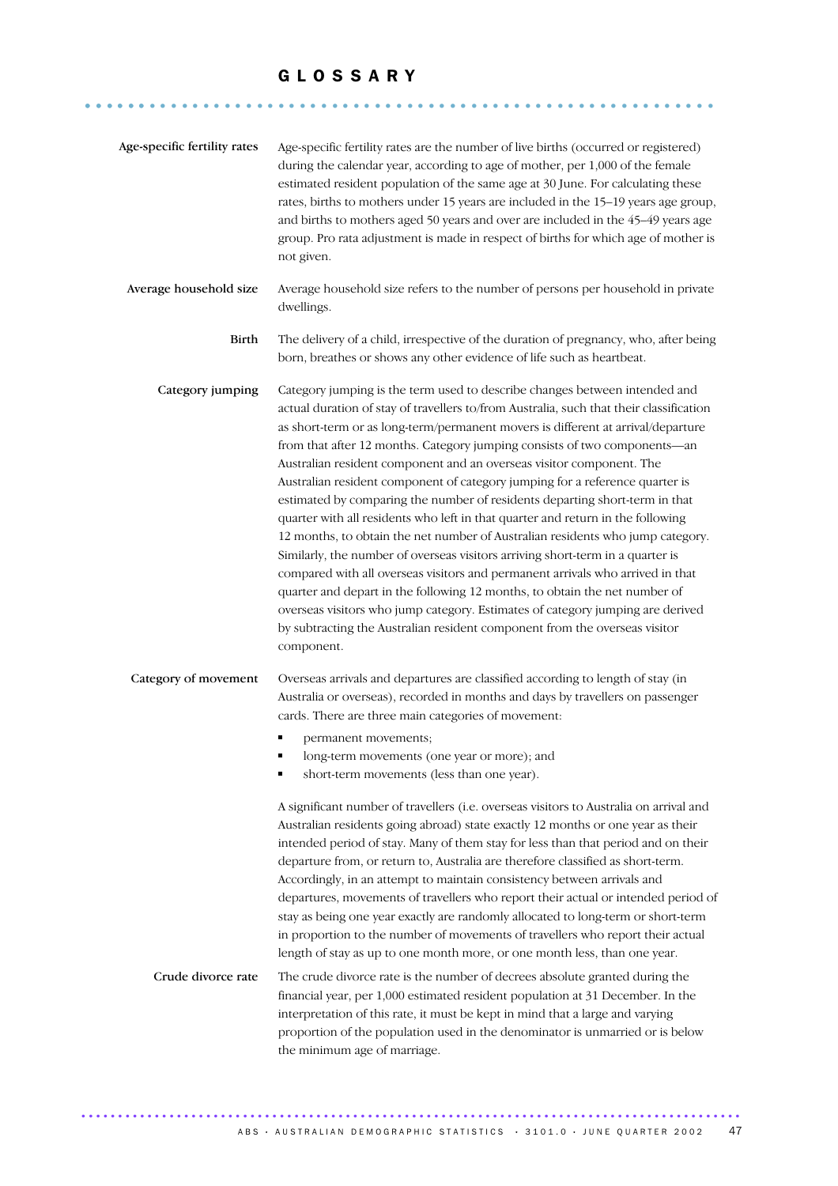........................................................... ......

| Age-specific fertility rates | Age-specific fertility rates are the number of live births (occurred or registered)<br>during the calendar year, according to age of mother, per 1,000 of the female<br>estimated resident population of the same age at 30 June. For calculating these<br>rates, births to mothers under 15 years are included in the 15-19 years age group,<br>and births to mothers aged 50 years and over are included in the 45-49 years age<br>group. Pro rata adjustment is made in respect of births for which age of mother is<br>not given.                                                                                                                                                                                                                                                                                                                                                                                                                                                                                                                                                                                                                                              |
|------------------------------|------------------------------------------------------------------------------------------------------------------------------------------------------------------------------------------------------------------------------------------------------------------------------------------------------------------------------------------------------------------------------------------------------------------------------------------------------------------------------------------------------------------------------------------------------------------------------------------------------------------------------------------------------------------------------------------------------------------------------------------------------------------------------------------------------------------------------------------------------------------------------------------------------------------------------------------------------------------------------------------------------------------------------------------------------------------------------------------------------------------------------------------------------------------------------------|
| Average household size       | Average household size refers to the number of persons per household in private<br>dwellings.                                                                                                                                                                                                                                                                                                                                                                                                                                                                                                                                                                                                                                                                                                                                                                                                                                                                                                                                                                                                                                                                                      |
| Birth                        | The delivery of a child, irrespective of the duration of pregnancy, who, after being<br>born, breathes or shows any other evidence of life such as heartbeat.                                                                                                                                                                                                                                                                                                                                                                                                                                                                                                                                                                                                                                                                                                                                                                                                                                                                                                                                                                                                                      |
| Category jumping             | Category jumping is the term used to describe changes between intended and<br>actual duration of stay of travellers to/from Australia, such that their classification<br>as short-term or as long-term/permanent movers is different at arrival/departure<br>from that after 12 months. Category jumping consists of two components-an<br>Australian resident component and an overseas visitor component. The<br>Australian resident component of category jumping for a reference quarter is<br>estimated by comparing the number of residents departing short-term in that<br>quarter with all residents who left in that quarter and return in the following<br>12 months, to obtain the net number of Australian residents who jump category.<br>Similarly, the number of overseas visitors arriving short-term in a quarter is<br>compared with all overseas visitors and permanent arrivals who arrived in that<br>quarter and depart in the following 12 months, to obtain the net number of<br>overseas visitors who jump category. Estimates of category jumping are derived<br>by subtracting the Australian resident component from the overseas visitor<br>component. |
| Category of movement         | Overseas arrivals and departures are classified according to length of stay (in<br>Australia or overseas), recorded in months and days by travellers on passenger<br>cards. There are three main categories of movement:<br>permanent movements;<br>long-term movements (one year or more); and<br>short-term movements (less than one year).<br>A significant number of travellers (i.e. overseas visitors to Australia on arrival and<br>Australian residents going abroad) state exactly 12 months or one year as their<br>intended period of stay. Many of them stay for less than that period and on their<br>departure from, or return to, Australia are therefore classified as short-term.<br>Accordingly, in an attempt to maintain consistency between arrivals and<br>departures, movements of travellers who report their actual or intended period of<br>stay as being one year exactly are randomly allocated to long-term or short-term<br>in proportion to the number of movements of travellers who report their actual<br>length of stay as up to one month more, or one month less, than one year.                                                              |
| Crude divorce rate           | The crude divorce rate is the number of decrees absolute granted during the<br>financial year, per 1,000 estimated resident population at 31 December. In the<br>interpretation of this rate, it must be kept in mind that a large and varying<br>proportion of the population used in the denominator is unmarried or is below<br>the minimum age of marriage.                                                                                                                                                                                                                                                                                                                                                                                                                                                                                                                                                                                                                                                                                                                                                                                                                    |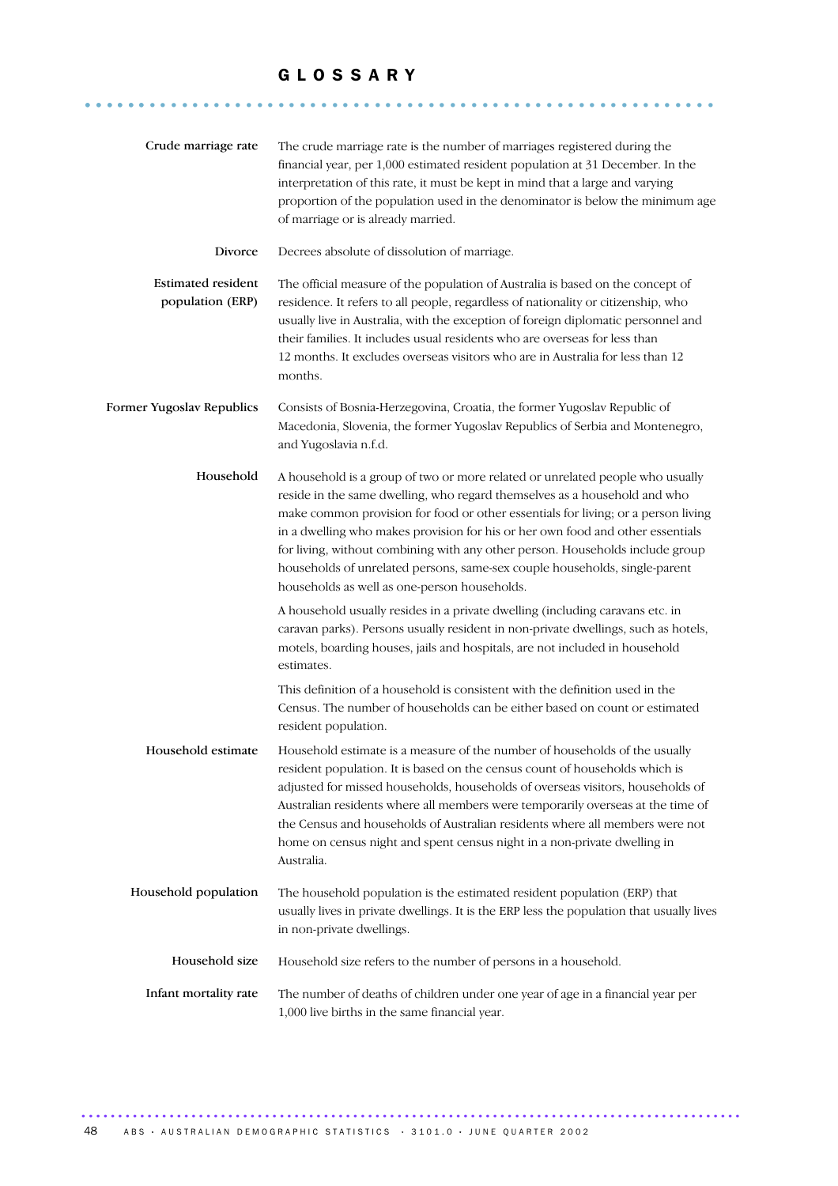........................................................... ......

| Crude marriage rate                           | The crude marriage rate is the number of marriages registered during the<br>financial year, per 1,000 estimated resident population at 31 December. In the<br>interpretation of this rate, it must be kept in mind that a large and varying<br>proportion of the population used in the denominator is below the minimum age<br>of marriage or is already married.                                                                                                                                                                               |
|-----------------------------------------------|--------------------------------------------------------------------------------------------------------------------------------------------------------------------------------------------------------------------------------------------------------------------------------------------------------------------------------------------------------------------------------------------------------------------------------------------------------------------------------------------------------------------------------------------------|
| Divorce                                       | Decrees absolute of dissolution of marriage.                                                                                                                                                                                                                                                                                                                                                                                                                                                                                                     |
| <b>Estimated resident</b><br>population (ERP) | The official measure of the population of Australia is based on the concept of<br>residence. It refers to all people, regardless of nationality or citizenship, who<br>usually live in Australia, with the exception of foreign diplomatic personnel and<br>their families. It includes usual residents who are overseas for less than<br>12 months. It excludes overseas visitors who are in Australia for less than 12<br>months.                                                                                                              |
| Former Yugoslav Republics                     | Consists of Bosnia-Herzegovina, Croatia, the former Yugoslav Republic of<br>Macedonia, Slovenia, the former Yugoslav Republics of Serbia and Montenegro,<br>and Yugoslavia n.f.d.                                                                                                                                                                                                                                                                                                                                                                |
| Household                                     | A household is a group of two or more related or unrelated people who usually<br>reside in the same dwelling, who regard themselves as a household and who<br>make common provision for food or other essentials for living; or a person living<br>in a dwelling who makes provision for his or her own food and other essentials<br>for living, without combining with any other person. Households include group<br>households of unrelated persons, same-sex couple households, single-parent<br>households as well as one-person households. |
|                                               | A household usually resides in a private dwelling (including caravans etc. in<br>caravan parks). Persons usually resident in non-private dwellings, such as hotels,<br>motels, boarding houses, jails and hospitals, are not included in household<br>estimates.                                                                                                                                                                                                                                                                                 |
|                                               | This definition of a household is consistent with the definition used in the<br>Census. The number of households can be either based on count or estimated<br>resident population.                                                                                                                                                                                                                                                                                                                                                               |
| Household estimate                            | Household estimate is a measure of the number of households of the usually<br>resident population. It is based on the census count of households which is<br>adjusted for missed households, households of overseas visitors, households of<br>Australian residents where all members were temporarily overseas at the time of<br>the Census and households of Australian residents where all members were not<br>home on census night and spent census night in a non-private dwelling in<br>Australia.                                         |
| Household population                          | The household population is the estimated resident population (ERP) that<br>usually lives in private dwellings. It is the ERP less the population that usually lives<br>in non-private dwellings.                                                                                                                                                                                                                                                                                                                                                |
| Household size                                | Household size refers to the number of persons in a household.                                                                                                                                                                                                                                                                                                                                                                                                                                                                                   |
| Infant mortality rate                         | The number of deaths of children under one year of age in a financial year per<br>1,000 live births in the same financial year.                                                                                                                                                                                                                                                                                                                                                                                                                  |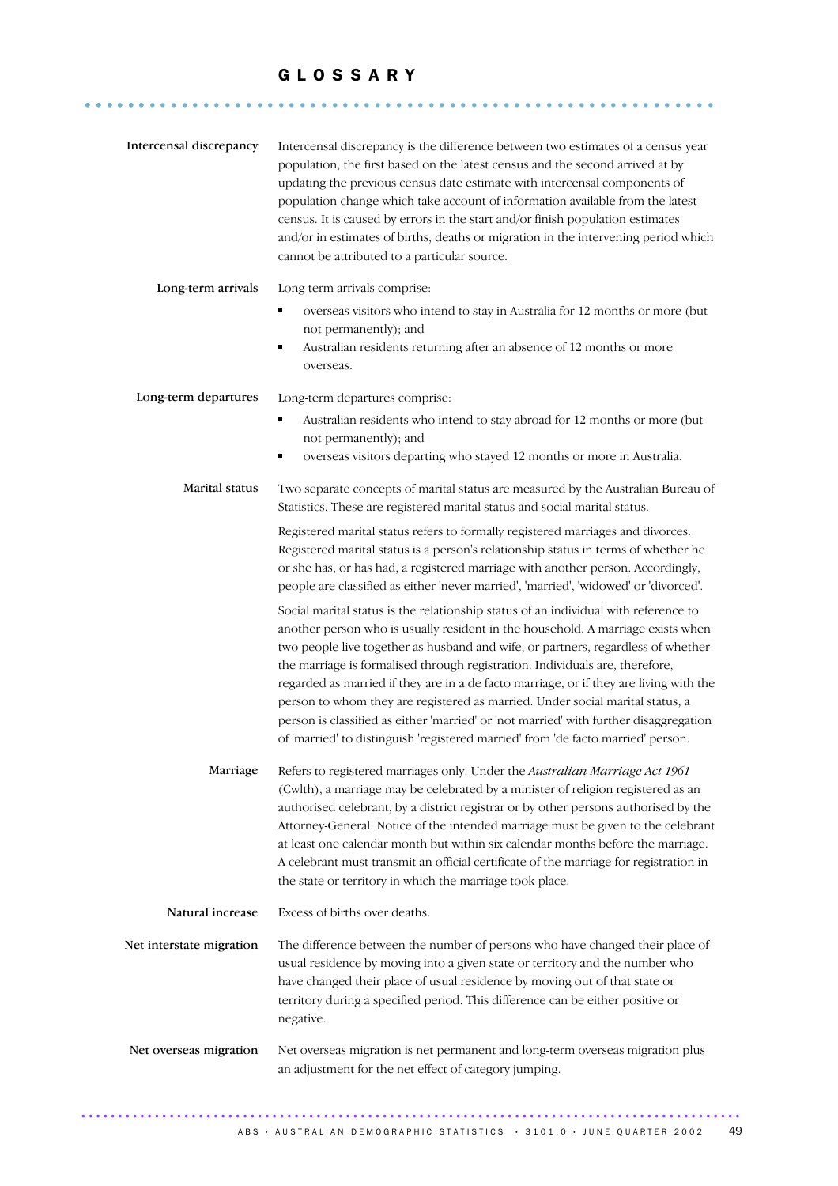........................................................... ......

| Intercensal discrepancy  | Intercensal discrepancy is the difference between two estimates of a census year<br>population, the first based on the latest census and the second arrived at by<br>updating the previous census date estimate with intercensal components of<br>population change which take account of information available from the latest<br>census. It is caused by errors in the start and/or finish population estimates<br>and/or in estimates of births, deaths or migration in the intervening period which<br>cannot be attributed to a particular source.                                                                                                                                                                                                                                                                                                                                                                                                                                                                                                                                                                                                                                                                  |
|--------------------------|--------------------------------------------------------------------------------------------------------------------------------------------------------------------------------------------------------------------------------------------------------------------------------------------------------------------------------------------------------------------------------------------------------------------------------------------------------------------------------------------------------------------------------------------------------------------------------------------------------------------------------------------------------------------------------------------------------------------------------------------------------------------------------------------------------------------------------------------------------------------------------------------------------------------------------------------------------------------------------------------------------------------------------------------------------------------------------------------------------------------------------------------------------------------------------------------------------------------------|
| Long-term arrivals       | Long-term arrivals comprise:<br>overseas visitors who intend to stay in Australia for 12 months or more (but<br>٠<br>not permanently); and<br>Australian residents returning after an absence of 12 months or more<br>٠<br>overseas.                                                                                                                                                                                                                                                                                                                                                                                                                                                                                                                                                                                                                                                                                                                                                                                                                                                                                                                                                                                     |
| Long-term departures     | Long-term departures comprise:<br>Australian residents who intend to stay abroad for 12 months or more (but<br>٠<br>not permanently); and<br>overseas visitors departing who stayed 12 months or more in Australia.<br>٠                                                                                                                                                                                                                                                                                                                                                                                                                                                                                                                                                                                                                                                                                                                                                                                                                                                                                                                                                                                                 |
| Marital status           | Two separate concepts of marital status are measured by the Australian Bureau of<br>Statistics. These are registered marital status and social marital status.<br>Registered marital status refers to formally registered marriages and divorces.<br>Registered marital status is a person's relationship status in terms of whether he<br>or she has, or has had, a registered marriage with another person. Accordingly,<br>people are classified as either 'never married', 'married', 'widowed' or 'divorced'.<br>Social marital status is the relationship status of an individual with reference to<br>another person who is usually resident in the household. A marriage exists when<br>two people live together as husband and wife, or partners, regardless of whether<br>the marriage is formalised through registration. Individuals are, therefore,<br>regarded as married if they are in a de facto marriage, or if they are living with the<br>person to whom they are registered as married. Under social marital status, a<br>person is classified as either 'married' or 'not married' with further disaggregation<br>of 'married' to distinguish 'registered married' from 'de facto married' person. |
| Marriage                 | Refers to registered marriages only. Under the Australian Marriage Act 1961<br>(Cwlth), a marriage may be celebrated by a minister of religion registered as an<br>authorised celebrant, by a district registrar or by other persons authorised by the<br>Attorney-General. Notice of the intended marriage must be given to the celebrant<br>at least one calendar month but within six calendar months before the marriage.<br>A celebrant must transmit an official certificate of the marriage for registration in<br>the state or territory in which the marriage took place.                                                                                                                                                                                                                                                                                                                                                                                                                                                                                                                                                                                                                                       |
| Natural increase         | Excess of births over deaths.                                                                                                                                                                                                                                                                                                                                                                                                                                                                                                                                                                                                                                                                                                                                                                                                                                                                                                                                                                                                                                                                                                                                                                                            |
| Net interstate migration | The difference between the number of persons who have changed their place of<br>usual residence by moving into a given state or territory and the number who<br>have changed their place of usual residence by moving out of that state or<br>territory during a specified period. This difference can be either positive or<br>negative.                                                                                                                                                                                                                                                                                                                                                                                                                                                                                                                                                                                                                                                                                                                                                                                                                                                                                |
| Net overseas migration   | Net overseas migration is net permanent and long-term overseas migration plus<br>an adjustment for the net effect of category jumping.                                                                                                                                                                                                                                                                                                                                                                                                                                                                                                                                                                                                                                                                                                                                                                                                                                                                                                                                                                                                                                                                                   |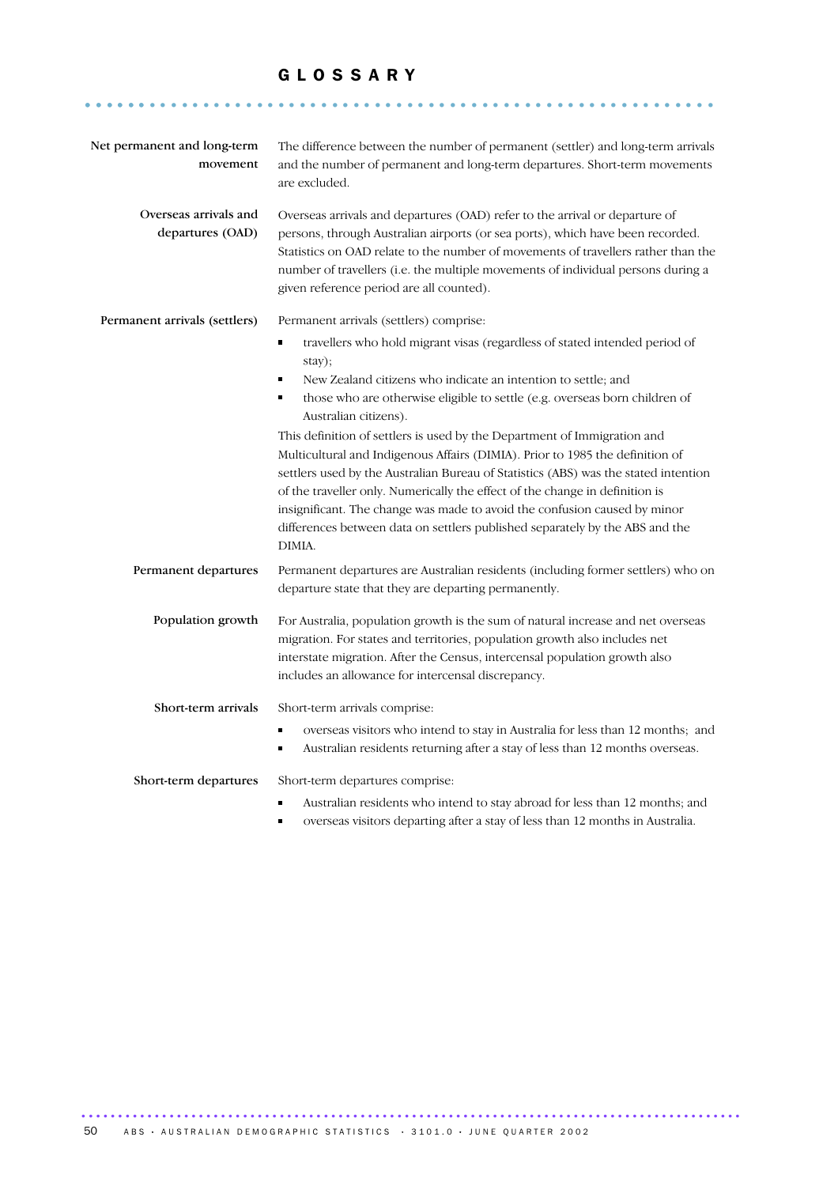........................................................... ......

| Net permanent and long-term<br>movement   | The difference between the number of permanent (settler) and long-term arrivals<br>and the number of permanent and long-term departures. Short-term movements<br>are excluded.                                                                                                                                                                                                                                                                                                                          |
|-------------------------------------------|---------------------------------------------------------------------------------------------------------------------------------------------------------------------------------------------------------------------------------------------------------------------------------------------------------------------------------------------------------------------------------------------------------------------------------------------------------------------------------------------------------|
| Overseas arrivals and<br>departures (OAD) | Overseas arrivals and departures (OAD) refer to the arrival or departure of<br>persons, through Australian airports (or sea ports), which have been recorded.<br>Statistics on OAD relate to the number of movements of travellers rather than the<br>number of travellers (i.e. the multiple movements of individual persons during a<br>given reference period are all counted).                                                                                                                      |
| Permanent arrivals (settlers)             | Permanent arrivals (settlers) comprise:<br>travellers who hold migrant visas (regardless of stated intended period of<br>٠<br>stay);<br>New Zealand citizens who indicate an intention to settle; and<br>٠<br>those who are otherwise eligible to settle (e.g. overseas born children of<br>٠<br>Australian citizens).                                                                                                                                                                                  |
|                                           | This definition of settlers is used by the Department of Immigration and<br>Multicultural and Indigenous Affairs (DIMIA). Prior to 1985 the definition of<br>settlers used by the Australian Bureau of Statistics (ABS) was the stated intention<br>of the traveller only. Numerically the effect of the change in definition is<br>insignificant. The change was made to avoid the confusion caused by minor<br>differences between data on settlers published separately by the ABS and the<br>DIMIA. |
| Permanent departures                      | Permanent departures are Australian residents (including former settlers) who on<br>departure state that they are departing permanently.                                                                                                                                                                                                                                                                                                                                                                |
| Population growth                         | For Australia, population growth is the sum of natural increase and net overseas<br>migration. For states and territories, population growth also includes net<br>interstate migration. After the Census, intercensal population growth also<br>includes an allowance for intercensal discrepancy.                                                                                                                                                                                                      |
| Short-term arrivals                       | Short-term arrivals comprise:<br>٠<br>overseas visitors who intend to stay in Australia for less than 12 months; and<br>Australian residents returning after a stay of less than 12 months overseas.<br>٠                                                                                                                                                                                                                                                                                               |
| Short-term departures                     | Short-term departures comprise:<br>$\blacksquare$<br>Australian residents who intend to stay abroad for less than 12 months; and<br>overseas visitors departing after a stay of less than 12 months in Australia.<br>٠                                                                                                                                                                                                                                                                                  |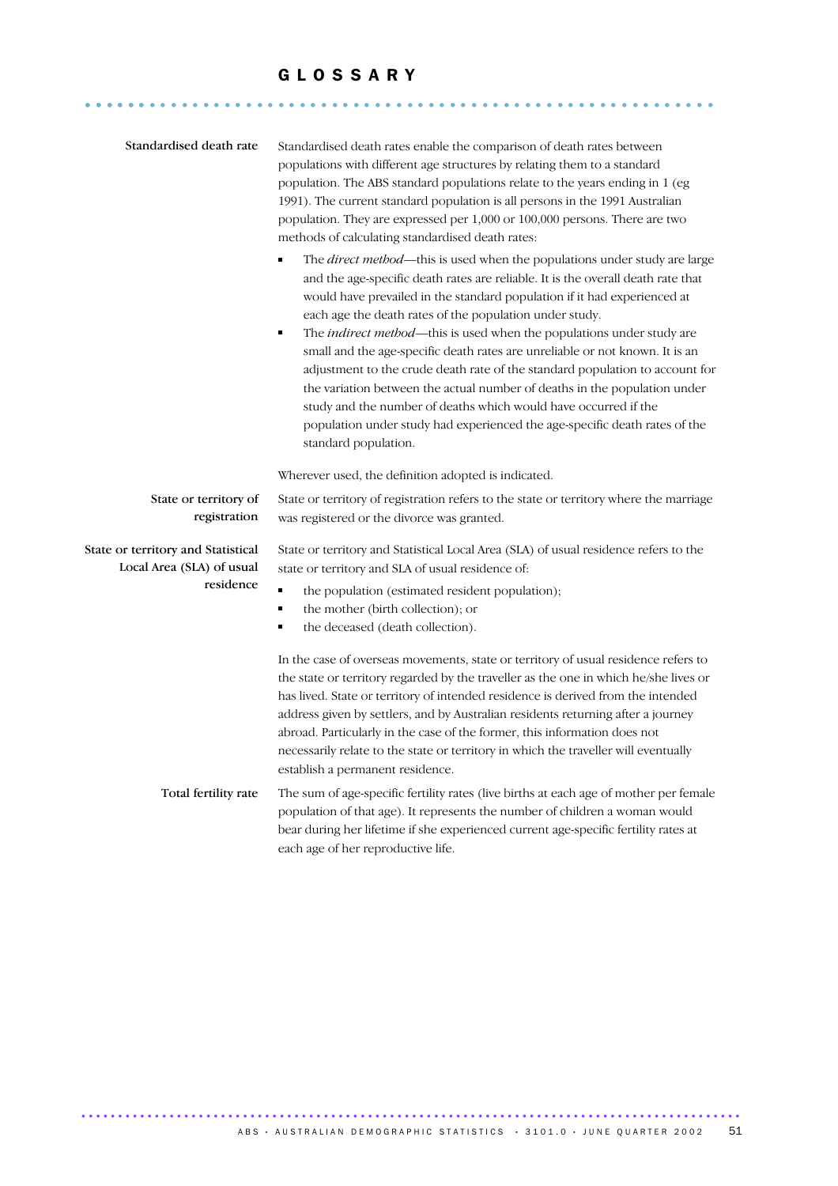........................................................... ......

| Standardised death rate                                                      | Standardised death rates enable the comparison of death rates between<br>populations with different age structures by relating them to a standard<br>population. The ABS standard populations relate to the years ending in 1 (eg<br>1991). The current standard population is all persons in the 1991 Australian<br>population. They are expressed per 1,000 or 100,000 persons. There are two<br>methods of calculating standardised death rates:<br>The <i>direct method</i> —this is used when the populations under study are large<br>and the age-specific death rates are reliable. It is the overall death rate that<br>would have prevailed in the standard population if it had experienced at<br>each age the death rates of the population under study.<br>The indirect method-this is used when the populations under study are<br>٠<br>small and the age-specific death rates are unreliable or not known. It is an<br>adjustment to the crude death rate of the standard population to account for<br>the variation between the actual number of deaths in the population under<br>study and the number of deaths which would have occurred if the<br>population under study had experienced the age-specific death rates of the<br>standard population. |
|------------------------------------------------------------------------------|-------------------------------------------------------------------------------------------------------------------------------------------------------------------------------------------------------------------------------------------------------------------------------------------------------------------------------------------------------------------------------------------------------------------------------------------------------------------------------------------------------------------------------------------------------------------------------------------------------------------------------------------------------------------------------------------------------------------------------------------------------------------------------------------------------------------------------------------------------------------------------------------------------------------------------------------------------------------------------------------------------------------------------------------------------------------------------------------------------------------------------------------------------------------------------------------------------------------------------------------------------------------------|
| State or territory of<br>registration                                        | Wherever used, the definition adopted is indicated.<br>State or territory of registration refers to the state or territory where the marriage<br>was registered or the divorce was granted.                                                                                                                                                                                                                                                                                                                                                                                                                                                                                                                                                                                                                                                                                                                                                                                                                                                                                                                                                                                                                                                                             |
| State or territory and Statistical<br>Local Area (SLA) of usual<br>residence | State or territory and Statistical Local Area (SLA) of usual residence refers to the<br>state or territory and SLA of usual residence of:<br>$\blacksquare$<br>the population (estimated resident population);<br>٠<br>the mother (birth collection); or<br>the deceased (death collection).<br>п                                                                                                                                                                                                                                                                                                                                                                                                                                                                                                                                                                                                                                                                                                                                                                                                                                                                                                                                                                       |
|                                                                              | In the case of overseas movements, state or territory of usual residence refers to<br>the state or territory regarded by the traveller as the one in which he/she lives or<br>has lived. State or territory of intended residence is derived from the intended<br>address given by settlers, and by Australian residents returning after a journey<br>abroad. Particularly in the case of the former, this information does not<br>necessarily relate to the state or territory in which the traveller will eventually<br>establish a permanent residence.                                                                                                                                                                                                                                                                                                                                                                                                                                                                                                                                                                                                                                                                                                              |
| Total fertility rate                                                         | The sum of age-specific fertility rates (live births at each age of mother per female<br>population of that age). It represents the number of children a woman would<br>bear during her lifetime if she experienced current age-specific fertility rates at<br>each age of her reproductive life.                                                                                                                                                                                                                                                                                                                                                                                                                                                                                                                                                                                                                                                                                                                                                                                                                                                                                                                                                                       |